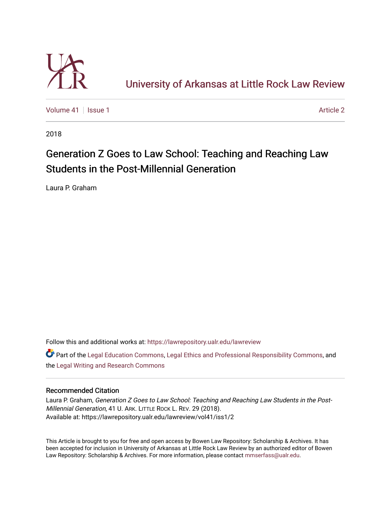

[University of Arkansas at Little Rock Law Review](https://lawrepository.ualr.edu/lawreview) 

[Volume 41](https://lawrepository.ualr.edu/lawreview/vol41) | [Issue 1](https://lawrepository.ualr.edu/lawreview/vol41/iss1) Article 2

2018

# Generation Z Goes to Law School: Teaching and Reaching Law Students in the Post-Millennial Generation

Laura P. Graham

Follow this and additional works at: [https://lawrepository.ualr.edu/lawreview](https://lawrepository.ualr.edu/lawreview?utm_source=lawrepository.ualr.edu%2Flawreview%2Fvol41%2Fiss1%2F2&utm_medium=PDF&utm_campaign=PDFCoverPages) 

Part of the [Legal Education Commons,](http://network.bepress.com/hgg/discipline/857?utm_source=lawrepository.ualr.edu%2Flawreview%2Fvol41%2Fiss1%2F2&utm_medium=PDF&utm_campaign=PDFCoverPages) [Legal Ethics and Professional Responsibility Commons](http://network.bepress.com/hgg/discipline/895?utm_source=lawrepository.ualr.edu%2Flawreview%2Fvol41%2Fiss1%2F2&utm_medium=PDF&utm_campaign=PDFCoverPages), and the [Legal Writing and Research Commons](http://network.bepress.com/hgg/discipline/614?utm_source=lawrepository.ualr.edu%2Flawreview%2Fvol41%2Fiss1%2F2&utm_medium=PDF&utm_campaign=PDFCoverPages)

# Recommended Citation

Laura P. Graham, Generation Z Goes to Law School: Teaching and Reaching Law Students in the Post-Millennial Generation, 41 U. ARK. LITTLE ROCK L. REV. 29 (2018). Available at: https://lawrepository.ualr.edu/lawreview/vol41/iss1/2

This Article is brought to you for free and open access by Bowen Law Repository: Scholarship & Archives. It has been accepted for inclusion in University of Arkansas at Little Rock Law Review by an authorized editor of Bowen Law Repository: Scholarship & Archives. For more information, please contact [mmserfass@ualr.edu](mailto:mmserfass@ualr.edu).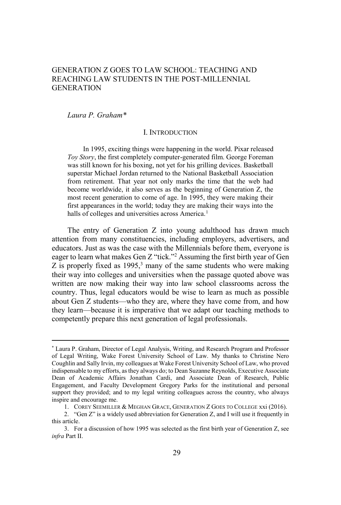# GENERATION Z GOES TO LAW SCHOOL: TEACHING AND REACHING LAW STUDENTS IN THE POST-MILLENNIAL **GENERATION**

# *Laura P. Graham\**

# I. INTRODUCTION

In 1995, exciting things were happening in the world. Pixar released *Toy Story*, the first completely computer-generated film. George Foreman was still known for his boxing, not yet for his grilling devices. Basketball superstar Michael Jordan returned to the National Basketball Association from retirement. That year not only marks the time that the web had become worldwide, it also serves as the beginning of Generation Z, the most recent generation to come of age. In 1995, they were making their first appearances in the world; today they are making their ways into the halls of colleges and universities across America.<sup>1</sup>

The entry of Generation Z into young adulthood has drawn much attention from many constituencies, including employers, advertisers, and educators. Just as was the case with the Millennials before them, everyone is eager to learn what makes Gen Z "tick."<sup>2</sup> Assuming the first birth year of Gen Z is properly fixed as  $1995<sup>3</sup>$  many of the same students who were making their way into colleges and universities when the passage quoted above was written are now making their way into law school classrooms across the country. Thus, legal educators would be wise to learn as much as possible about Gen Z students—who they are, where they have come from, and how they learn—because it is imperative that we adapt our teaching methods to competently prepare this next generation of legal professionals.

<sup>\*</sup> Laura P. Graham, Director of Legal Analysis, Writing, and Research Program and Professor of Legal Writing, Wake Forest University School of Law. My thanks to Christine Nero Coughlin and Sally Irvin, my colleagues at Wake Forest University School of Law, who proved indispensable to my efforts, as they always do; to Dean Suzanne Reynolds, Executive Associate Dean of Academic Affairs Jonathan Cardi, and Associate Dean of Research, Public Engagement, and Faculty Development Gregory Parks for the institutional and personal support they provided; and to my legal writing colleagues across the country, who always inspire and encourage me.

<sup>1.</sup> COREY SEEMILLER & MEGHAN GRACE, GENERATION Z GOES TO COLLEGE xxi (2016).

<sup>2. &</sup>quot;Gen Z" is a widely used abbreviation for Generation Z, and I will use it frequently in this article.

<sup>3.</sup> For a discussion of how 1995 was selected as the first birth year of Generation Z, see *infra* Part II.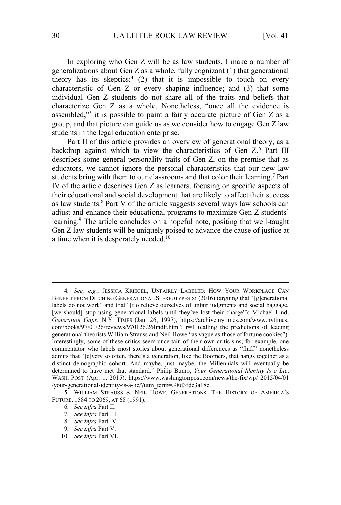In exploring who Gen Z will be as law students, I make a number of generalizations about Gen Z as a whole, fully cognizant (1) that generational theory has its skeptics;<sup>4</sup> (2) that it is impossible to touch on every characteristic of Gen Z or every shaping influence; and (3) that some individual Gen Z students do not share all of the traits and beliefs that characterize Gen Z as a whole. Nonetheless, "once all the evidence is assembled,"<sup>5</sup> it is possible to paint a fairly accurate picture of Gen Z as a group, and that picture can guide us as we consider how to engage Gen Z law students in the legal education enterprise.

Part II of this article provides an overview of generational theory, as a backdrop against which to view the characteristics of Gen Z.<sup>6</sup> Part III describes some general personality traits of Gen Z, on the premise that as educators, we cannot ignore the personal characteristics that our new law students bring with them to our classrooms and that color their learning.<sup>7</sup> Part IV of the article describes Gen Z as learners, focusing on specific aspects of their educational and social development that are likely to affect their success as law students.<sup>8</sup> Part V of the article suggests several ways law schools can adjust and enhance their educational programs to maximize Gen Z students' learning.<sup>9</sup> The article concludes on a hopeful note, positing that well-taught Gen Z law students will be uniquely poised to advance the cause of justice at a time when it is desperately needed.<sup>10</sup>

<sup>4</sup>*. See, e.g.*, JESSICA KRIEGEL, UNFAIRLY LABELED: HOW YOUR WORKPLACE CAN BENEFIT FROM DITCHING GENERATIONAL STEREOTYPES xi (2016) (arguing that "[g]enerational labels do not work" and that "[t]o relieve ourselves of unfair judgments and social baggage, [we should] stop using generational labels until they've lost their charge"); Michael Lind, *Generation Gaps*, N.Y. TIMES (Jan. 26, 1997), https://archive.nytimes.com/www.nytimes. com/books/97/01/26/reviews/970126.26lindlt.html?\_r=1 (calling the predictions of leading generational theorists William Strauss and Neil Howe "as vague as those of fortune cookies"). Interestingly, some of these critics seem uncertain of their own criticisms; for example, one commentator who labels most stories about generational differences as "fluff" nonetheless admits that "[e]very so often, there's a generation, like the Boomers, that hangs together as a distinct demographic cohort. And maybe, just maybe, the Millennials will eventually be determined to have met that standard." Philip Bump, *Your Generational Identity Is a Lie*, WASH. POST (Apr. 1, 2015), https://www.washingtonpost.com/news/the-fix/wp/ 2015/04/01 /your-generational-identity-is-a-lie/?utm\_term=.98d3fde3a18e.

<sup>5.</sup> WILLIAM STRAUSS & NEIL HOWE, GENERATIONS: THE HISTORY OF AMERICA'S FUTURE, 1584 TO 2069, AT 68 (1991).

<sup>6</sup>*. See infra* Part II.

<sup>7</sup>*. See infra* Part III.

<sup>8</sup>*. See infra* Part IV.

<sup>9</sup>*. See infra* Part V.

<sup>10</sup>*. See infra* Part VI.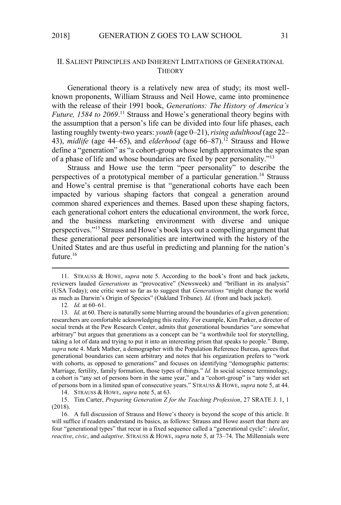# II. SALIENT PRINCIPLES AND INHERENT LIMITATIONS OF GENERATIONAL **THEORY**

Generational theory is a relatively new area of study; its most wellknown proponents, William Strauss and Neil Howe, came into prominence with the release of their 1991 book, *Generations: The History of America's*  Future, 1584 to 2069.<sup>11</sup> Strauss and Howe's generational theory begins with the assumption that a person's life can be divided into four life phases, each lasting roughly twenty-two years: *youth* (age 0–21), *rising adulthood* (age 22– 43), *midlife* (age 44–65), and *elderhood* (age 66–87).<sup>12</sup> Strauss and Howe define a "generation" as "a cohort-group whose length approximates the span of a phase of life and whose boundaries are fixed by peer personality."<sup>13</sup>

Strauss and Howe use the term "peer personality" to describe the perspectives of a prototypical member of a particular generation.<sup>14</sup> Strauss and Howe's central premise is that "generational cohorts have each been impacted by various shaping factors that congeal a generation around common shared experiences and themes. Based upon these shaping factors, each generational cohort enters the educational environment, the work force, and the business marketing environment with diverse and unique perspectives."<sup>15</sup> Strauss and Howe's book lays out a compelling argument that these generational peer personalities are intertwined with the history of the United States and are thus useful in predicting and planning for the nation's future.<sup>16</sup>

14. STRAUSS & HOWE, *supra* note 5, at 63.

15. Tim Carter, *Preparing Generation Z for the Teaching Profession*, 27 SRATE J. 1, 1 (2018).

16. A full discussion of Strauss and Howe's theory is beyond the scope of this article. It will suffice if readers understand its basics, as follows: Strauss and Howe assert that there are four "generational types" that recur in a fixed sequence called a "generational cycle": *idealist*, *reactive*, *civic*, and *adaptive*. STRAUSS & HOWE, *supra* note 5, at 73–74. The Millennials were

<sup>11.</sup> STRAUSS & HOWE, *supra* note 5. According to the book's front and back jackets, reviewers lauded *Generations* as "provocative" (Newsweek) and "brilliant in its analysis" (USA Today); one critic went so far as to suggest that *Generations* "might change the world as much as Darwin's Origin of Species" (Oakland Tribune). *Id.* (front and back jacket).

<sup>12</sup>*. Id.* at 60–61.

<sup>13</sup>*. Id.* at 60. There is naturally some blurring around the boundaries of a given generation; researchers are comfortable acknowledging this reality. For example, Kim Parker, a director of social trends at the Pew Research Center, admits that generational boundaries "*are* somewhat arbitrary" but argues that generations as a concept can be "a worthwhile tool for storytelling, taking a lot of data and trying to put it into an interesting prism that speaks to people." Bump, *supra* note 4. Mark Mather, a demographer with the Population Reference Bureau, agrees that generational boundaries can seem arbitrary and notes that his organization prefers to "work with cohorts, as opposed to generations" and focuses on identifying "demographic patterns: Marriage, fertility, family formation, those types of things." *Id.* In social science terminology, a cohort is "any set of persons born in the same year," and a "cohort-group" is "any wider set of persons born in a limited span of consecutive years." STRAUSS & HOWE, *supra* note 5, at 44.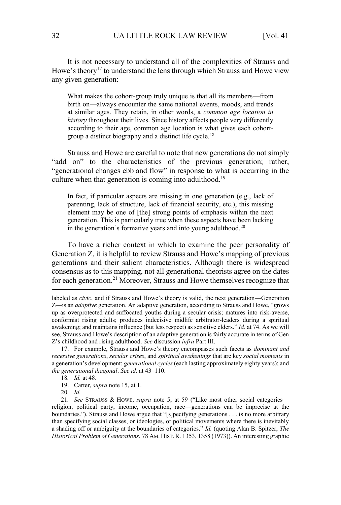It is not necessary to understand all of the complexities of Strauss and Howe's theory<sup>17</sup> to understand the lens through which Strauss and Howe view any given generation:

What makes the cohort-group truly unique is that all its members—from birth on—always encounter the same national events, moods, and trends at similar ages. They retain, in other words, a *common age location in history* throughout their lives. Since history affects people very differently according to their age, common age location is what gives each cohortgroup a distinct biography and a distinct life cycle.<sup>18</sup>

Strauss and Howe are careful to note that new generations do not simply "add on" to the characteristics of the previous generation; rather, "generational changes ebb and flow" in response to what is occurring in the culture when that generation is coming into adulthood.<sup>19</sup>

In fact, if particular aspects are missing in one generation (e.g., lack of parenting, lack of structure, lack of financial security, etc.), this missing element may be one of [the] strong points of emphasis within the next generation. This is particularly true when these aspects have been lacking in the generation's formative years and into young adulthood.<sup>20</sup>

To have a richer context in which to examine the peer personality of Generation Z, it is helpful to review Strauss and Howe's mapping of previous generations and their salient characteristics. Although there is widespread consensus as to this mapping, not all generational theorists agree on the dates for each generation.<sup>21</sup> Moreover, Strauss and Howe themselves recognize that

labeled as *civic*, and if Strauss and Howe's theory is valid, the next generation—Generation Z—is an *adaptive* generation. An adaptive generation, according to Strauss and Howe, "grows up as overprotected and suffocated youths during a secular crisis; matures into risk-averse, conformist rising adults; produces indecisive midlife arbitrator-leaders during a spiritual awakening; and maintains influence (but less respect) as sensitive elders." *Id.* at 74. As we will see, Strauss and Howe's description of an adaptive generation is fairly accurate in terms of Gen Z's childhood and rising adulthood. *See* discussion *infra* Part III.

<sup>17.</sup> For example, Strauss and Howe's theory encompasses such facets as *dominant and recessive generations*, *secular crises*, and *spiritual awakenings* that are key *social moments* in a generation's development; *generational cycles* (each lasting approximately eighty years); and *the generational diagonal*. *See id.* at 43–110.

<sup>18</sup>*. Id.* at 48.

<sup>19.</sup> Carter, *supra* note 15, at 1.

<sup>20</sup>*. Id.*

<sup>21</sup>*. See* STRAUSS & HOWE, *supra* note 5, at 59 ("Like most other social categories religion, political party, income, occupation, race—generations can be imprecise at the boundaries."). Strauss and Howe argue that "[s]pecifying generations . . . is no more arbitrary than specifying social classes, or ideologies, or political movements where there is inevitably a shading off or ambiguity at the boundaries of categories." *Id.* (quoting Alan B. Spitzer, *The Historical Problem of Generations*, 78 AM. HIST.R. 1353, 1358 (1973)). An interesting graphic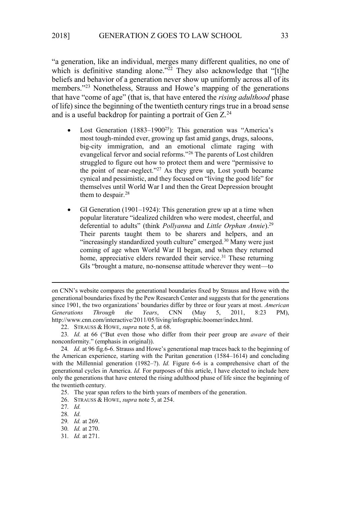"a generation, like an individual, merges many different qualities, no one of which is definitive standing alone."<sup>22</sup> They also acknowledge that "[t]he beliefs and behavior of a generation never show up uniformly across all of its members."<sup>23</sup> Nonetheless, Strauss and Howe's mapping of the generations that have "come of age" (that is, that have entered the *rising adulthood* phase of life) since the beginning of the twentieth century rings true in a broad sense and is a useful backdrop for painting a portrait of Gen Z.<sup>24</sup>

- Lost Generation (1883–1900<sup>25</sup>): This generation was "America's most tough-minded ever, growing up fast amid gangs, drugs, saloons, big-city immigration, and an emotional climate raging with evangelical fervor and social reforms."<sup>26</sup> The parents of Lost children struggled to figure out how to protect them and were "permissive to the point of near-neglect." <sup>27</sup> As they grew up, Lost youth became cynical and pessimistic, and they focused on "living the good life" for themselves until World War I and then the Great Depression brought them to despair.<sup>28</sup>
- GI Generation (1901–1924): This generation grew up at a time when popular literature "idealized children who were modest, cheerful, and deferential to adults" (think *Pollyanna* and *Little Orphan Annie*).<sup>29</sup> Their parents taught them to be sharers and helpers, and an "increasingly standardized youth culture" emerged.<sup>30</sup> Many were just coming of age when World War II began, and when they returned home, appreciative elders rewarded their service.<sup>31</sup> These returning GIs "brought a mature, no-nonsense attitude wherever they went—to

on CNN's website compares the generational boundaries fixed by Strauss and Howe with the generational boundaries fixed by the Pew Research Center and suggests that for the generations since 1901, the two organizations' boundaries differ by three or four years at most. *American Generations Through the Years*, CNN (May 5, 2011, 8:23 PM), http://www.cnn.com/interactive/2011/05/living/infographic.boomer/index.html.

<sup>22.</sup> STRAUSS & HOWE, *supra* note 5, at 68.

<sup>23</sup>*. Id.* at 66 ("But even those who differ from their peer group are *aware* of their nonconformity." (emphasis in original)).

<sup>24</sup>*. Id.* at 96 fig.6-6. Strauss and Howe's generational map traces back to the beginning of the American experience, starting with the Puritan generation (1584–1614) and concluding with the Millennial generation (1982–?). *Id.* Figure 6-6 is a comprehensive chart of the generational cycles in America. *Id.* For purposes of this article, I have elected to include here only the generations that have entered the rising adulthood phase of life since the beginning of the twentieth century.

<sup>25.</sup> The year span refers to the birth years of members of the generation.

<sup>26.</sup> STRAUSS & HOWE, *supra* note 5, at 254.

<sup>27</sup>*. Id.*

<sup>28</sup>*. Id.*

<sup>29</sup>*. Id.* at 269.

<sup>30</sup>*. Id.* at 270.

<sup>31</sup>*. Id.* at 271.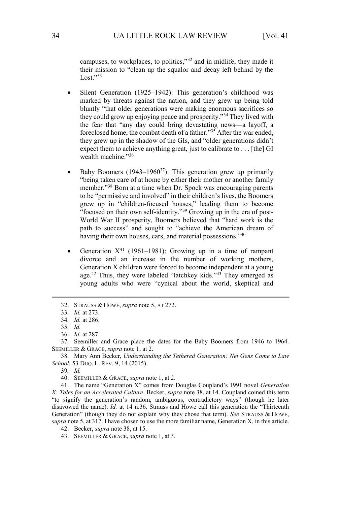campuses, to workplaces, to politics,"<sup>32</sup> and in midlife, they made it their mission to "clean up the squalor and decay left behind by the Lost."33

- Silent Generation (1925–1942): This generation's childhood was marked by threats against the nation, and they grew up being told bluntly "that older generations were making enormous sacrifices so they could grow up enjoying peace and prosperity."<sup>34</sup> They lived with the fear that "any day could bring devastating news—a layoff, a foreclosed home, the combat death of a father."<sup>35</sup> After the war ended, they grew up in the shadow of the GIs, and "older generations didn't expect them to achieve anything great, just to calibrate to . . . [the] GI wealth machine."36
- Baby Boomers  $(1943-1960^{37})$ : This generation grew up primarily "being taken care of at home by either their mother or another family member."<sup>38</sup> Born at a time when Dr. Spock was encouraging parents to be "permissive and involved" in their children's lives, the Boomers grew up in "children-focused houses," leading them to become "focused on their own self-identity."39 Growing up in the era of post-World War II prosperity, Boomers believed that "hard work is the path to success" and sought to "achieve the American dream of having their own houses, cars, and material possessions."<sup>40</sup>
- Generation  $X^{41}$  (1961–1981): Growing up in a time of rampant divorce and an increase in the number of working mothers, Generation X children were forced to become independent at a young age.<sup>42</sup> Thus, they were labeled "latchkey kids."<sup>43</sup> They emerged as young adults who were "cynical about the world, skeptical and

38. Mary Ann Becker, *Understanding the Tethered Generation: Net Gens Come to Law School*, 53 DUQ. L. REV. 9, 14 (2015).

39*. Id.* 

41. The name "Generation X" comes from Douglas Coupland's 1991 novel *Generation X: Tales for an Accelerated Culture*. Becker, *supra* note 38, at 14. Coupland coined this term "to signify the generation's random, ambiguous, contradictory ways" (though he later disavowed the name). *Id.* at 14 n.36. Strauss and Howe call this generation the "Thirteenth Generation" (though they do not explain why they chose that term). *See* STRAUSS & HOWE, *supra* note 5, at 317. I have chosen to use the more familiar name, Generation X, in this article.

<sup>32.</sup> STRAUSS & HOWE, *supra* note 5, AT 272.

<sup>33</sup>*. Id.* at 273.

<sup>34</sup>*. Id.* at 286.

<sup>35</sup>*. Id.*

<sup>36</sup>*. Id.* at 287.

<sup>37.</sup> Seemiller and Grace place the dates for the Baby Boomers from 1946 to 1964. SEEMILLER & GRACE, *supra* note 1, at 2.

<sup>40.</sup> SEEMILLER & GRACE, *supra* note 1, at 2.

<sup>42.</sup> Becker, *supra* note 38, at 15.

<sup>43.</sup> SEEMILLER & GRACE, *supra* note 1, at 3.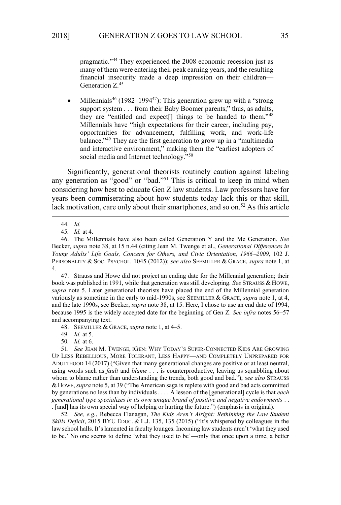pragmatic."<sup>44</sup> They experienced the 2008 economic recession just as many of them were entering their peak earning years, and the resulting financial insecurity made a deep impression on their children— Generation Z.<sup>45</sup>

Millennials<sup>46</sup> (1982–1994<sup>47</sup>): This generation grew up with a "strong" support system . . . from their Baby Boomer parents;" thus, as adults, they are "entitled and expect[] things to be handed to them."<sup>48</sup> Millennials have "high expectations for their career, including pay, opportunities for advancement, fulfilling work, and work-life balance."<sup>49</sup> They are the first generation to grow up in a "multimedia" and interactive environment," making them the "earliest adopters of social media and Internet technology."<sup>50</sup>

Significantly, generational theorists routinely caution against labeling any generation as "good" or "bad."<sup>51</sup> This is critical to keep in mind when considering how best to educate Gen Z law students. Law professors have for years been commiserating about how students today lack this or that skill, lack motivation, care only about their smartphones, and so on.<sup>52</sup> As this article

47. Strauss and Howe did not project an ending date for the Millennial generation; their book was published in 1991, while that generation was still developing. *See* STRAUSS & HOWE, *supra* note 5. Later generational theorists have placed the end of the Millennial generation variously as sometime in the early to mid-1990s, see SEEMILLER & GRACE, *supra* note 1, at 4, and the late 1990s, see Becker, *supra* note 38, at 15. Here, I chose to use an end date of 1994, because 1995 is the widely accepted date for the beginning of Gen Z. *See infra* notes 56−57 and accompanying text.

48. SEEMILLER & GRACE, *supra* note 1, at 4–5.

49*. Id.* at 5.

50*. Id.* at 6.

51*. See* JEAN M. TWENGE, IGEN: WHY TODAY'S SUPER-CONNECTED KIDS ARE GROWING UP LESS REBELLIOUS, MORE TOLERANT, LESS HAPPY—AND COMPLETELY UNPREPARED FOR ADULTHOOD 14 (2017) ("Given that many generational changes are positive or at least neutral, using words such as *fault* and *blame* . . . is counterproductive, leaving us squabbling about whom to blame rather than understanding the trends, both good and bad."); *see also* STRAUSS & HOWE, *supra* note 5, at 39 ("The American saga is replete with good and bad acts committed by generations no less than by individuals . . . . A lesson of the [generational] cycle is that *each generational type specializes in its own unique brand of positive and negative endowments* . . . [and] has its own special way of helping or hurting the future.") (emphasis in original).

52*. See, e.g.*, Rebecca Flanagan, *The Kids Aren't Alright: Rethinking the Law Student Skills Deficit*, 2015 BYU EDUC. & L.J. 135, 135 (2015) ("It's whispered by colleagues in the law school halls. It's lamented in faculty lounges. Incoming law students aren't 'what they used to be.' No one seems to define 'what they used to be'—only that once upon a time, a better

<sup>44</sup>*. Id.*

<sup>45</sup>*. Id.* at 4.

<sup>46.</sup> The Millennials have also been called Generation Y and the Me Generation. *See*  Becker, *supra* note 38, at 15 n.44 (citing Jean M. Twenge et al., *Generational Differences in Young Adults' Life Goals, Concern for Others, and Civic Orientation, 1966*−*2009*, 102 J. PERSONALITY & SOC. PSYCHOL. 1045 (2012)); *see also* SEEMILLER & GRACE, *supra* note 1, at 4.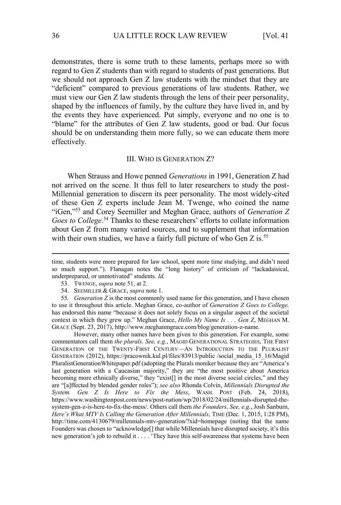demonstrates, there is some truth to these laments, perhaps more so with regard to Gen Z students than with regard to students of past generations. But we should not approach Gen Z law students with the mindset that they are "deficient" compared to previous generations of law students. Rather, we must view our Gen Z law students through the lens of their peer personality, shaped by the influences of family, by the culture they have lived in, and by the events they have experienced. Put simply, everyone and no one is to "blame" for the attributes of Gen Z law students, good or bad. Our focus should be on understanding them more fully, so we can educate them more effectively.

## III. WHO IS GENERATION Z?

When Strauss and Howe penned *Generations* in 1991, Generation Z had not arrived on the scene. It thus fell to later researchers to study the post-Millennial generation to discern its peer personality. The most widely-cited of these Gen Z experts include Jean M. Twenge, who coined the name "iGen,"<sup>53</sup> and Corey Seemiller and Meghan Grace, authors of *Generation Z*  Goes to College.<sup>54</sup> Thanks to these researchers' efforts to collate information about Gen Z from many varied sources, and to supplement that information with their own studies, we have a fairly full picture of who Gen Z is.<sup>55</sup>

 However, many other names have been given to this generation. For example, some commentators call them *the plurals*. *See, e.g.*, MAGID GENERATIONAL STRATEGIES, THE FIRST GENERATION OF THE TWENTY-FIRST CENTURY—AN INTRODUCTION TO THE PLURALIST GENERATION (2012), https://pracownik.kul.pl/files/83913/public /social\_media\_15\_16/Magid PluralistGenerationWhitepaper.pdf (adopting the Plurals moniker because they are "America's last generation with a Caucasian majority," they are "the most positive about America becoming more ethnically diverse," they "exist[] in the most diverse social circles," and they are "[a]ffected by blended gender roles"); *see also* Rhonda Colvin, *Millennials Disrupted the System. Gen Z Is Here to Fix the Mess*, WASH. POST (Feb. 24, 2018), https://www.washingtonpost.com/news/post-nation/wp/2018/02/24/millennials-disrupted-thesystem-gen-z-is-here-to-fix-the-mess/. Others call them *the Founders*. *See, e.g.*, Josh Sanburn, *Here's What MTV Is Calling the Generation After Millennials*, TIME (Dec. 1, 2015, 1:28 PM), http://time.com/4130679/millennials-mtv-generation/?xid=homepage (noting that the name Founders was chosen to "acknowledge[] that while Millennials have disrupted society, it's this new generation's job to rebuild it . . . . 'They have this self-awareness that systems have been

time, students were more prepared for law school, spent more time studying, and didn't need so much support."). Flanagan notes the "long history" of criticism of "lackadaisical, underprepared, or unmotivated" students. *Id.*

<sup>53.</sup> TWENGE, *supra* note 51, at 2.

<sup>54.</sup> SEEMILLER & GRACE, *supra* note 1.

<sup>55</sup>*. Generation Z* is the most commonly used name for this generation, and I have chosen to use it throughout this article. Meghan Grace, co-author of *Generation Z Goes to College,*  has endorsed this name "because it does not solely focus on a singular aspect of the societal context in which they grew up." Meghan Grace, *Hello My Name Is . . . Gen Z*, MEGHAN M. GRACE (Sept. 23, 2017), http://www.meghanmgrace.com/blog/generation-z-name.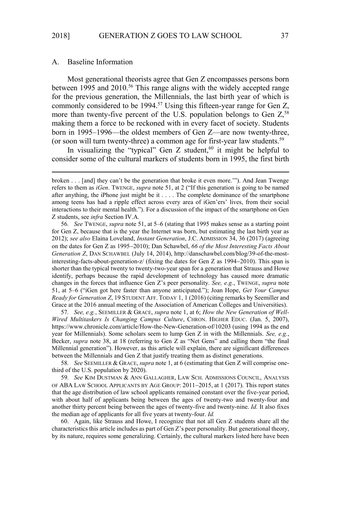#### A. Baseline Information

Most generational theorists agree that Gen Z encompasses persons born between 1995 and 2010.<sup>56</sup> This range aligns with the widely accepted range for the previous generation, the Millennials, the last birth year of which is commonly considered to be  $1994<sup>57</sup>$  Using this fifteen-year range for Gen Z, more than twenty-five percent of the U.S. population belongs to Gen  $Z$ <sup>58</sup>, making them a force to be reckoned with in every facet of society. Students born in 1995–1996—the oldest members of Gen Z—are now twenty-three, (or soon will turn twenty-three) a common age for first-year law students.<sup>59</sup>

In visualizing the "typical" Gen  $Z$  student, <sup>60</sup> it might be helpful to consider some of the cultural markers of students born in 1995, the first birth

57*. See, e.g.*, SEEMILLER & GRACE, *supra* note 1, at 6; *How the New Generation of Well-Wired Multitaskers Is Changing Campus Culture*, CHRON. HIGHER EDUC. (Jan. 5, 2007), https://www.chronicle.com/article/How-the-New-Generation-of/10203 (using 1994 as the end year for Millennials). Some scholars seem to lump Gen Z in with the Millennials. *See, e.g.*, Becker, *supra* note 38, at 18 (referring to Gen Z as "Net Gens" and calling them "the final Millennial generation"). However, as this article will explain, there are significant differences between the Millennials and Gen Z that justify treating them as distinct generations.

58*. See* SEEMILLER & GRACE, *supra* note 1, at 6 (estimating that Gen Z will comprise onethird of the U.S. population by 2020).

59*. See* KIM DUSTMAN & ANN GALLAGHER, LAW SCH. ADMISSIONS COUNCIL, ANALYSIS OF ABA LAW SCHOOL APPLICANTS BY AGE GROUP: 2011−2015, at 1 (2017). This report states that the age distribution of law school applicants remained constant over the five-year period, with about half of applicants being between the ages of twenty-two and twenty-four and another thirty percent being between the ages of twenty-five and twenty-nine. *Id.* It also fixes the median age of applicants for all five years at twenty-four. *Id.*

60. Again, like Strauss and Howe, I recognize that not all Gen Z students share all the characteristics this article includes as part of Gen Z's peer personality. But generational theory, by its nature, requires some generalizing. Certainly, the cultural markers listed here have been

broken . . . [and] they can't be the generation that broke it even more.'"). And Jean Twenge refers to them as *iGen*. TWENGE, *supra* note 51, at 2 ("If this generation is going to be named after anything, the iPhone just might be it . . . . The complete dominance of the smartphone among teens has had a ripple effect across every area of iGen'ers' lives, from their social interactions to their mental health."). For a discussion of the impact of the smartphone on Gen Z students, see *infra* Section IV.A.

<sup>56</sup>*. See* TWENGE, *supra* note 51, at 5–6 (stating that 1995 makes sense as a starting point for Gen Z, because that is the year the Internet was born, but estimating the last birth year as 2012); *see also* Elaina Loveland, *Instant Generation*, J.C. ADMISSION 34, 36 (2017) (agreeing on the dates for Gen Z as 1995−2010); Dan Schawbel, *66 of the Most Interesting Facts About Generation Z*, DAN SCHAWBEL (July 14, 2014), http://danschawbel.com/blog/39-of-the-mostinteresting-facts-about-generation-z/ (fixing the dates for Gen Z as 1994−2010). This span is shorter than the typical twenty to twenty-two-year span for a generation that Strauss and Howe identify, perhaps because the rapid development of technology has caused more dramatic changes in the forces that influence Gen Z's peer personality. *See, e.g.*, TWENGE, *supra* note 51, at 5–6 ("iGen got here faster than anyone anticipated."); Joan Hope, *Get Your Campus Ready for Generation Z*, 19 STUDENT AFF. TODAY 1, 1 (2016) (citing remarks by Seemiller and Grace at the 2016 annual meeting of the Association of American Colleges and Universities).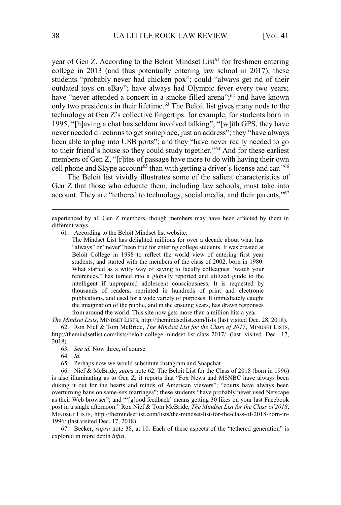year of Gen Z. According to the Beloit Mindset List<sup>61</sup> for freshmen entering college in 2013 (and thus potentially entering law school in 2017), these students "probably never had chicken pox"; could "always get rid of their outdated toys on eBay"; have always had Olympic fever every two years; have "never attended a concert in a smoke-filled arena";<sup>62</sup> and have known only two presidents in their lifetime.<sup>63</sup> The Beloit list gives many nods to the technology at Gen Z's collective fingertips: for example, for students born in 1995, "[h]aving a chat has seldom involved talking"; "[w]ith GPS, they have never needed directions to get someplace, just an address"; they "have always been able to plug into USB ports"; and they "have never really needed to go to their friend's house so they could study together."<sup>64</sup> And for these earliest members of Gen Z, "[r]ites of passage have more to do with having their own cell phone and Skype account<sup>65</sup> than with getting a driver's license and car."<sup>66</sup>

The Beloit list vividly illustrates some of the salient characteristics of Gen Z that those who educate them, including law schools, must take into account. They are "tethered to technology, social media, and their parents,"<sup>67</sup>

61. According to the Beloit Mindset list website:

The Mindset List has delighted millions for over a decade about what has "always" or "never" been true for entering college students. It was created at Beloit College in 1998 to reflect the world view of entering first year students, and started with the members of the class of 2002, born in 1980. What started as a witty way of saying to faculty colleagues "watch your references," has turned into a globally reported and utilized guide to the intelligent if unprepared adolescent consciousness. It is requested by thousands of readers, reprinted in hundreds of print and electronic publications, and used for a wide variety of purposes. It immediately caught the imagination of the public, and in the ensuing years, has drawn responses from around the world. This site now gets more than a million hits a year.

*The Mindset Lists*, MINDSET LISTS, http://themindsetlist.com/lists (last visited Dec. 28, 2018).

62. Ron Nief & Tom McBride, *The Mindset List for the Class of 2017*, MINDSET LISTS, http://themindsetlist.com/lists/beloit-college-mindset-list-class-2017/ (last visited Dec. 17, 2018)*.* 

- 63*. See id.* Now three, of course.
- 64*. Id.*
- 65. Perhaps now we would substitute Instagram and Snapchat.

66. Nief & McBride, *supra* note 62. The Beloit List for the Class of 2018 (born in 1996) is also illuminating as to Gen Z; it reports that "Fox News and MSNBC have always been duking it out for the hearts and minds of American viewers"; "courts have always been overturning bans on same-sex marriages"; these students "have probably never used Netscape as their Web browser"; and "'[g]ood feedback' means getting 30 likes on your last Facebook post in a single afternoon." Ron Nief & Tom McBride, *The Mindset List for the Class of 2018*, MINDSET LISTS, http://themindsetlist.com/lists/the-mindset-list-for-the-class-of-2018-born-in-1996/ (last visited Dec. 17, 2018).

67. Becker, *supra* note 38, at 10. Each of these aspects of the "tethered generation" is explored in more depth *infra*.

experienced by all Gen Z members, though members may have been affected by them in different ways.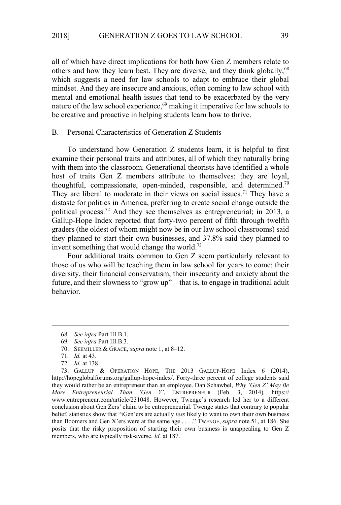all of which have direct implications for both how Gen Z members relate to others and how they learn best. They are diverse, and they think globally,<sup>68</sup> which suggests a need for law schools to adapt to embrace their global mindset. And they are insecure and anxious, often coming to law school with mental and emotional health issues that tend to be exacerbated by the very nature of the law school experience,<sup>69</sup> making it imperative for law schools to be creative and proactive in helping students learn how to thrive.

# B. Personal Characteristics of Generation Z Students

To understand how Generation Z students learn, it is helpful to first examine their personal traits and attributes, all of which they naturally bring with them into the classroom. Generational theorists have identified a whole host of traits Gen Z members attribute to themselves: they are loyal, thoughtful, compassionate, open-minded, responsible, and determined.<sup>70</sup> They are liberal to moderate in their views on social issues.<sup>71</sup> They have a distaste for politics in America, preferring to create social change outside the political process.<sup>72</sup> And they see themselves as entrepreneurial; in 2013, a Gallup-Hope Index reported that forty-two percent of fifth through twelfth graders (the oldest of whom might now be in our law school classrooms) said they planned to start their own businesses, and 37.8% said they planned to invent something that would change the world.<sup>73</sup>

Four additional traits common to Gen Z seem particularly relevant to those of us who will be teaching them in law school for years to come: their diversity, their financial conservatism, their insecurity and anxiety about the future, and their slowness to "grow up"—that is, to engage in traditional adult behavior.

<sup>68</sup>*. See infra* Part III.B.1.

<sup>69</sup>*. See infra* Part III.B.3.

<sup>70.</sup> SEEMILLER & GRACE, *supra* note 1, at 8–12.

<sup>71</sup>*. Id.* at 43.

<sup>72</sup>*. Id.* at 138.

<sup>73.</sup> GALLUP & OPERATION HOPE, THE 2013 GALLUP-HOPE Index 6 (2014), http://hopeglobalforums.org/gallup-hope-index/. Forty-three percent of college students said they would rather be an entrepreneur than an employee. Dan Schawbel, *Why 'Gen Z' May Be More Entrepreneurial Than 'Gen Y'*, ENTREPRENEUR (Feb. 3, 2014)*,* https:// www.entrepreneur.com/article/231048. However, Twenge's research led her to a different conclusion about Gen Zers' claim to be entrepreneurial. Twenge states that contrary to popular belief, statistics show that "iGen'ers are actually *less* likely to want to own their own business than Boomers and Gen X'ers were at the same age . . . ." TWENGE, *supra* note 51, at 186. She posits that the risky proposition of starting their own business is unappealing to Gen Z members, who are typically risk-averse. *Id.* at 187.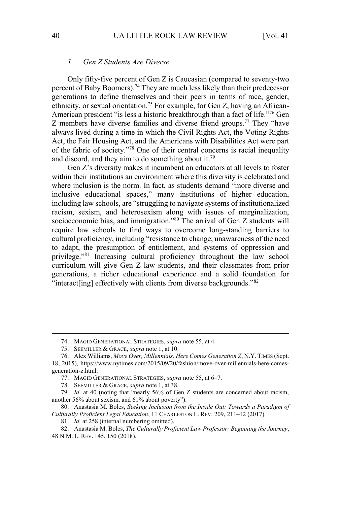## *1. Gen Z Students Are Diverse*

Only fifty-five percent of Gen Z is Caucasian (compared to seventy-two percent of Baby Boomers).<sup>74</sup> They are much less likely than their predecessor generations to define themselves and their peers in terms of race, gender, ethnicity, or sexual orientation.75 For example, for Gen Z, having an African-American president "is less a historic breakthrough than a fact of life."<sup>76</sup> Gen Z members have diverse families and diverse friend groups.<sup>77</sup> They "have always lived during a time in which the Civil Rights Act, the Voting Rights Act, the Fair Housing Act, and the Americans with Disabilities Act were part of the fabric of society."<sup>78</sup> One of their central concerns is racial inequality and discord, and they aim to do something about it.<sup>79</sup>

Gen Z's diversity makes it incumbent on educators at all levels to foster within their institutions an environment where this diversity is celebrated and where inclusion is the norm. In fact, as students demand "more diverse and inclusive educational spaces," many institutions of higher education, including law schools, are "struggling to navigate systems of institutionalized racism, sexism, and heterosexism along with issues of marginalization, socioeconomic bias, and immigration."<sup>80</sup> The arrival of Gen Z students will require law schools to find ways to overcome long-standing barriers to cultural proficiency, including "resistance to change, unawareness of the need to adapt, the presumption of entitlement, and systems of oppression and privilege."<sup>81</sup> Increasing cultural proficiency throughout the law school curriculum will give Gen Z law students, and their classmates from prior generations, a richer educational experience and a solid foundation for "interact[ing] effectively with clients from diverse backgrounds."<sup>82</sup>

<sup>74.</sup> MAGID GENERATIONAL STRATEGIES, *supra* note 55, at 4.

<sup>75.</sup> SEEMILLER & GRACE, *supra* note 1, at 10.

<sup>76.</sup> Alex Williams, *Move Over, Millennials, Here Comes Generation Z*, N.Y. TIMES (Sept. 18, 2015), https://www.nytimes.com/2015/09/20/fashion/move-over-millennials-here-comesgeneration-z.html.

<sup>77.</sup> MAGID GENERATIONAL STRATEGIES, *supra* note 55, at 6–7.

<sup>78.</sup> SEEMILLER & GRACE, *supra* note 1, at 38.

<sup>79</sup>*. Id.* at 40 (noting that "nearly 56% of Gen Z students are concerned about racism, another 56% about sexism, and 61% about poverty").

<sup>80.</sup> Anastasia M. Boles, *Seeking Inclusion from the Inside Out: Towards a Paradigm of Culturally Proficient Legal Education*, 11 CHARLESTON L. REV. 209, 211–12 (2017).

<sup>81</sup>*. Id.* at 258 (internal numbering omitted).

<sup>82.</sup> Anastasia M. Boles, *The Culturally Proficient Law Professor: Beginning the Journey*, 48 N.M. L. REV. 145, 150 (2018).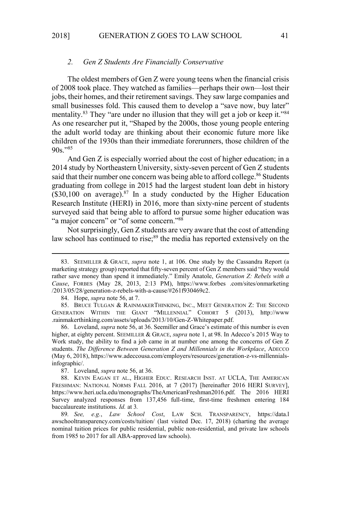#### *2. Gen Z Students Are Financially Conservative*

The oldest members of Gen Z were young teens when the financial crisis of 2008 took place. They watched as families—perhaps their own—lost their jobs, their homes, and their retirement savings. They saw large companies and small businesses fold. This caused them to develop a "save now, buy later" mentality.<sup>83</sup> They "are under no illusion that they will get a job or keep it."<sup>84</sup> As one researcher put it, "Shaped by the 2000s, those young people entering the adult world today are thinking about their economic future more like children of the 1930s than their immediate forerunners, those children of the  $90s.$ "<sup>85</sup>

And Gen Z is especially worried about the cost of higher education; in a 2014 study by Northeastern University, sixty-seven percent of Gen Z students said that their number one concern was being able to afford college.<sup>86</sup> Students graduating from college in 2015 had the largest student loan debt in history  $($30,100$  on average).<sup>87</sup> In a study conducted by the Higher Education Research Institute (HERI) in 2016, more than sixty-nine percent of students surveyed said that being able to afford to pursue some higher education was "a major concern" or "of some concern."88

Not surprisingly, Gen Z students are very aware that the cost of attending law school has continued to rise;<sup>89</sup> the media has reported extensively on the

86. Loveland, *supra* note 56, at 36. Seemiller and Grace's estimate of this number is even higher, at eighty percent. SEEMILLER & GRACE, *supra* note 1, at 98. In Adecco's 2015 Way to Work study, the ability to find a job came in at number one among the concerns of Gen Z students. *The Difference Between Generation Z and Millennials in the Workplace*, ADECCO (May 6, 2018), https://www.adeccousa.com/employers/resources/generation-z-vs-millennialsinfographic/.

87. Loveland, *supra* note 56, at 36.

88. KEVIN EAGAN ET AL., HIGHER EDUC. RESEARCH INST. AT UCLA, THE AMERICAN FRESHMAN: NATIONAL NORMS FALL 2016, at 7 (2017) [hereinafter 2016 HERI SURVEY], https://www.heri.ucla.edu/monographs/TheAmericanFreshman2016.pdf. The 2016 HERI Survey analyzed responses from 137,456 full-time, first-time freshmen entering 184 baccalaureate institutions. *Id.* at 3*.*

89*. See, e.g.*, *Law School Cost*, LAW SCH. TRANSPARENCY, https://data.l awschooltransparency.com/costs/tuition/ (last visited Dec. 17, 2018) (charting the average nominal tuition prices for public residential, public non-residential, and private law schools from 1985 to 2017 for all ABA-approved law schools).

<sup>83.</sup> SEEMILLER & GRACE, *supra* note 1, at 106. One study by the Cassandra Report (a marketing strategy group) reported that fifty-seven percent of Gen Z members said "they would rather save money than spend it immediately." Emily Anatole, *Generation Z: Rebels with a Cause*, FORBES (May 28, 2013, 2:13 PM), https://www.forbes .com/sites/onmarketing /2013/05/28/generation-z-rebels-with-a-cause/#261f930469c2.

<sup>84.</sup> Hope, *supra* note 56, at 7.

<sup>85.</sup> BRUCE TULGAN & RAINMAKERTHINKING, INC., MEET GENERATION Z: THE SECOND GENERATION WITHIN THE GIANT "MILLENNIAL" COHORT 5 (2013), http://www .rainmakerthinking.com/assets/uploads/2013/10/Gen-Z-Whitepaper.pdf.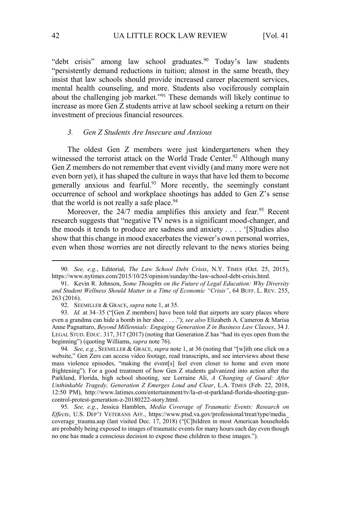"debt crisis" among law school graduates.<sup>90</sup> Today's law students "persistently demand reductions in tuition; almost in the same breath, they insist that law schools should provide increased career placement services, mental health counseling, and more. Students also vociferously complain about the challenging job market."<sup>91</sup> These demands will likely continue to increase as more Gen Z students arrive at law school seeking a return on their investment of precious financial resources.

# *3. Gen Z Students Are Insecure and Anxious*

The oldest Gen Z members were just kindergarteners when they witnessed the terrorist attack on the World Trade Center.<sup>92</sup> Although many Gen Z members do not remember that event vividly (and many more were not even born yet), it has shaped the culture in ways that have led them to become generally anxious and fearful.<sup>93</sup> More recently, the seemingly constant occurrence of school and workplace shootings has added to Gen Z's sense that the world is not really a safe place.<sup>94</sup>

Moreover, the 24/7 media amplifies this anxiety and fear.<sup>95</sup> Recent research suggests that "negative TV news is a significant mood-changer, and the moods it tends to produce are sadness and anxiety . . . . '[S]tudies also show that this change in mood exacerbates the viewer's own personal worries, even when those worries are not directly relevant to the news stories being

94*. See, e.g.*, SEEMILLER & GRACE, *supra* note 1, at 36 (noting that "[w]ith one click on a website," Gen Zers can access video footage, read transcripts, and see interviews about these mass violence episodes, "making the event[s] feel even closer to home and even more frightening"). For a good treatment of how Gen Z students galvanized into action after the Parkland, Florida, high school shooting, see Lorraine Ali, *A Changing of Guard: After Unthinkable Tragedy, Generation Z Emerges Loud and Clear*, L.A. TIMES (Feb. 22, 2018, 12:50 PM), http://www.latimes.com/entertainment/tv/la-et-st-parkland-florida-shooting-guncontrol-protest-generation-z-20180222-story.html.

95*. See, e.g.*, Jessica Hamblen, *Media Coverage of Traumatic Events: Research on Effects*, U.S. DEP'T VETERANS AFF., https://www.ptsd.va.gov/professional/treat/type/media\_ coverage\_trauma.asp (last visited Dec. 17, 2018) ("[C]hildren in most American households are probably being exposed to images of traumatic events for many hours each day even though no one has made a conscious decision to expose these children to these images.").

<sup>90</sup>*. See, e.g.*, Editorial, *The Law School Debt Crisis*, N.Y. TIMES (Oct. 25, 2015), https://www.nytimes.com/2015/10/25/opinion/sunday/the-law-school-debt-crisis.html.

<sup>91.</sup> Kevin R. Johnson, *Some Thoughts on the Future of Legal Education: Why Diversity and Student Wellness Should Matter in a Time of Economic "Crisis"*, 64 BUFF. L. REV. 255, 263 (2016).

<sup>92.</sup> SEEMILLER & GRACE, *supra* note 1, at 35.

<sup>93</sup>*. Id.* at 34–35 ("[Gen Z members] have been told that airports are scary places where even a grandma can hide a bomb in her shoe . . . ."); *see also* Elizabeth A. Cameron & Marisa Anne Pagnattaro, *Beyond Millennials: Engaging Generation Z in Business Law Classes*, 34 J. LEGAL STUD. EDUC. 317, 317 (2017) (noting that Generation Z has "had its eyes open from the beginning") (quoting Williams, *supra* note 76).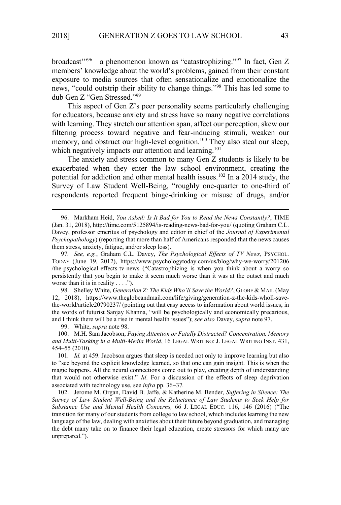broadcast'"<sup>96</sup>—a phenomenon known as "catastrophizing."<sup>97</sup> In fact, Gen Z members' knowledge about the world's problems, gained from their constant exposure to media sources that often sensationalize and emotionalize the news, "could outstrip their ability to change things."<sup>98</sup> This has led some to dub Gen Z "Gen Stressed."<sup>99</sup>

This aspect of Gen Z's peer personality seems particularly challenging for educators, because anxiety and stress have so many negative correlations with learning. They stretch our attention span, affect our perception, skew our filtering process toward negative and fear-inducing stimuli, weaken our memory, and obstruct our high-level cognition.<sup>100</sup> They also steal our sleep, which negatively impacts our attention and learning.<sup>101</sup>

The anxiety and stress common to many Gen Z students is likely to be exacerbated when they enter the law school environment, creating the potential for addiction and other mental health issues.<sup>102</sup> In a 2014 study, the Survey of Law Student Well-Being, "roughly one-quarter to one-third of respondents reported frequent binge-drinking or misuse of drugs, and/or

98. Shelley White, *Generation Z: The Kids Who'll Save the World?*, GLOBE & MAIL (May 12, 2018), https://www.theglobeandmail.com/life/giving/generation-z-the-kids-wholl-savethe-world/article20790237/ (pointing out that easy access to information about world issues, in the words of futurist Sanjay Khanna, "will be psychologically and economically precarious, and I think there will be a rise in mental health issues"); *see also* Davey, *supra* note 97.

99. White, *supra* note 98.

100. M.H. Sam Jacobson, *Paying Attention or Fatally Distracted? Concentration, Memory and Multi-Tasking in a Multi-Media World*, 16 LEGAL WRITING: J. LEGAL WRITING INST. 431, 454–55 (2010).

101*. Id.* at 459. Jacobson argues that sleep is needed not only to improve learning but also to "see beyond the explicit knowledge learned, so that one can gain insight. This is when the magic happens. All the neural connections come out to play, creating depth of understanding that would not otherwise exist." *Id*. For a discussion of the effects of sleep deprivation associated with technology use, see *infra* pp. 36−37*.* 

102. Jerome M. Organ, David B. Jaffe, & Katherine M. Bender, *Suffering in Silence: The Survey of Law Student Well-Being and the Reluctance of Law Students to Seek Help for Substance Use and Mental Health Concerns,* 66 J. LEGAL EDUC. 116, 146 (2016) ("The transition for many of our students from college to law school, which includes learning the new language of the law, dealing with anxieties about their future beyond graduation, and managing the debt many take on to finance their legal education, create stressors for which many are unprepared.").

<sup>96.</sup> Markham Heid, *You Asked: Is It Bad for You to Read the News Constantly?*, TIME (Jan. 31, 2018), http://time.com/5125894/is-reading-news-bad-for-you/ (quoting Graham C.L. Davey, professor emeritus of psychology and editor in chief of the *Journal of Experimental Psychopathology*) (reporting that more than half of Americans responded that the news causes them stress, anxiety, fatigue, and/or sleep loss).

<sup>97</sup>*. See, e.g.*, Graham C.L. Davey, *The Psychological Effects of TV News*, PSYCHOL. TODAY (June 19, 2012), https://www.psychologytoday.com/us/blog/why-we-worry/201206 /the-psychological-effects-tv-news ("Catastrophizing is when you think about a worry so persistently that you begin to make it seem much worse than it was at the outset and much worse than it is in reality  $\dots$ .").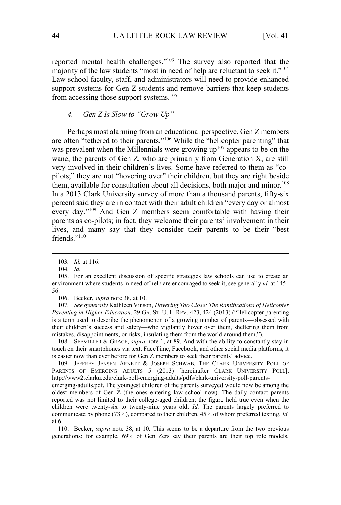reported mental health challenges."<sup>103</sup> The survey also reported that the majority of the law students "most in need of help are reluctant to seek it."<sup>104</sup> Law school faculty, staff, and administrators will need to provide enhanced support systems for Gen Z students and remove barriers that keep students from accessing those support systems.<sup>105</sup>

# *4. Gen Z Is Slow to "Grow Up"*

Perhaps most alarming from an educational perspective, Gen Z members are often "tethered to their parents."<sup>106</sup> While the "helicopter parenting" that was prevalent when the Millennials were growing  $up^{107}$  appears to be on the wane, the parents of Gen Z, who are primarily from Generation X, are still very involved in their children's lives. Some have referred to them as "copilots;" they are not "hovering over" their children, but they are right beside them, available for consultation about all decisions, both major and minor.<sup>108</sup> In a 2013 Clark University survey of more than a thousand parents, fifty-six percent said they are in contact with their adult children "every day or almost every day."<sup>109</sup> And Gen Z members seem comfortable with having their parents as co-pilots; in fact, they welcome their parents' involvement in their lives, and many say that they consider their parents to be their "best friends."<sup>110</sup>

106. Becker, *supra* note 38, at 10.

107*. See generally* Kathleen Vinson, *Hovering Too Close: The Ramifications of Helicopter Parenting in Higher Education*, 29 GA. ST. U. L. REV. 423, 424 (2013) ("Helicopter parenting is a term used to describe the phenomenon of a growing number of parents—obsessed with their children's success and safety—who vigilantly hover over them, sheltering them from mistakes, disappointments, or risks; insulating them from the world around them.").

108. SEEMILLER & GRACE, *supra* note 1, at 89. And with the ability to constantly stay in touch on their smartphones via text, FaceTime, Facebook, and other social media platforms, it is easier now than ever before for Gen Z members to seek their parents' advice.

109. JEFFREY JENSEN ARNETT & JOSEPH SCHWAB, THE CLARK UNIVERSITY POLL OF PARENTS OF EMERGING ADULTS 5 (2013) [hereinafter CLARK UNIVERSITY POLL], http://www2.clarku.edu/clark-poll-emerging-adults/pdfs/clark-university-poll-parentsemerging-adults.pdf. The youngest children of the parents surveyed would now be among the oldest members of Gen Z (the ones entering law school now). The daily contact parents reported was not limited to their college-aged children; the figure held true even when the children were twenty-six to twenty-nine years old. *Id.* The parents largely preferred to communicate by phone (73%), compared to their children, 45% of whom preferred texting. *Id.*  at 6.

110. Becker, *supra* note 38, at 10. This seems to be a departure from the two previous generations; for example, 69% of Gen Zers say their parents are their top role models,

<sup>103</sup>*. Id.* at 116.

<sup>104</sup>*. Id.*

<sup>105.</sup> For an excellent discussion of specific strategies law schools can use to create an environment where students in need of help are encouraged to seek it, see generally *id.* at 145– 56.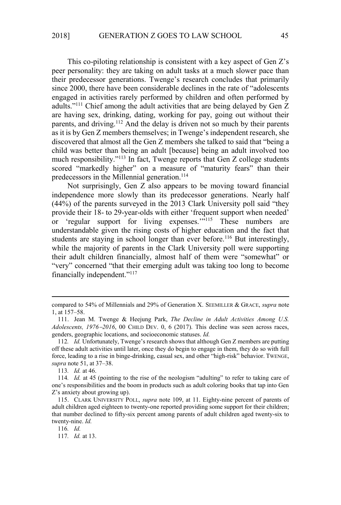This co-piloting relationship is consistent with a key aspect of Gen Z's peer personality: they are taking on adult tasks at a much slower pace than their predecessor generations. Twenge's research concludes that primarily since 2000, there have been considerable declines in the rate of "adolescents engaged in activities rarely performed by children and often performed by adults."<sup>111</sup> Chief among the adult activities that are being delayed by Gen Z are having sex, drinking, dating, working for pay, going out without their parents, and driving.<sup>112</sup> And the delay is driven not so much by their parents as it is by Gen Z members themselves; in Twenge's independent research, she discovered that almost all the Gen Z members she talked to said that "being a child was better than being an adult [because] being an adult involved too much responsibility."<sup>113</sup> In fact, Twenge reports that Gen Z college students scored "markedly higher" on a measure of "maturity fears" than their predecessors in the Millennial generation.<sup>114</sup>

Not surprisingly, Gen Z also appears to be moving toward financial independence more slowly than its predecessor generations. Nearly half (44%) of the parents surveyed in the 2013 Clark University poll said "they provide their 18- to 29-year-olds with either 'frequent support when needed' or 'regular support for living expenses."<sup>115</sup> These numbers are understandable given the rising costs of higher education and the fact that students are staying in school longer than ever before.<sup>116</sup> But interestingly, while the majority of parents in the Clark University poll were supporting their adult children financially, almost half of them were "somewhat" or "very" concerned "that their emerging adult was taking too long to become financially independent."<sup>117</sup>

compared to 54% of Millennials and 29% of Generation X. SEEMILLER & GRACE, *supra* note 1, at 157–58.

<sup>111.</sup> Jean M. Twenge & Heejung Park, *The Decline in Adult Activities Among U.S. Adolescents, 1976−2016*, 00 CHILD DEV. 0, 6 (2017). This decline was seen across races, genders, geographic locations, and socioeconomic statuses. *Id.* 

<sup>112</sup>*. Id.* Unfortunately, Twenge's research shows that although Gen Z members are putting off these adult activities until later, once they do begin to engage in them, they do so with full force, leading to a rise in binge-drinking, casual sex, and other "high-risk" behavior. TWENGE, *supra* note 51, at 37–38.

<sup>113</sup>*. Id.* at 46.

<sup>114</sup>*. Id.* at 45 (pointing to the rise of the neologism "adulting" to refer to taking care of one's responsibilities and the boom in products such as adult coloring books that tap into Gen Z's anxiety about growing up).

<sup>115.</sup> CLARK UNIVERSITY POLL, *supra* note 109, at 11. Eighty-nine percent of parents of adult children aged eighteen to twenty-one reported providing some support for their children; that number declined to fifty-six percent among parents of adult children aged twenty-six to twenty-nine. *Id.*

<sup>116</sup>*. Id.*

<sup>117</sup>*. Id.* at 13.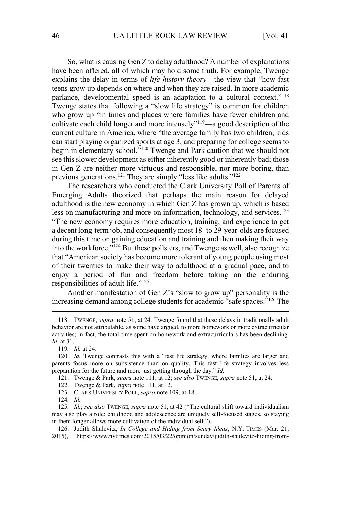So, what is causing Gen Z to delay adulthood? A number of explanations have been offered, all of which may hold some truth. For example, Twenge explains the delay in terms of *life history theory*—the view that "how fast teens grow up depends on where and when they are raised. In more academic parlance, developmental speed is an adaptation to a cultural context."<sup>118</sup> Twenge states that following a "slow life strategy" is common for children who grow up "in times and places where families have fewer children and cultivate each child longer and more intensely"<sup>119</sup>—a good description of the current culture in America, where "the average family has two children, kids can start playing organized sports at age 3, and preparing for college seems to begin in elementary school."<sup>120</sup> Twenge and Park caution that we should not see this slower development as either inherently good or inherently bad; those in Gen Z are neither more virtuous and responsible, nor more boring, than previous generations.<sup>121</sup> They are simply "less like adults."<sup>122</sup>

The researchers who conducted the Clark University Poll of Parents of Emerging Adults theorized that perhaps the main reason for delayed adulthood is the new economy in which Gen Z has grown up, which is based less on manufacturing and more on information, technology, and services.<sup>123</sup> "The new economy requires more education, training, and experience to get a decent long-term job, and consequently most 18- to 29-year-olds are focused during this time on gaining education and training and then making their way into the workforce."<sup>124</sup> But these pollsters, and Twenge as well, also recognize that "American society has become more tolerant of young people using most of their twenties to make their way to adulthood at a gradual pace, and to enjoy a period of fun and freedom before taking on the enduring responsibilities of adult life."<sup>125</sup>

Another manifestation of Gen Z's "slow to grow up" personality is the increasing demand among college students for academic "safe spaces."<sup>126</sup> The

- 122. Twenge & Park, *supra* note 111, at 12.
- 123. CLARK UNIVERSITY POLL, *supra* note 109, at 18.

124*. Id.*

<sup>118.</sup> TWENGE, *supra* note 51, at 24. Twenge found that these delays in traditionally adult behavior are not attributable, as some have argued, to more homework or more extracurricular activities; in fact, the total time spent on homework and extracurriculars has been declining. *Id.* at 31.

<sup>119</sup>*. Id.* at 24.

<sup>120</sup>*. Id.* Twenge contrasts this with a "fast life strategy, where families are larger and parents focus more on subsistence than on quality. This fast life strategy involves less preparation for the future and more just getting through the day." *Id.*

<sup>121.</sup> Twenge & Park, *supra* note 111, at 12; *see also* TWENGE, *supra* note 51, at 24.

<sup>125</sup>*. Id.*; *see also* TWENGE, *supra* note 51, at 42 ("The cultural shift toward individualism may also play a role: childhood and adolescence are uniquely self-focused stages, so staying in them longer allows more cultivation of the individual self.").

<sup>126.</sup> Judith Shulevitz, *In College and Hiding from Scary Ideas*, N.Y. TIMES (Mar. 21,

<sup>2015),</sup> https://www.nytimes.com/2015/03/22/opinion/sunday/judith-shulevitz-hiding-from-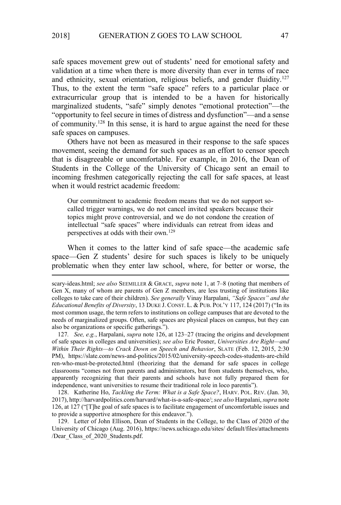safe spaces movement grew out of students' need for emotional safety and validation at a time when there is more diversity than ever in terms of race and ethnicity, sexual orientation, religious beliefs, and gender fluidity.<sup>127</sup> Thus, to the extent the term "safe space" refers to a particular place or extracurricular group that is intended to be a haven for historically marginalized students, "safe" simply denotes "emotional protection"—the "opportunity to feel secure in times of distress and dysfunction"—and a sense of community.<sup>128</sup> In this sense, it is hard to argue against the need for these safe spaces on campuses.

Others have not been as measured in their response to the safe spaces movement, seeing the demand for such spaces as an effort to censor speech that is disagreeable or uncomfortable. For example, in 2016, the Dean of Students in the College of the University of Chicago sent an email to incoming freshmen categorically rejecting the call for safe spaces, at least when it would restrict academic freedom:

Our commitment to academic freedom means that we do not support socalled trigger warnings, we do not cancel invited speakers because their topics might prove controversial, and we do not condone the creation of intellectual "safe spaces" where individuals can retreat from ideas and perspectives at odds with their own.<sup>129</sup>

When it comes to the latter kind of safe space—the academic safe space—Gen Z students' desire for such spaces is likely to be uniquely problematic when they enter law school, where, for better or worse, the

127*. See, e.g.*, Harpalani, *supra* note 126, at 123–27 (tracing the origins and development of safe spaces in colleges and universities); *see also* Eric Posner, *Universities Are Right—and Within Their Rights—to Crack Down on Speech and Behavior*, SLATE (Feb. 12, 2015, 2:30 PM), https://slate.com/news-and-politics/2015/02/university-speech-codes-students-are-child ren-who-must-be-protected.html (theorizing that the demand for safe spaces in college classrooms "comes not from parents and administrators, but from students themselves, who, apparently recognizing that their parents and schools have not fully prepared them for independence, want universities to resume their traditional role in loco parentis").

128. Katherine Ho, *Tackling the Term: What is a Safe Space?*, HARV. POL. REV. (Jan. 30, 2017), http://harvardpolitics.com/harvard/what-is-a-safe-space/; *see also* Harpalani, *supra* note 126, at 127 ("[T]he goal of safe spaces is to facilitate engagement of uncomfortable issues and to provide a supportive atmosphere for this endeavor.").

129. Letter of John Ellison, Dean of Students in the College, to the Class of 2020 of the University of Chicago (Aug. 2016), https://news.uchicago.edu/sites/ default/files/attachments /Dear\_Class\_of\_2020\_Students.pdf.

scary-ideas.html; *see also* SEEMILLER & GRACE, *supra* note 1, at 7–8 (noting that members of Gen X, many of whom are parents of Gen Z members, are less trusting of institutions like colleges to take care of their children). *See generally* Vinay Harpalani, *"Safe Spaces" and the Educational Benefits of Diversity*, 13 DUKE J. CONST. L. & PUB. POL'Y 117, 124 (2017) ("In its most common usage, the term refers to institutions on college campuses that are devoted to the needs of marginalized groups. Often, safe spaces are physical places on campus, but they can also be organizations or specific gatherings.").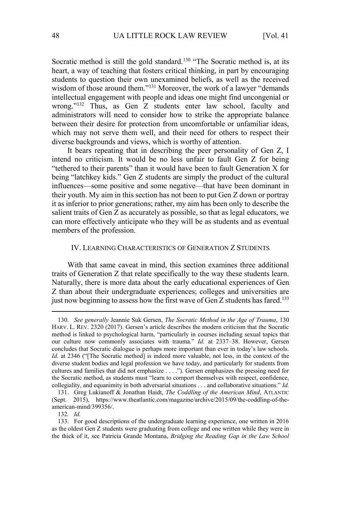Socratic method is still the gold standard.<sup>130</sup> "The Socratic method is, at its heart, a way of teaching that fosters critical thinking, in part by encouraging students to question their own unexamined beliefs, as well as the received wisdom of those around them."<sup>131</sup> Moreover, the work of a lawyer "demands" intellectual engagement with people and ideas one might find uncongenial or wrong."<sup>132</sup> Thus, as Gen Z students enter law school, faculty and administrators will need to consider how to strike the appropriate balance between their desire for protection from uncomfortable or unfamiliar ideas, which may not serve them well, and their need for others to respect their diverse backgrounds and views, which is worthy of attention.

It bears repeating that in describing the peer personality of Gen Z, I intend no criticism. It would be no less unfair to fault Gen Z for being "tethered to their parents" than it would have been to fault Generation X for being "latchkey kids." Gen Z students are simply the product of the cultural influences—some positive and some negative—that have been dominant in their youth. My aim in this section has not been to put Gen Z down or portray it as inferior to prior generations; rather, my aim has been only to describe the salient traits of Gen Z as accurately as possible, so that as legal educators, we can more effectively anticipate who they will be as students and as eventual members of the profession.

# IV. LEARNING CHARACTERISTICS OF GENERATION Z STUDENTS

With that same caveat in mind, this section examines three additional traits of Generation Z that relate specifically to the way these students learn. Naturally, there is more data about the early educational experiences of Gen Z than about their undergraduate experiences; colleges and universities are just now beginning to assess how the first wave of Gen  $Z$  students has fared.<sup>133</sup>

132*. Id.*

<sup>130</sup>*. See generally* Jeannie Suk Gersen, *The Socratic Method in the Age of Trauma*, 130 HARV. L. REV. 2320 (2017). Gersen's article describes the modern criticism that the Socratic method is linked to psychological harm, "particularly in courses including sexual topics that our culture now commonly associates with trauma." *Id.* at 2337–38. However, Gersen concludes that Socratic dialogue is perhaps more important than ever in today's law schools. *Id.* at 2346 ("[The Socratic method] is indeed more valuable, not less, in the context of the diverse student bodies and legal profession we have today, and particularly for students from cultures and families that did not emphasize . . . ."). Gersen emphasizes the pressing need for the Socratic method, as students must "learn to comport themselves with respect, confidence, collegiality, and equanimity in both adversarial situations . . . and collaborative situations." *Id.*

<sup>131.</sup> Greg Lukianoff & Jonathan Haidt, *The Coddling of the American Mind*, ATLANTIC (Sept. 2015), https://www.theatlantic.com/magazine/archive/2015/09/the-coddling-of-theamerican-mind/399356/.

<sup>133.</sup> For good descriptions of the undergraduate learning experience, one written in 2016 as the oldest Gen Z students were graduating from college and one written while they were in the thick of it, see Patricia Grande Montana, *Bridging the Reading Gap in the Law School*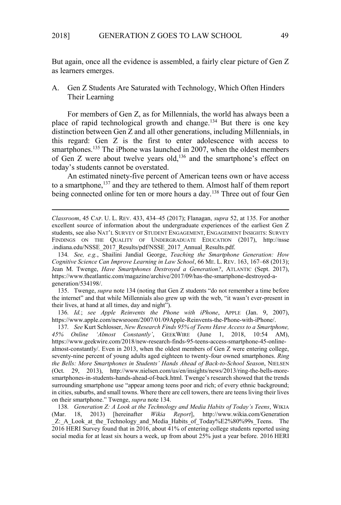But again, once all the evidence is assembled, a fairly clear picture of Gen Z as learners emerges.

A. Gen Z Students Are Saturated with Technology, Which Often Hinders Their Learning

For members of Gen Z, as for Millennials, the world has always been a place of rapid technological growth and change.<sup>134</sup> But there is one key distinction between Gen Z and all other generations, including Millennials, in this regard: Gen Z is the first to enter adolescence with access to smartphones.<sup>135</sup> The iPhone was launched in 2007, when the oldest members of Gen Z were about twelve years old,<sup>136</sup> and the smartphone's effect on today's students cannot be overstated.

An estimated ninety-five percent of American teens own or have access to a smartphone,<sup>137</sup> and they are tethered to them. Almost half of them report being connected online for ten or more hours a day.<sup>138</sup> Three out of four Gen

134*. See, e.g.*, Shailini Jandial George, *Teaching the Smartphone Generation: How Cognitive Science Can Improve Learning in Law School*, 66 ME. L. REV. 163, 167–68 (2013); Jean M. Twenge, *Have Smartphones Destroyed a Generation?*, ATLANTIC (Sept. 2017), https://www.theatlantic.com/magazine/archive/2017/09/has-the-smartphone-destroyed-ageneration/534198/.

135. Twenge, *supra* note 134 (noting that Gen Z students "do not remember a time before the internet" and that while Millennials also grew up with the web, "it wasn't ever-present in their lives, at hand at all times, day and night").

136*. Id.*; *see Apple Reinvents the Phone with iPhone*, APPLE (Jan. 9, 2007), https://www.apple.com/newsroom/2007/01/09Apple-Reinvents-the-Phone-with-iPhone/.

137*. See* Kurt Schlosser, *New Research Finds 95% of Teens Have Access to a Smartphone, 45% Online 'Almost Constantly'*, GEEKWIRE (June 1, 2018, 10:54 AM), https://www.geekwire.com/2018/new-research-finds-95-teens-access-smartphone-45-onlinealmost-constantly/. Even in 2013, when the oldest members of Gen Z were entering college, seventy-nine percent of young adults aged eighteen to twenty-four owned smartphones. *Ring the Bells: More Smartphones in Students' Hands Ahead of Back-to-School Season*, NIELSEN (Oct. 29, 2013), http://www.nielsen.com/us/en/insights/news/2013/ring-the-bells-moresmartphones-in-students-hands-ahead-of-back.html. Twenge's research showed that the trends surrounding smartphone use "appear among teens poor and rich; of every ethnic background; in cities, suburbs, and small towns. Where there are cell towers, there are teens living their lives on their smartphone." Twenge, *supra* note 134.

138*. Generation Z: A Look at the Technology and Media Habits of Today's Teens*, WIKIA (Mar. 18, 2013) [hereinafter *Wikia Report*], http://www.wikia.com/Generation Z: A Look at the Technology and Media Habits of Today%E2%80%99s Teens. The 2016 HERI Survey found that in 2016, about 41% of entering college students reported using social media for at least six hours a week, up from about 25% just a year before. 2016 HERI

*Classroom*, 45 CAP. U. L. REV. 433, 434–45 (2017); Flanagan, *supra* 52, at 135. For another excellent source of information about the undergraduate experiences of the earliest Gen Z students, see also NAT'L SURVEY OF STUDENT ENGAGEMENT, ENGAGEMENT INSIGHTS: SURVEY FINDINGS ON THE QUALITY OF UNDERGRADUATE EDUCATION (2017), http://nsse .indiana.edu/NSSE\_2017\_Results/pdf/NSSE\_2017\_Annual\_Results.pdf.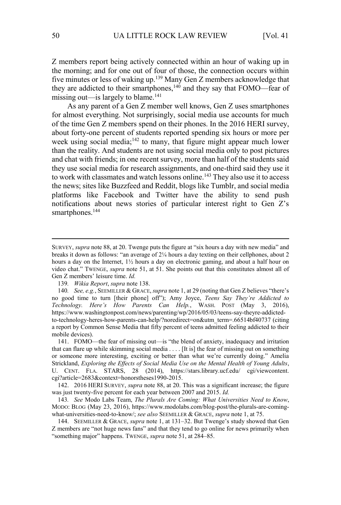Z members report being actively connected within an hour of waking up in the morning; and for one out of four of those, the connection occurs within five minutes or less of waking up.<sup>139</sup> Many Gen Z members acknowledge that they are addicted to their smartphones,<sup>140</sup> and they say that FOMO—fear of missing out—is largely to blame.<sup>141</sup>

As any parent of a Gen Z member well knows, Gen Z uses smartphones for almost everything. Not surprisingly, social media use accounts for much of the time Gen Z members spend on their phones. In the 2016 HERI survey, about forty-one percent of students reported spending six hours or more per week using social media;<sup>142</sup> to many, that figure might appear much lower than the reality. And students are not using social media only to post pictures and chat with friends; in one recent survey, more than half of the students said they use social media for research assignments, and one-third said they use it to work with classmates and watch lessons online.<sup>143</sup> They also use it to access the news; sites like Buzzfeed and Reddit, blogs like Tumblr, and social media platforms like Facebook and Twitter have the ability to send push notifications about news stories of particular interest right to Gen Z's smartphones.<sup>144</sup>

SURVEY, *supra* note 88, at 20. Twenge puts the figure at "six hours a day with new media" and breaks it down as follows: "an average of 2¼ hours a day texting on their cellphones, about 2 hours a day on the Internet, 1½ hours a day on electronic gaming, and about a half hour on video chat." TWENGE, *supra* note 51, at 51. She points out that this constitutes almost all of Gen Z members' leisure time. *Id.*

<sup>139</sup>*. Wikia Report*, *supra* note 138.

<sup>140</sup>*. See, e.g.*, SEEMILLER & GRACE, *supra* note 1, at 29 (noting that Gen Z believes "there's no good time to turn [their phone] off"); Amy Joyce, *Teens Say They're Addicted to Technology. Here's How Parents Can Help.*, WASH. POST (May 3, 2016), https://www.washingtonpost.com/news/parenting/wp/2016/05/03/teens-say-theyre-addictedto-technology-heres-how-parents-can-help/?noredirect=on&utm\_term=.66514bf40737 (citing a report by Common Sense Media that fifty percent of teens admitted feeling addicted to their mobile devices).

<sup>141.</sup> FOMO—the fear of missing out—is "the blend of anxiety, inadequacy and irritation that can flare up while skimming social media . . . . [It is] the fear of missing out on something or someone more interesting, exciting or better than what we're currently doing." Amelia Strickland, *Exploring the Effects of Social Media Use on the Mental Health of Young Adults*, U. CENT. FLA. STARS, 28 (2014), https://stars.library.ucf.edu/ cgi/viewcontent. cgi?article=2683&context=honorstheses1990-2015.

<sup>142. 2016</sup> HERI SURVEY, *supra* note 88, at 20. This was a significant increase; the figure was just twenty-five percent for each year between 2007 and 2015. *Id.*

<sup>143</sup>*. See* Modo Labs Team, *The Plurals Are Coming: What Universities Need to Know*, MODO: BLOG (May 23, 2016), https://www.modolabs.com/blog-post/the-plurals-are-comingwhat-universities-need-to-know/; *see also* SEEMILLER & GRACE, *supra* note 1, at 75.

<sup>144.</sup> SEEMILLER & GRACE, *supra* note 1, at 131–32. But Twenge's study showed that Gen Z members are "not huge news fans" and that they tend to go online for news primarily when "something major" happens. TWENGE, *supra* note 51, at 284–85.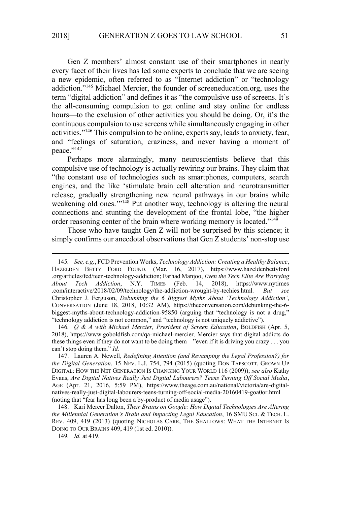Gen Z members' almost constant use of their smartphones in nearly every facet of their lives has led some experts to conclude that we are seeing a new epidemic, often referred to as "Internet addiction" or "technology addiction."<sup>145</sup> Michael Mercier, the founder of screeneducation.org, uses the term "digital addiction" and defines it as "the compulsive use of screens. It's the all-consuming compulsion to get online and stay online for endless hours—to the exclusion of other activities you should be doing. Or, it's the continuous compulsion to use screens while simultaneously engaging in other activities."<sup>146</sup> This compulsion to be online, experts say, leads to anxiety, fear, and "feelings of saturation, craziness, and never having a moment of peace."<sup>147</sup>

Perhaps more alarmingly, many neuroscientists believe that this compulsive use of technology is actually rewiring our brains. They claim that "the constant use of technologies such as smartphones, computers, search engines, and the like 'stimulate brain cell alteration and neurotransmitter release, gradually strengthening new neural pathways in our brains while weakening old ones."<sup>148</sup> Put another way, technology is altering the neural connections and stunting the development of the frontal lobe, "the higher order reasoning center of the brain where working memory is located."<sup>149</sup>

Those who have taught Gen Z will not be surprised by this science; it simply confirms our anecdotal observations that Gen Z students' non-stop use

<sup>145</sup>*. See, e.g.*, FCD Prevention Works, *Technology Addiction: Creating a Healthy Balance*, HAZELDEN BETTY FORD FOUND. (Mar. 16, 2017), https://www.hazeldenbettyford .org/articles/fcd/teen-technology-addiction; Farhad Manjoo, *Even the Tech Elite Are Worrying About Tech Addiction*, N.Y. TIMES (Feb. 14, 2018), https://www.nytimes .com/interactive/2018/02/09/technology/the-addiction-wrought-by-techies.html. *But see*  Christopher J. Ferguson, *Debunking the 6 Biggest Myths About 'Technology Addiction'*, CONVERSATION (June 18, 2018, 10:32 AM), https://theconversation.com/debunking-the-6 biggest-myths-about-technology-addiction-95850 (arguing that "technology is not a drug," "technology addiction is not common," and "technology is not uniquely addictive").

<sup>146</sup>*. Q & A with Michael Mercier, President of Screen Education*, BOLDFISH (Apr. 5, 2018), https://www.goboldfish.com/qa-michael-mercier. Mercier says that digital addicts do these things even if they do not want to be doing them—"even if it is driving you crazy . . . you can't stop doing them." *Id.* 

<sup>147.</sup> Lauren A. Newell, *Redefining Attention (and Revamping the Legal Profession?) for the Digital Generation*, 15 NEV. L.J. 754, 794 (2015) (quoting DON TAPSCOTT, GROWN UP DIGITAL: HOW THE NET GENERATION IS CHANGING YOUR WORLD 116 (2009)); *see also* Kathy Evans, *Are Digital Natives Really Just Digital Labourers? Teens Turning Off Social Media*, AGE (Apr. 21, 2016, 5:59 PM), https://www.theage.com.au/national/victoria/are-digitalnatives-really-just-digital-labourers-teens-turning-off-social-media-20160419-goa0or.html (noting that "fear has long been a by-product of media usage").

<sup>148.</sup> Kari Mercer Dalton, *Their Brains on Google: How Digital Technologies Are Altering the Millennial Generation's Brain and Impacting Legal Education*, 16 SMU SCI. & TECH. L. REV. 409, 419 (2013) (quoting NICHOLAS CARR, THE SHALLOWS: WHAT THE INTERNET IS DOING TO OUR BRAINS 409, 419 (1st ed. 2010)).

<sup>149</sup>*. Id.* at 419.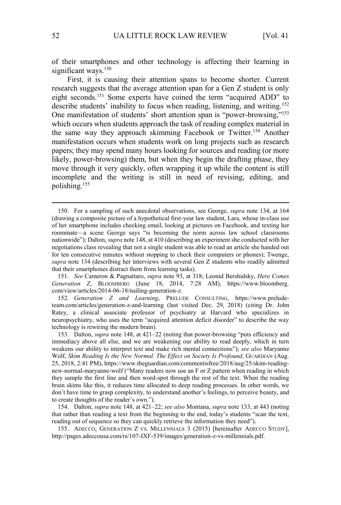of their smartphones and other technology is affecting their learning in significant ways.<sup>150</sup>

First, it is causing their attention spans to become shorter. Current research suggests that the average attention span for a Gen Z student is only eight seconds.<sup>151</sup> Some experts have coined the term "acquired ADD" to describe students' inability to focus when reading, listening, and writing.<sup>152</sup> One manifestation of students' short attention span is "power-browsing,"<sup>153</sup> which occurs when students approach the task of reading complex material in the same way they approach skimming Facebook or Twitter.<sup>154</sup> Another manifestation occurs when students work on long projects such as research papers; they may spend many hours looking for sources and reading (or more likely, power-browsing) them, but when they begin the drafting phase, they move through it very quickly, often wrapping it up while the content is still incomplete and the writing is still in need of revising, editing, and polishing.<sup>155</sup>

152*. Generation Z and Learning*, PRELUDE CONSULTING, https://www.preludeteam.com/articles/generation-z-and-learning (last visited Dec. 29, 2018) (citing Dr. John Ratey, a clinical associate professor of psychiatry at Harvard who specializes in neuropsychiatry, who uses the term "acquired attention deficit disorder" to describe the way technology is rewiring the modern brain).

153. Dalton, *supra* note 148, at 421–22 (noting that power-browsing "puts efficiency and immediacy above all else, and we are weakening our ability to read deeply, which in turn weakens our ability to interpret text and make rich mental connections"); *see also* Maryanne Wolf, *Skim Reading Is the New Normal. The Effect on Society Is Profound*, GUARDIAN (Aug. 25, 2018, 2:41 PM), https://www.theguardian.com/commentisfree/2018/aug/25/skim-readingnew-normal-maryanne-wolf ("Many readers now use an F or Z pattern when reading in which they sample the first line and then word-spot through the rest of the text. When the reading brain skims like this, it reduces time allocated to deep reading processes. In other words, we don't have time to grasp complexity, to understand another's feelings, to perceive beauty, and to create thoughts of the reader's own.").

154. Dalton, *supra* note 148, at 421–22; *see also* Montana, *supra* note 133, at 443 (noting that rather than reading a text from the beginning to the end, today's students "scan the text, reading out of sequence so they can quickly retrieve the information they need").

155. ADECCO, GENERATION Z VS. MILLENNIALS 3 (2015) [hereinafter ADECCO STUDY], http://pages.adeccousa.com/rs/107-IXF-539/images/generation-z-vs-millennials.pdf.

<sup>150.</sup> For a sampling of such anecdotal observations, see George, *supra* note 134, at 164 (drawing a composite picture of a hypothetical first-year law student, Lara, whose in-class use of her smartphone includes checking email, looking at pictures on Facebook, and texting her roommate—a scene George says "is becoming the norm across law school classrooms nationwide"); Dalton, *supra* note 148, at 410 (describing an experiment she conducted with her negotiations class revealing that not a single student was able to read an article she handed out for ten consecutive minutes without stopping to check their computers or phones); Twenge, *supra* note 134 (describing her interviews with several Gen Z students who readily admitted that their smartphones distract them from learning tasks).

<sup>151</sup>*. See* Cameron & Pagnattaro, *supra* note 93, at 318; Leonid Bershidsky, *Here Comes Generation Z*, BLOOMBERG (June 18, 2014, 7:28 AM), https://www.bloomberg. com/view/articles/2014-06-18/nailing-generation-z.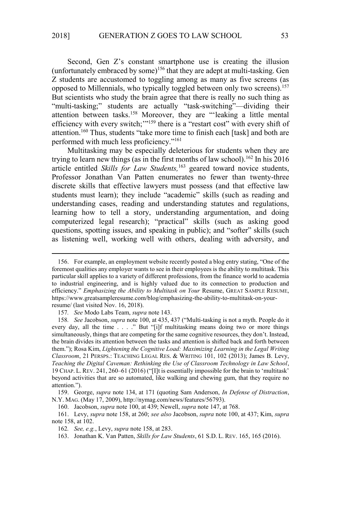Second, Gen Z's constant smartphone use is creating the illusion (unfortunately embraced by some)<sup>156</sup> that they are adept at multi-tasking. Gen Z students are accustomed to toggling among as many as five screens (as opposed to Millennials, who typically toggled between only two screens).<sup>157</sup> But scientists who study the brain agree that there is really no such thing as "multi-tasking;" students are actually "task-switching"—dividing their attention between tasks.<sup>158</sup> Moreover, they are "'leaking a little mental efficiency with every switch;"<sup>159</sup> there is a "restart cost" with every shift of attention.<sup>160</sup> Thus, students "take more time to finish each [task] and both are performed with much less proficiency."<sup>161</sup>

Multitasking may be especially deleterious for students when they are trying to learn new things (as in the first months of law school).<sup>162</sup> In his 2016 article entitled *Skills for Law Students,*<sup>163</sup> geared toward novice students, Professor Jonathan Van Patten enumerates no fewer than twenty-three discrete skills that effective lawyers must possess (and that effective law students must learn); they include "academic" skills (such as reading and understanding cases, reading and understanding statutes and regulations, learning how to tell a story, understanding argumentation, and doing computerized legal research); "practical" skills (such as asking good questions, spotting issues, and speaking in public); and "softer" skills (such as listening well, working well with others, dealing with adversity, and

157*. See* Modo Labs Team, *supra* note 143.

<sup>156.</sup> For example, an employment website recently posted a blog entry stating, "One of the foremost qualities any employer wants to see in their employees is the ability to multitask. This particular skill applies to a variety of different professions, from the finance world to academia to industrial engineering, and is highly valued due to its connection to production and efficiency." *Emphasizing the Ability to Multitask on Your* Resume, GREAT SAMPLE RESUME, https://www.greatsampleresume.com/blog/emphasizing-the-ability-to-multitask-on-yourresume/ (last visited Nov. 16, 2018).

<sup>158</sup>*. See* Jacobson, *supra* note 100, at 435, 437 ("Multi-tasking is not a myth. People do it every day, all the time . . . ." But "[i]f multitasking means doing two or more things simultaneously, things that are competing for the same cognitive resources, they don't. Instead, the brain divides its attention between the tasks and attention is shifted back and forth between them."); Rosa Kim, *Lightening the Cognitive Load: Maximizing Learning in the Legal Writing Classroom*, 21 PERSPS.: TEACHING LEGAL RES. & WRITING 101, 102 (2013); James B. Levy, *Teaching the Digital Caveman: Rethinking the Use of Classroom Technology in Law School*, 19 CHAP. L.REV. 241, 260–61 (2016) ("[I]t is essentially impossible for the brain to 'multitask' beyond activities that are so automated, like walking and chewing gum, that they require no attention.").

<sup>159.</sup> George, *supra* note 134, at 171 (quoting Sam Anderson, *In Defense of Distraction*, N.Y. MAG. (May 17, 2009), http://nymag.com/news/features/56793).

<sup>160.</sup> Jacobson, *supra* note 100, at 439; Newell, *supra* note 147, at 768.

<sup>161.</sup> Levy, *supra* note 158, at 260; *see also* Jacobson, *supra* note 100, at 437; Kim, *supra*  note 158, at 102.

<sup>162</sup>*. See, e.g.*, Levy, *supra* note 158, at 283.

<sup>163.</sup> Jonathan K. Van Patten, *Skills for Law Students*, 61 S.D. L. REV. 165, 165 (2016).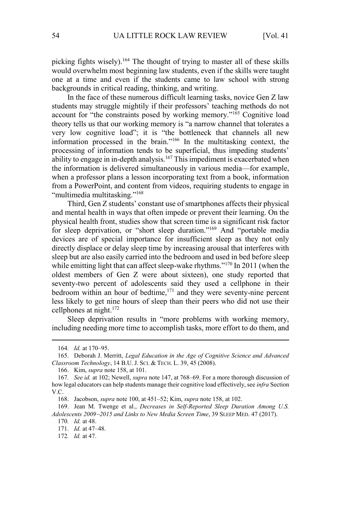picking fights wisely).<sup>164</sup> The thought of trying to master all of these skills would overwhelm most beginning law students, even if the skills were taught one at a time and even if the students came to law school with strong backgrounds in critical reading, thinking, and writing.

In the face of these numerous difficult learning tasks, novice Gen Z law students may struggle mightily if their professors' teaching methods do not account for "the constraints posed by working memory."<sup>165</sup> Cognitive load theory tells us that our working memory is "a narrow channel that tolerates a very low cognitive load"; it is "the bottleneck that channels all new information processed in the brain."<sup>166</sup> In the multitasking context, the processing of information tends to be superficial, thus impeding students' ability to engage in in-depth analysis.<sup>167</sup> This impediment is exacerbated when the information is delivered simultaneously in various media—for example, when a professor plans a lesson incorporating text from a book, information from a PowerPoint, and content from videos, requiring students to engage in "multimedia multitasking."<sup>168</sup>

Third, Gen Z students' constant use of smartphones affects their physical and mental health in ways that often impede or prevent their learning. On the physical health front, studies show that screen time is a significant risk factor for sleep deprivation, or "short sleep duration."<sup>169</sup> And "portable media devices are of special importance for insufficient sleep as they not only directly displace or delay sleep time by increasing arousal that interferes with sleep but are also easily carried into the bedroom and used in bed before sleep while emitting light that can affect sleep-wake rhythms."<sup>170</sup> In 2011 (when the oldest members of Gen Z were about sixteen), one study reported that seventy-two percent of adolescents said they used a cellphone in their bedroom within an hour of bedtime,<sup>171</sup> and they were seventy-nine percent less likely to get nine hours of sleep than their peers who did not use their cellphones at night.<sup>172</sup>

Sleep deprivation results in "more problems with working memory, including needing more time to accomplish tasks, more effort to do them, and

<sup>164</sup>*. Id.* at 170–95.

<sup>165.</sup> Deborah J. Merritt, *Legal Education in the Age of Cognitive Science and Advanced Classroom Technology*, 14 B.U.J. SCI. & TECH. L. 39, 45 (2008).

<sup>166.</sup> Kim, *supra* note 158, at 101.

<sup>167</sup>*. See id.* at 102; Newell, *supra* note 147, at 768–69. For a more thorough discussion of how legal educators can help students manage their cognitive load effectively, see *infra* Section V.C.

<sup>168.</sup> Jacobson, *supra* note 100, at 451–52; Kim, *supra* note 158, at 102.

<sup>169.</sup> Jean M. Twenge et al., *Decreases in Self-Reported Sleep Duration Among U.S. Adolescents 2009*−*2015 and Links to New Media Screen Time*, 39 SLEEP MED. 47 (2017).

<sup>170</sup>*. Id.* at 48.

<sup>171</sup>*. Id.* at 47–48.

<sup>172</sup>*. Id.* at 47.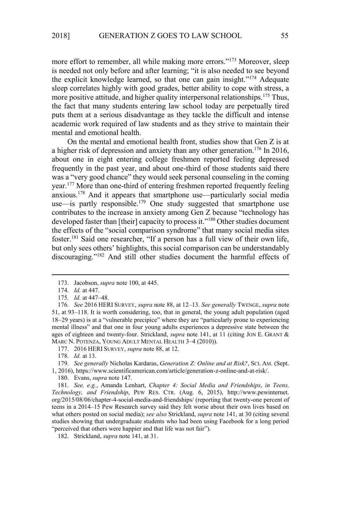more effort to remember, all while making more errors."<sup>173</sup> Moreover, sleep is needed not only before and after learning; "it is also needed to see beyond the explicit knowledge learned, so that one can gain insight."<sup>174</sup> Adequate sleep correlates highly with good grades, better ability to cope with stress, a more positive attitude, and higher quality interpersonal relationships.<sup>175</sup> Thus, the fact that many students entering law school today are perpetually tired puts them at a serious disadvantage as they tackle the difficult and intense academic work required of law students and as they strive to maintain their mental and emotional health.

On the mental and emotional health front, studies show that Gen Z is at a higher risk of depression and anxiety than any other generation.<sup>176</sup> In 2016, about one in eight entering college freshmen reported feeling depressed frequently in the past year, and about one-third of those students said there was a "very good chance" they would seek personal counseling in the coming year.<sup>177</sup> More than one-third of entering freshmen reported frequently feeling anxious.<sup>178</sup> And it appears that smartphone use—particularly social media use—is partly responsible.<sup>179</sup> One study suggested that smartphone use contributes to the increase in anxiety among Gen Z because "technology has developed faster than [their] capacity to process it."<sup>180</sup> Other studies document the effects of the "social comparison syndrome" that many social media sites foster.<sup>181</sup> Said one researcher, "If a person has a full view of their own life, but only sees others' highlights, this social comparison can be understandably discouraging."<sup>182</sup> And still other studies document the harmful effects of

<sup>173.</sup> Jacobson, *supra* note 100, at 445.

<sup>174</sup>*. Id.* at 447.

<sup>175</sup>*. Id.* at 447–48.

<sup>176</sup>*. See* 2016 HERI SURVEY, *supra* note 88, at 12–13. *See generally* TWENGE, *supra* note 51, at 93–118. It is worth considering, too, that in general, the young adult population (aged 18−29 years) is at a "vulnerable precipice" where they are "particularly prone to experiencing mental illness" and that one in four young adults experiences a depressive state between the ages of eighteen and twenty-four. Strickland, *supra* note 141, at 11 (citing JON E. GRANT & MARC N. POTENZA, YOUNG ADULT MENTAL HEALTH 3–4 (2010)).

<sup>177. 2016</sup> HERI SURVEY, *supra* note 88, at 12.

<sup>178</sup>*. Id.* at 13.

<sup>179</sup>*. See generally* Nicholas Kardaras, *Generation Z: Online and at Risk?*, SCI. AM. (Sept. 1, 2016), https://www.scientificamerican.com/article/generation-z-online-and-at-risk/.

<sup>180.</sup> Evans, *supra* note 147.

<sup>181</sup>*. See, e.g.*, Amanda Lenhart, *Chapter 4: Social Media and Friendships*, *in Teens, Technology, and Friendship*, PEW RES. CTR. (Aug. 6, 2015), http://www.pewinternet. org/2015/08/06/chapter-4-social-media-and-friendships/ (reporting that twenty-one percent of teens in a 2014–15 Pew Research survey said they felt worse about their own lives based on what others posted on social media); *see also* Strickland, *supra* note 141, at 30 (citing several studies showing that undergraduate students who had been using Facebook for a long period "perceived that others were happier and that life was not fair").

<sup>182.</sup> Strickland, *supra* note 141, at 31.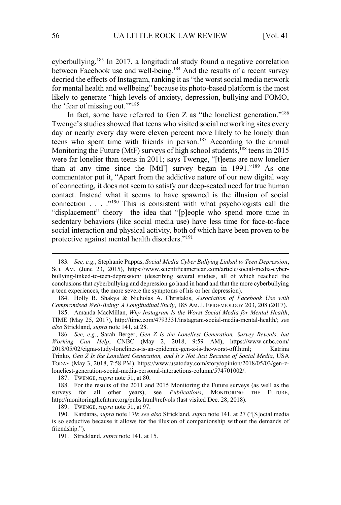cyberbullying.<sup>183</sup> In 2017, a longitudinal study found a negative correlation between Facebook use and well-being.<sup>184</sup> And the results of a recent survey decried the effects of Instagram, ranking it as "the worst social media network for mental health and wellbeing" because its photo-based platform is the most likely to generate "high levels of anxiety, depression, bullying and FOMO, the 'fear of missing out.'"<sup>185</sup>

In fact, some have referred to Gen Z as "the loneliest generation."<sup>186</sup> Twenge's studies showed that teens who visited social networking sites every day or nearly every day were eleven percent more likely to be lonely than teens who spent time with friends in person.<sup>187</sup> According to the annual Monitoring the Future (MtF) surveys of high school students,<sup>188</sup> teens in 2015 were far lonelier than teens in 2011; says Twenge, "[t]eens are now lonelier than at any time since the [MtF] survey began in 1991."<sup>189</sup> As one commentator put it, "Apart from the addictive nature of our new digital way of connecting, it does not seem to satisfy our deep-seated need for true human contact. Instead what it seems to have spawned is the illusion of social connection . . . ."<sup>190</sup> This is consistent with what psychologists call the "displacement" theory—the idea that "[p]eople who spend more time in sedentary behaviors (like social media use) have less time for face-to-face social interaction and physical activity, both of which have been proven to be protective against mental health disorders."<sup>191</sup>

187. TWENGE, *supra* note 51, at 80.

189. TWENGE, *supra* note 51, at 97.

191. Strickland, *supra* note 141, at 15.

<sup>183</sup>*. See, e.g.*, Stephanie Pappas, *Social Media Cyber Bullying Linked to Teen Depression*, SCI. AM. (June 23, 2015), https://www.scientificamerican.com/article/social-media-cyberbullying-linked-to-teen-depression/ (describing several studies, all of which reached the conclusions that cyberbullying and depression go hand in hand and that the more cyberbullying a teen experiences, the more severe the symptoms of his or her depression).

<sup>184.</sup> Holly B. Shakya & Nicholas A. Christakis, *Association of Facebook Use with Compromised Well-Being: A Longitudinal Study*, 185 AM. J. EPIDEMIOLOGY 203, 208 (2017).

<sup>185.</sup> Amanda MacMillan, *Why Instagram Is the Worst Social Media for Mental Health*, TIME (May 25, 2017), http://time.com/4793331/instagram-social-media-mental-health/; *see also* Strickland, *supra* note 141, at 28.

<sup>186</sup>*. See, e.g.*, Sarah Berger, *Gen Z Is the Loneliest Generation, Survey Reveals, but Working Can Help*, CNBC (May 2, 2018, 9:59 AM), https://www.cnbc.com/ 2018/05/02/cigna-study-loneliness-is-an-epidemic-gen-z-is-the-worst-off.html; Katrina Trinko, *Gen Z Is the Loneliest Generation, and It's Not Just Because of Social Media*, USA TODAY (May 3, 2018, 7:58 PM), https://www.usatoday.com/story/opinion/2018/05/03/gen-zloneliest-generation-social-media-personal-interactions-column/574701002/.

<sup>188.</sup> For the results of the 2011 and 2015 Monitoring the Future surveys (as well as the surveys for all other years), see *Publications*, MONITORING THE FUTURE, http://monitoringthefuture.org/pubs.html#refvols (last visited Dec. 28, 2018).

<sup>190.</sup> Kardaras, *supra* note 179; *see also* Strickland, *supra* note 141, at 27 ("[S]ocial media is so seductive because it allows for the illusion of companionship without the demands of friendship.").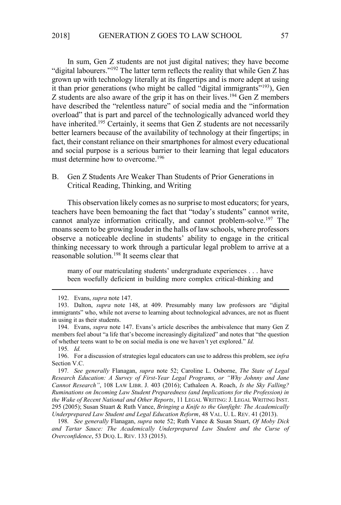In sum, Gen Z students are not just digital natives; they have become "digital labourers."<sup>192</sup> The latter term reflects the reality that while Gen Z has grown up with technology literally at its fingertips and is more adept at using it than prior generations (who might be called "digital immigrants"<sup>193</sup>), Gen Z students are also aware of the grip it has on their lives.<sup>194</sup> Gen Z members have described the "relentless nature" of social media and the "information overload" that is part and parcel of the technologically advanced world they have inherited.<sup>195</sup> Certainly, it seems that Gen Z students are not necessarily better learners because of the availability of technology at their fingertips; in fact, their constant reliance on their smartphones for almost every educational and social purpose is a serious barrier to their learning that legal educators must determine how to overcome.<sup>196</sup>

B. Gen Z Students Are Weaker Than Students of Prior Generations in Critical Reading, Thinking, and Writing

This observation likely comes as no surprise to most educators; for years, teachers have been bemoaning the fact that "today's students" cannot write, cannot analyze information critically, and cannot problem-solve.<sup>197</sup> The moans seem to be growing louder in the halls of law schools, where professors observe a noticeable decline in students' ability to engage in the critical thinking necessary to work through a particular legal problem to arrive at a reasonable solution.<sup>198</sup> It seems clear that

many of our matriculating students' undergraduate experiences . . . have been woefully deficient in building more complex critical-thinking and

<sup>192.</sup> Evans, *supra* note 147.

<sup>193.</sup> Dalton, *supra* note 148, at 409. Presumably many law professors are "digital immigrants" who, while not averse to learning about technological advances, are not as fluent in using it as their students.

<sup>194.</sup> Evans, *supra* note 147. Evans's article describes the ambivalence that many Gen Z members feel about "a life that's become increasingly digitalized" and notes that "the question of whether teens want to be on social media is one we haven't yet explored." *Id.*

<sup>195</sup>*. Id.*

<sup>196.</sup> For a discussion of strategies legal educators can use to address this problem, see *infra*  Section V.C.

<sup>197</sup>*. See generally* Flanagan, *supra* note 52; Caroline L. Osborne, *The State of Legal Research Education: A Survey of First-Year Legal Programs, or "Why Johnny and Jane Cannot Research"*, 108 LAW LIBR. J. 403 (2016); Cathaleen A. Roach, *Is the Sky Falling? Ruminations on Incoming Law Student Preparedness (and Implications for the Profession) in the Wake of Recent National and Other Reports*, 11 LEGAL WRITING: J. LEGAL WRITING INST. 295 (2005); Susan Stuart & Ruth Vance, *Bringing a Knife to the Gunfight: The Academically Underprepared Law Student and Legal Education Reform*, 48 VAL. U. L. REV. 41 (2013).

<sup>198</sup>*. See generally* Flanagan, *supra* note 52; Ruth Vance & Susan Stuart, *Of Moby Dick and Tartar Sauce: The Academically Underprepared Law Student and the Curse of Overconfidence*, 53 DUQ. L. REV. 133 (2015).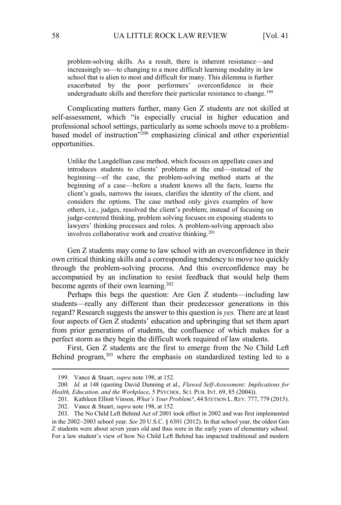problem-solving skills. As a result, there is inherent resistance—and increasingly so—to changing to a more difficult learning modality in law school that is alien to most and difficult for many. This dilemma is further exacerbated by the poor performers' overconfidence in their undergraduate skills and therefore their particular resistance to change.<sup>199</sup>

Complicating matters further, many Gen Z students are not skilled at self-assessment, which "is especially crucial in higher education and professional school settings, particularly as some schools move to a problembased model of instruction"<sup>200</sup> emphasizing clinical and other experiential opportunities.

Unlike the Langdellian case method, which focuses on appellate cases and introduces students to clients' problems at the end—instead of the beginning—of the case, the problem-solving method starts at the beginning of a case—before a student knows all the facts, learns the client's goals, narrows the issues, clarifies the identity of the client, and considers the options. The case method only gives examples of how others, i.e., judges, resolved the client's problem; instead of focusing on judge-centered thinking, problem solving focuses on exposing students to lawyers' thinking processes and roles. A problem-solving approach also involves collaborative work and creative thinking.<sup>201</sup>

Gen Z students may come to law school with an overconfidence in their own critical thinking skills and a corresponding tendency to move too quickly through the problem-solving process. And this overconfidence may be accompanied by an inclination to resist feedback that would help them become agents of their own learning.<sup>202</sup>

Perhaps this begs the question: Are Gen Z students—including law students—really any different than their predecessor generations in this regard? Research suggests the answer to this question is *yes.* There are at least four aspects of Gen Z students' education and upbringing that set them apart from prior generations of students, the confluence of which makes for a perfect storm as they begin the difficult work required of law students.

First, Gen Z students are the first to emerge from the No Child Left Behind program, $203$  where the emphasis on standardized testing led to a

<sup>199.</sup> Vance & Stuart, *supra* note 198, at 152.

<sup>200</sup>*. Id.* at 148 (quoting David Dunning et al., *Flawed Self-Assessment: Implications for Health, Education, and the Workplace*, 5 PSYCHOL. SCI. PUB. INT. 69, 85 (2004)).

<sup>201.</sup> Kathleen Elliott Vinson, *What's Your Problem?*, 44 STETSON L.REV. 777, 779 (2015).

<sup>202.</sup> Vance & Stuart, *supra* note 198, at 152.

<sup>203.</sup> The No Child Left Behind Act of 2001 took effect in 2002 and was first implemented in the 2002−2003 school year. *See* 20 U.S.C. § 6301 (2012). In that school year, the oldest Gen Z students were about seven years old and thus were in the early years of elementary school. For a law student's view of how No Child Left Behind has impacted traditional and modern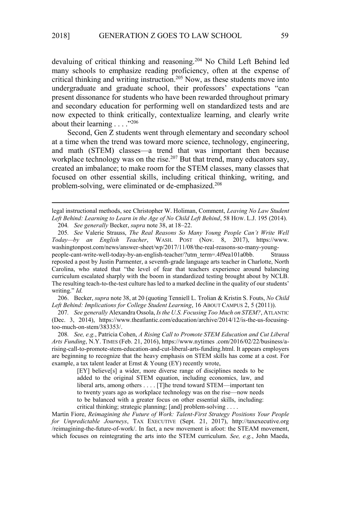devaluing of critical thinking and reasoning.<sup>204</sup> No Child Left Behind led many schools to emphasize reading proficiency, often at the expense of critical thinking and writing instruction.<sup>205</sup> Now, as these students move into undergraduate and graduate school, their professors' expectations "can present dissonance for students who have been rewarded throughout primary and secondary education for performing well on standardized tests and are now expected to think critically, contextualize learning, and clearly write about their learning . . . . "<sup>206</sup>

Second, Gen Z students went through elementary and secondary school at a time when the trend was toward more science, technology, engineering, and math (STEM) classes—a trend that was important then because workplace technology was on the rise.<sup>207</sup> But that trend, many educators say, created an imbalance; to make room for the STEM classes, many classes that focused on other essential skills, including critical thinking, writing, and problem-solving, were eliminated or de-emphasized.<sup>208</sup>

legal instructional methods, see Christopher W. Holiman, Comment, *Leaving No Law Student Left Behind: Learning to Learn in the Age of No Child Left Behind*, 58 HOW. L.J. 195 (2014). 204*. See generally* Becker, *supra* note 38, at 18–22.

205*. See* Valerie Strauss, *The Real Reasons So Many Young People Can't Write Well Today—by an English Teacher*, WASH. POST (Nov. 8, 2017), https://www. washingtonpost.com/news/answer-sheet/wp/2017/11/08/the-real-reasons-so-many-youngpeople-cant-write-well-today-by-an-english-teacher/?utm\_term=.4f9ea101a0bb. Strauss reposted a post by Justin Parmenter, a seventh-grade language arts teacher in Charlotte, North Carolina, who stated that "the level of fear that teachers experience around balancing curriculum escalated sharply with the boom in standardized testing brought about by NCLB. The resulting teach-to-the-test culture has led to a marked decline in the quality of our students' writing." *Id.*

206. Becker, *supra* note 38, at 20 (quoting Tenniell L. Trolian & Kristin S. Fouts, *No Child Left Behind: Implications for College Student Learning*, 16 ABOUT CAMPUS 2, 5 (2011)).

207*. See generally* Alexandra Ossola, *Is the U.S. Focusing Too Much on STEM?*, ATLANTIC (Dec. 3, 2014), https://www.theatlantic.com/education/archive/2014/12/is-the-us-focusingtoo-much-on-stem/383353/.

208*. See, e.g.*, Patricia Cohen, *A Rising Call to Promote STEM Education and Cut Liberal Arts Funding*, N.Y. TIMES (Feb. 21, 2016), https://www.nytimes .com/2016/02/22/business/arising-call-to-promote-stem-education-and-cut-liberal-arts-funding.html. It appears employers are beginning to recognize that the heavy emphasis on STEM skills has come at a cost. For example, a tax talent leader at Ernst & Young (EY) recently wrote,

> [EY] believe[s] a wider, more diverse range of disciplines needs to be added to the original STEM equation, including economics, law, and liberal arts, among others . . . . [T]he trend toward STEM—important ten to twenty years ago as workplace technology was on the rise—now needs to be balanced with a greater focus on other essential skills, including: critical thinking; strategic planning; [and] problem-solving . . . .

Martin Fiore, *Reimagining the Future of Work: Talent-First Strategy Positions Your People for Unpredictable Journeys*, TAX EXECUTIVE (Sept. 21, 2017), http://taxexecutive.org /reimagining-the-future-of-work/. In fact, a new movement is afoot: the STEAM movement, which focuses on reintegrating the arts into the STEM curriculum. *See, e.g.*, John Maeda,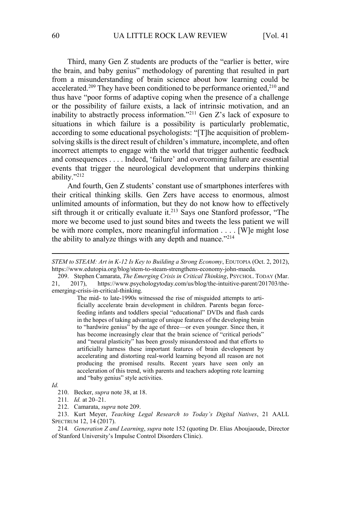Third, many Gen Z students are products of the "earlier is better, wire the brain, and baby genius" methodology of parenting that resulted in part from a misunderstanding of brain science about how learning could be accelerated.<sup>209</sup> They have been conditioned to be performance oriented,<sup>210</sup> and thus have "poor forms of adaptive coping when the presence of a challenge or the possibility of failure exists, a lack of intrinsic motivation, and an inability to abstractly process information."<sup>211</sup> Gen Z's lack of exposure to situations in which failure is a possibility is particularly problematic, according to some educational psychologists: "[T]he acquisition of problemsolving skills is the direct result of children's immature, incomplete, and often incorrect attempts to engage with the world that trigger authentic feedback and consequences . . . . Indeed, 'failure' and overcoming failure are essential events that trigger the neurological development that underpins thinking ability."<sup>212</sup>

And fourth, Gen Z students' constant use of smartphones interferes with their critical thinking skills. Gen Zers have access to enormous, almost unlimited amounts of information, but they do not know how to effectively sift through it or critically evaluate it.<sup>213</sup> Says one Stanford professor, "The more we become used to just sound bites and tweets the less patient we will be with more complex, more meaningful information . . . . [W]e might lose the ability to analyze things with any depth and nuance."<sup>214</sup>

The mid- to late-1990s witnessed the rise of misguided attempts to artificially accelerate brain development in children. Parents began forcefeeding infants and toddlers special "educational" DVDs and flash cards in the hopes of taking advantage of unique features of the developing brain to "hardwire genius" by the age of three—or even younger. Since then, it has become increasingly clear that the brain science of "critical periods" and "neural plasticity" has been grossly misunderstood and that efforts to artificially harness these important features of brain development by accelerating and distorting real-world learning beyond all reason are not producing the promised results. Recent years have seen only an acceleration of this trend, with parents and teachers adopting rote learning and "baby genius" style activities.

213. Kurt Meyer, *Teaching Legal Research to Today's Digital Natives*, 21 AALL SPECTRUM 12, 14 (2017).

214*. Generation Z and Learning*, *supra* note 152 (quoting Dr. Elias Aboujaoude, Director of Stanford University's Impulse Control Disorders Clinic).

*STEM to STEAM: Art in K-12 Is Key to Building a Strong Economy*, EDUTOPIA (Oct. 2, 2012), https://www.edutopia.org/blog/stem-to-steam-strengthens-economy-john-maeda*.*

<sup>209.</sup> Stephen Camarata, *The Emerging Crisis in Critical Thinking*, PSYCHOL. TODAY (Mar. 21, 2017), https://www.psychologytoday.com/us/blog/the-intuitive-parent/201703/theemerging-crisis-in-critical-thinking.

*Id.* 

<sup>210.</sup> Becker, *supra* note 38, at 18.

<sup>211</sup>*. Id.* at 20–21.

<sup>212.</sup> Camarata, *supra* note 209.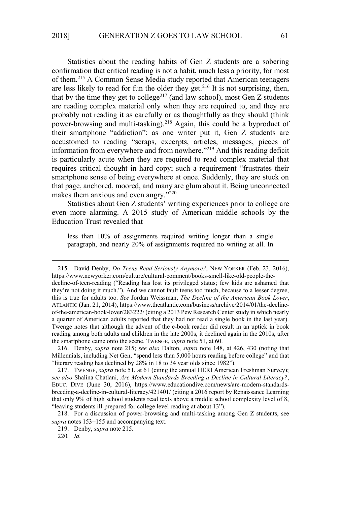Statistics about the reading habits of Gen Z students are a sobering confirmation that critical reading is not a habit, much less a priority, for most of them.<sup>215</sup> A Common Sense Media study reported that American teenagers are less likely to read for fun the older they get.<sup>216</sup> It is not surprising, then, that by the time they get to college<sup>217</sup> (and law school), most Gen Z students are reading complex material only when they are required to, and they are probably not reading it as carefully or as thoughtfully as they should (think power-browsing and multi-tasking).<sup>218</sup> Again, this could be a byproduct of their smartphone "addiction"; as one writer put it, Gen Z students are accustomed to reading "scraps, excerpts, articles, messages, pieces of information from everywhere and from nowhere."<sup>219</sup> And this reading deficit is particularly acute when they are required to read complex material that requires critical thought in hard copy; such a requirement "frustrates their smartphone sense of being everywhere at once. Suddenly, they are stuck on that page, anchored, moored, and many are glum about it. Being unconnected makes them anxious and even angry."<sup>220</sup>

Statistics about Gen Z students' writing experiences prior to college are even more alarming. A 2015 study of American middle schools by the Education Trust revealed that

less than 10% of assignments required writing longer than a single paragraph, and nearly 20% of assignments required no writing at all. In

<sup>215.</sup> David Denby, *Do Teens Read Seriously Anymore?*, NEW YORKER (Feb. 23, 2016), https://www.newyorker.com/culture/cultural-comment/books-smell-like-old-people-thedecline-of-teen-reading ("Reading has lost its privileged status; few kids are ashamed that they're not doing it much."). And we cannot fault teens too much, because to a lesser degree, this is true for adults too. *See* Jordan Weissman, *The Decline of the American Book Lover*, ATLANTIC (Jan. 21, 2014), https://www.theatlantic.com/business/archive/2014/01/the-declineof-the-american-book-lover/283222/ (citing a 2013 Pew Research Center study in which nearly a quarter of American adults reported that they had not read a single book in the last year). Twenge notes that although the advent of the e-book reader did result in an uptick in book reading among both adults and children in the late 2000s, it declined again in the 2010s, after the smartphone came onto the scene. TWENGE, *supra* note 51, at 60.

<sup>216.</sup> Denby, *supra* note 215; *see also* Dalton, *supra* note 148, at 426, 430 (noting that Millennials, including Net Gen, "spend less than 5,000 hours reading before college" and that "literary reading has declined by 28% in 18 to 34 year olds since 1982").

<sup>217.</sup> TWENGE, *supra* note 51, at 61 (citing the annual HERI American Freshman Survey); *see also* Shalina Chatlani, *Are Modern Standards Breeding a Decline in Cultural Literacy?*, EDUC. DIVE (June 30, 2016), https://www.educationdive.com/news/are-modern-standardsbreeding-a-decline-in-cultural-literacy/421401/ (citing a 2016 report by Renaissance Learning that only 9% of high school students read texts above a middle school complexity level of 8, "leaving students ill-prepared for college level reading at about 13").

<sup>218.</sup> For a discussion of power-browsing and multi-tasking among Gen Z students, see *supra* notes 153−155 and accompanying text.

<sup>219.</sup> Denby, *supra* note 215.

<sup>220</sup>*. Id.*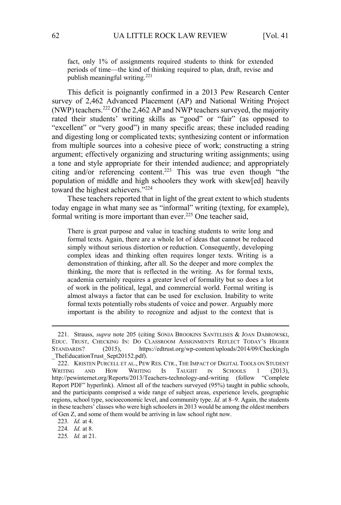fact, only 1% of assignments required students to think for extended periods of time—the kind of thinking required to plan, draft, revise and publish meaningful writing.<sup>221</sup>

This deficit is poignantly confirmed in a 2013 Pew Research Center survey of 2,462 Advanced Placement (AP) and National Writing Project (NWP) teachers.<sup>222</sup> Of the 2,462 AP and NWP teachers surveyed, the majority rated their students' writing skills as "good" or "fair" (as opposed to "excellent" or "very good") in many specific areas; these included reading and digesting long or complicated texts; synthesizing content or information from multiple sources into a cohesive piece of work; constructing a string argument; effectively organizing and structuring writing assignments; using a tone and style appropriate for their intended audience; and appropriately citing and/or referencing content.<sup>223</sup> This was true even though "the population of middle and high schoolers they work with skew[ed] heavily toward the highest achievers."<sup>224</sup>

These teachers reported that in light of the great extent to which students today engage in what many see as "informal" writing (texting, for example), formal writing is more important than ever.<sup>225</sup> One teacher said,

There is great purpose and value in teaching students to write long and formal texts. Again, there are a whole lot of ideas that cannot be reduced simply without serious distortion or reduction. Consequently, developing complex ideas and thinking often requires longer texts. Writing is a demonstration of thinking, after all. So the deeper and more complex the thinking, the more that is reflected in the writing. As for formal texts, academia certainly requires a greater level of formality but so does a lot of work in the political, legal, and commercial world. Formal writing is almost always a factor that can be used for exclusion. Inability to write formal texts potentially robs students of voice and power. Arguably more important is the ability to recognize and adjust to the context that is

224*. Id.* at 8.

<sup>221.</sup> Strauss, *supra* note 205 (citing SONJA BROOKINS SANTELISES & JOAN DABROWSKI, EDUC. TRUST, CHECKING IN: DO CLASSROOM ASSIGNMENTS REFLECT TODAY'S HIGHER STANDARDS? (2015), https://edtrust.org/wp-content/uploads/2014/09/CheckingIn \_TheEducationTrust\_Sept20152.pdf).

<sup>222.</sup> KRISTEN PURCELL ET AL., PEW RES. CTR., THE IMPACT OF DIGITAL TOOLS ON STUDENT WRITING AND HOW WRITING IS TAUGHT IN SCHOOLS 1 (2013), http://pewinternet.org/Reports/2013/Teachers-technology-and-writing (follow "Complete Report PDF" hyperlink). Almost all of the teachers surveyed (95%) taught in public schools, and the participants comprised a wide range of subject areas, experience levels, geographic regions, school type, socioeconomic level, and community type. *Id.* at 8–9. Again, the students in these teachers' classes who were high schoolers in 2013 would be among the oldest members of Gen Z, and some of them would be arriving in law school right now.

<sup>223</sup>*. Id.* at 4.

<sup>225</sup>*. Id.* at 21.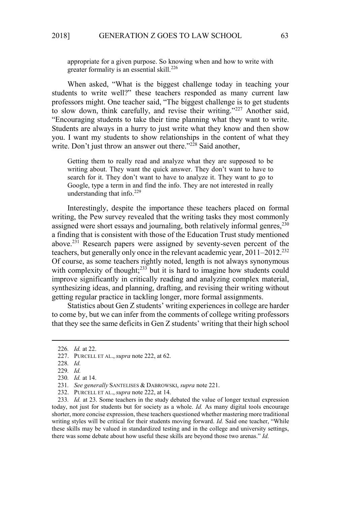appropriate for a given purpose. So knowing when and how to write with greater formality is an essential skill.<sup>226</sup>

When asked, "What is the biggest challenge today in teaching your students to write well?" these teachers responded as many current law professors might. One teacher said, "The biggest challenge is to get students to slow down, think carefully, and revise their writing."<sup>227</sup> Another said, "Encouraging students to take their time planning what they want to write. Students are always in a hurry to just write what they know and then show you. I want my students to show relationships in the content of what they write. Don't just throw an answer out there."<sup>228</sup> Said another,

Getting them to really read and analyze what they are supposed to be writing about. They want the quick answer. They don't want to have to search for it. They don't want to have to analyze it. They want to go to Google, type a term in and find the info. They are not interested in really understanding that info.<sup>229</sup>

Interestingly, despite the importance these teachers placed on formal writing, the Pew survey revealed that the writing tasks they most commonly assigned were short essays and journaling, both relatively informal genres,  $230$ a finding that is consistent with those of the Education Trust study mentioned above.<sup>231</sup> Research papers were assigned by seventy-seven percent of the teachers, but generally only once in the relevant academic year, 2011–2012.<sup>232</sup> Of course, as some teachers rightly noted, length is not always synonymous with complexity of thought; $233$  but it is hard to imagine how students could improve significantly in critically reading and analyzing complex material, synthesizing ideas, and planning, drafting, and revising their writing without getting regular practice in tackling longer, more formal assignments.

Statistics about Gen Z students' writing experiences in college are harder to come by, but we can infer from the comments of college writing professors that they see the same deficits in Gen Z students' writing that their high school

233*. Id.* at 23. Some teachers in the study debated the value of longer textual expression today, not just for students but for society as a whole. *Id.* As many digital tools encourage shorter, more concise expression, these teachers questioned whether mastering more traditional writing styles will be critical for their students moving forward. *Id.* Said one teacher, "While these skills may be valued in standardized testing and in the college and university settings, there was some debate about how useful these skills are beyond those two arenas." *Id.*

<sup>226</sup>*. Id.* at 22.

<sup>227.</sup> PURCELL ET AL., *supra* note 222, at 62.

<sup>228</sup>*. Id.* 

<sup>229</sup>*. Id.* 

<sup>230</sup>*. Id.* at 14.

<sup>231</sup>*. See generally* SANTELISES & DABROWSKI, *supra* note 221.

<sup>232.</sup> PURCELL ET AL., *supra* note 222, at 14.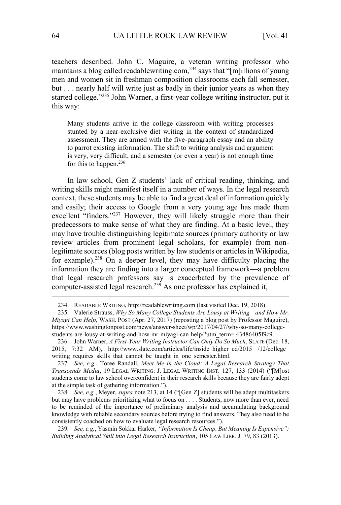teachers described. John C. Maguire, a veteran writing professor who maintains a blog called readablewriting.com,<sup>234</sup> says that "[m]illions of young men and women sit in freshman composition classrooms each fall semester, but . . . nearly half will write just as badly in their junior years as when they started college."<sup>235</sup> John Warner, a first-year college writing instructor, put it this way:

Many students arrive in the college classroom with writing processes stunted by a near-exclusive diet writing in the context of standardized assessment. They are armed with the five-paragraph essay and an ability to parrot existing information. The shift to writing analysis and argument is very, very difficult, and a semester (or even a year) is not enough time for this to happen.<sup>236</sup>

In law school, Gen Z students' lack of critical reading, thinking, and writing skills might manifest itself in a number of ways. In the legal research context, these students may be able to find a great deal of information quickly and easily; their access to Google from a very young age has made them excellent "finders."<sup>237</sup> However, they will likely struggle more than their predecessors to make sense of what they are finding. At a basic level, they may have trouble distinguishing legitimate sources (primary authority or law review articles from prominent legal scholars, for example) from nonlegitimate sources (blog posts written by law students or articles in Wikipedia, for example).<sup>238</sup> On a deeper level, they may have difficulty placing the information they are finding into a larger conceptual framework—a problem that legal research professors say is exacerbated by the prevalence of computer-assisted legal research.<sup>239</sup> As one professor has explained it,

238*. See, e.g.*, Meyer, *supra* note 213, at 14 ("[Gen Z] students will be adept multitaskers but may have problems prioritizing what to focus on . . . . Students, now more than ever, need to be reminded of the importance of preliminary analysis and accumulating background knowledge with reliable secondary sources before trying to find answers. They also need to be consistently coached on how to evaluate legal research resources.").

<sup>234.</sup> READABLE WRITING, http://readablewriting.com (last visited Dec. 19, 2018).

<sup>235.</sup> Valerie Strauss, *Why So Many College Students Are Lousy at Writing—and How Mr. Miyagi Can Help*, WASH. POST (Apr. 27, 2017) (reposting a blog post by Professor Maguire), https://www.washingtonpost.com/news/answer-sheet/wp/2017/04/27/why-so-many-collegestudents-are-lousy-at-writing-and-how-mr-miyagi-can-help/?utm\_term=.43486405f9c9.

<sup>236.</sup> John Warner, *A First-Year Writing Instructor Can Only Do So Much*, SLATE (Dec. 18, 2015, 7:32 AM), http://www.slate.com/articles/life/inside\_higher\_ed/2015 /12/college\_ writing requires skills that cannot be taught in one semester.html.

<sup>237</sup>*. See, e.g.*, Toree Randall, *Meet Me in the Cloud: A Legal Research Strategy That Transcends Media*, 19 LEGAL WRITING: J. LEGAL WRITING INST. 127, 133 (2014) ("[M]ost students come to law school overconfident in their research skills because they are fairly adept at the simple task of gathering information.").

<sup>239</sup>*. See, e.g.*, Yasmin Sokkar Harker, *"Information Is Cheap, But Meaning Is Expensive": Building Analytical Skill into Legal Research Instruction*, 105 LAW LIBR. J. 79, 83 (2013).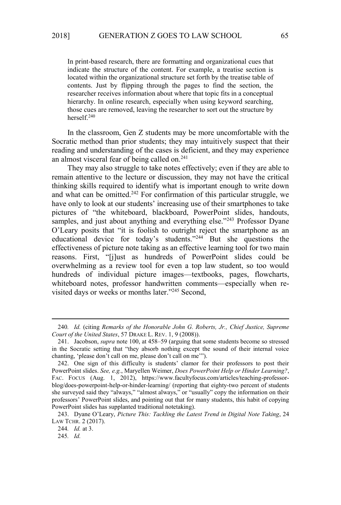In print-based research, there are formatting and organizational cues that indicate the structure of the content. For example, a treatise section is located within the organizational structure set forth by the treatise table of contents. Just by flipping through the pages to find the section, the researcher receives information about where that topic fits in a conceptual hierarchy. In online research, especially when using keyword searching, those cues are removed, leaving the researcher to sort out the structure by herself.<sup>240</sup>

In the classroom, Gen Z students may be more uncomfortable with the Socratic method than prior students; they may intuitively suspect that their reading and understanding of the cases is deficient, and they may experience an almost visceral fear of being called on. $241$ 

They may also struggle to take notes effectively; even if they are able to remain attentive to the lecture or discussion, they may not have the critical thinking skills required to identify what is important enough to write down and what can be omitted.<sup>242</sup> For confirmation of this particular struggle, we have only to look at our students' increasing use of their smartphones to take pictures of "the whiteboard, blackboard, PowerPoint slides, handouts, samples, and just about anything and everything else."<sup>243</sup> Professor Dyane O'Leary posits that "it is foolish to outright reject the smartphone as an educational device for today's students."<sup>244</sup> But she questions the effectiveness of picture note taking as an effective learning tool for two main reasons. First, "[j]ust as hundreds of PowerPoint slides could be overwhelming as a review tool for even a top law student, so too would hundreds of individual picture images—textbooks, pages, flowcharts, whiteboard notes, professor handwritten comments—especially when revisited days or weeks or months later."<sup>245</sup> Second,

244*. Id.* at 3.

<sup>240</sup>*. Id.* (citing *Remarks of the Honorable John G. Roberts, Jr., Chief Justice, Supreme Court of the United States*, 57 DRAKE L. REV. 1, 9 (2008)).

<sup>241.</sup> Jacobson, *supra* note 100, at 458–59 (arguing that some students become so stressed in the Socratic setting that "they absorb nothing except the sound of their internal voice chanting, 'please don't call on me, please don't call on me'").

<sup>242.</sup> One sign of this difficulty is students' clamor for their professors to post their PowerPoint slides. *See, e.g.*, Maryellen Weimer, *Does PowerPoint Help or Hinder Learning?*, FAC. FOCUS (Aug. 1, 2012), https://www.facultyfocus.com/articles/teaching-professorblog/does-powerpoint-help-or-hinder-learning/ (reporting that eighty-two percent of students she surveyed said they "always," "almost always," or "usually" copy the information on their professors' PowerPoint slides, and pointing out that for many students, this habit of copying PowerPoint slides has supplanted traditional notetaking).

<sup>243.</sup> Dyane O'Leary, *Picture This: Tackling the Latest Trend in Digital Note Taking*, 24 LAW TCHR. 2 (2017).

<sup>245</sup>*. Id.*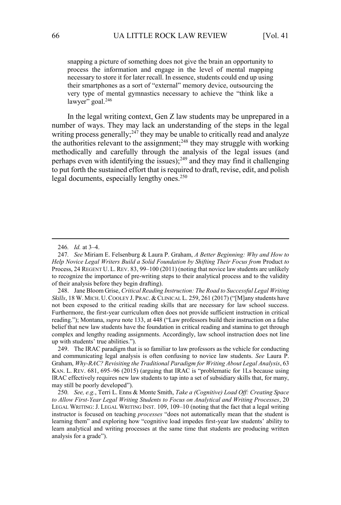snapping a picture of something does not give the brain an opportunity to process the information and engage in the level of mental mapping necessary to store it for later recall. In essence, students could end up using their smartphones as a sort of "external" memory device, outsourcing the very type of mental gymnastics necessary to achieve the "think like a lawyer" goal.<sup>246</sup>

In the legal writing context, Gen Z law students may be unprepared in a number of ways. They may lack an understanding of the steps in the legal writing process generally;<sup>247</sup> they may be unable to critically read and analyze the authorities relevant to the assignment;<sup>248</sup> they may struggle with working methodically and carefully through the analysis of the legal issues (and perhaps even with identifying the issues);<sup>249</sup> and they may find it challenging to put forth the sustained effort that is required to draft, revise, edit, and polish legal documents, especially lengthy ones.<sup>250</sup>

248. Jane Bloom Grise, *Critical Reading Instruction: The Road to Successful Legal Writing Skills*, 18 W. MICH. U. COOLEY J. PRAC. & CLINICAL L. 259, 261 (2017) ("[M]any students have not been exposed to the critical reading skills that are necessary for law school success. Furthermore, the first-year curriculum often does not provide sufficient instruction in critical reading."); Montana, *supra* note 133, at 448 ("Law professors build their instruction on a false belief that new law students have the foundation in critical reading and stamina to get through complex and lengthy reading assignments. Accordingly, law school instruction does not line up with students' true abilities.").

249. The IRAC paradigm that is so familiar to law professors as the vehicle for conducting and communicating legal analysis is often confusing to novice law students. *See* Laura P. Graham, *Why-RAC? Revisiting the Traditional Paradigm for Writing About Legal Analysis*, 63 KAN. L. REV. 681, 695–96 (2015) (arguing that IRAC is "problematic for 1Ls because using IRAC effectively requires new law students to tap into a set of subsidiary skills that, for many, may still be poorly developed").

250*. See, e.g.*, Terri L. Enns & Monte Smith, *Take a (Cognitive) Load Off: Creating Space to Allow First-Year Legal Writing Students to Focus on Analytical and Writing Processes*, 20 LEGAL WRITING: J. LEGAL WRITING INST. 109, 109–10 (noting that the fact that a legal writing instructor is focused on teaching *processes* "does not automatically mean that the student is learning them" and exploring how "cognitive load impedes first-year law students' ability to learn analytical and writing processes at the same time that students are producing written analysis for a grade").

<sup>246</sup>*. Id.* at 3–4.

<sup>247</sup>*. See* Miriam E. Felsenburg & Laura P. Graham, *A Better Beginning: Why and How to Help Novice Legal Writers Build a Solid Foundation by Shifting Their Focus from* Product *to*  Process, 24 REGENT U. L. REV. 83, 99–100 (2011) (noting that novice law students are unlikely to recognize the importance of pre-writing steps to their analytical process and to the validity of their analysis before they begin drafting).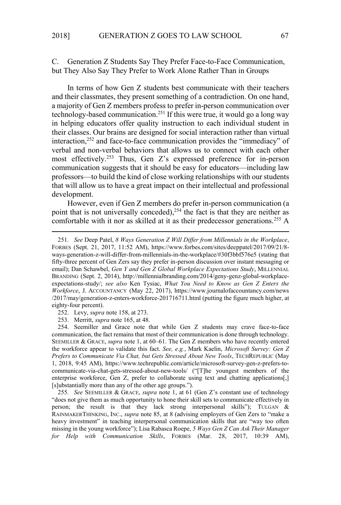# C. Generation Z Students Say They Prefer Face-to-Face Communication, but They Also Say They Prefer to Work Alone Rather Than in Groups

In terms of how Gen Z students best communicate with their teachers and their classmates, they present something of a contradiction. On one hand, a majority of Gen Z members profess to prefer in-person communication over technology-based communication.<sup>251</sup> If this were true, it would go a long way in helping educators offer quality instruction to each individual student in their classes. Our brains are designed for social interaction rather than virtual interaction,<sup>252</sup> and face-to-face communication provides the "immediacy" of verbal and non-verbal behaviors that allows us to connect with each other most effectively.<sup>253</sup> Thus, Gen Z's expressed preference for in-person communication suggests that it should be easy for educators—including law professors—to build the kind of close working relationships with our students that will allow us to have a great impact on their intellectual and professional development.

However, even if Gen Z members do prefer in-person communication (a point that is not universally conceded),  $254$  the fact is that they are neither as comfortable with it nor as skilled at it as their predecessor generations.<sup>255</sup> A

<sup>251</sup>*. See* Deep Patel, *8 Ways Generation Z Will Differ from Millennials in the Workplace*, FORBES (Sept. 21, 2017, 11:52 AM), https://www.forbes.com/sites/deeppatel/2017/09/21/8 ways-generation-z-will-differ-from-millennials-in-the-workplace/#30f3bbf576e5 (stating that fifty-three percent of Gen Zers say they prefer in-person discussion over instant messaging or email); Dan Schawbel, *Gen Y and Gen Z Global Workplace Expectations Study*, MILLENNIAL BRANDING (Sept. 2, 2014), http://millennialbranding.com/2014/geny-genz-global-workplaceexpectations-study/; *see also* Ken Tysiac, *What You Need to Know as Gen Z Enters the Workforce*, J. ACCOUNTANCY (May 22, 2017), https://www.journalofaccountancy.com/news /2017/may/generation-z-enters-workforce-201716711.html (putting the figure much higher, at eighty-four percent).

<sup>252.</sup> Levy, *supra* note 158, at 273.

<sup>253.</sup> Merritt, *supra* note 165, at 48.

<sup>254.</sup> Seemiller and Grace note that while Gen Z students may crave face-to-face communication, the fact remains that most of their communication is done through technology. SEEMILLER & GRACE, *supra* note 1, at 60–61. The Gen Z members who have recently entered the workforce appear to validate this fact. *See, e.g.*, Mark Kaelin, *Microsoft Survey: Gen Z Prefers to Communicate Via Chat, but Gets Stressed About New Tools*, TECHREPUBLIC (May 1, 2018, 9:45 AM), https://www.techrepublic.com/article/microsoft-survey-gen-z-prefers-tocommunicate-via-chat-gets-stressed-about-new-tools/ ("[T]he youngest members of the enterprise workforce, Gen Z, prefer to collaborate using text and chatting applications[,] [s]ubstantially more than any of the other age groups.").

<sup>255</sup>*. See* SEEMILLER & GRACE, *supra* note 1, at 61 (Gen Z's constant use of technology "does not give them as much opportunity to hone their skill sets to communicate effectively in person; the result is that they lack strong interpersonal skills"); TULGAN & RAINMAKERTHINKING, INC., *supra* note 85, at 8 (advising employers of Gen Zers to "make a heavy investment" in teaching interpersonal communication skills that are "way too often missing in the young workforce"); Lisa Rabasca Roepe, *5 Ways Gen Z Can Ask Their Manager for Help with Communication Skills*, FORBES (Mar. 28, 2017, 10:39 AM),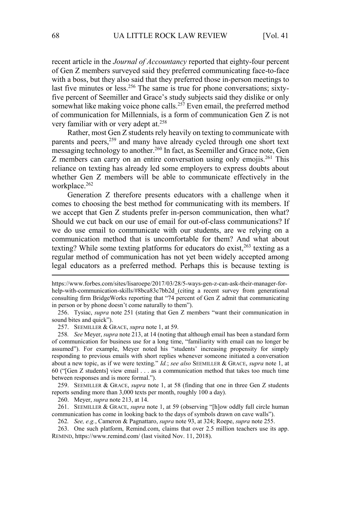recent article in the *Journal of Accountancy* reported that eighty-four percent of Gen Z members surveyed said they preferred communicating face-to-face with a boss, but they also said that they preferred those in-person meetings to last five minutes or less.<sup>256</sup> The same is true for phone conversations; sixtyfive percent of Seemiller and Grace's study subjects said they dislike or only somewhat like making voice phone calls.<sup>257</sup> Even email, the preferred method of communication for Millennials, is a form of communication Gen Z is not very familiar with or very adept at.<sup>258</sup>

Rather, most Gen Z students rely heavily on texting to communicate with parents and peers,<sup>259</sup> and many have already cycled through one short text messaging technology to another.<sup>260</sup> In fact, as Seemiller and Grace note, Gen Z members can carry on an entire conversation using only emojis.<sup>261</sup> This reliance on texting has already led some employers to express doubts about whether Gen Z members will be able to communicate effectively in the workplace.<sup>262</sup>

Generation Z therefore presents educators with a challenge when it comes to choosing the best method for communicating with its members. If we accept that Gen Z students prefer in-person communication, then what? Should we cut back on our use of email for out-of-class communications? If we do use email to communicate with our students, are we relying on a communication method that is uncomfortable for them? And what about texting? While some texting platforms for educators do exist,<sup>263</sup> texting as a regular method of communication has not yet been widely accepted among legal educators as a preferred method. Perhaps this is because texting is

256. Tysiac, *supra* note 251 (stating that Gen Z members "want their communication in sound bites and quick").

257. SEEMILLER & GRACE, *supra* note 1, at 59.

258*. See* Meyer, *supra* note 213, at 14 (noting that although email has been a standard form of communication for business use for a long time, "familiarity with email can no longer be assumed"). For example, Meyer noted his "students' increasing propensity for simply responding to previous emails with short replies whenever someone initiated a conversation about a new topic, as if we were texting." *Id.*; *see also* SEEMILLER & GRACE, *supra* note 1, at 60 ("[Gen Z students] view email . . . as a communication method that takes too much time between responses and is more formal.").

259. SEEMILLER & GRACE, *supra* note 1, at 58 (finding that one in three Gen Z students reports sending more than 3,000 texts per month, roughly 100 a day).

260. Meyer, *supra* note 213, at 14.

261. SEEMILLER & GRACE, *supra* note 1, at 59 (observing "[h]ow oddly full circle human communication has come in looking back to the days of symbols drawn on cave walls").

262*. See, e.g.*, Cameron & Pagnattaro, *supra* note 93, at 324; Roepe, *supra* note 255.

263. One such platform, Remind.com, claims that over 2.5 million teachers use its app. REMIND, https://www.remind.com/ (last visited Nov. 11, 2018).

https://www.forbes.com/sites/lisaroepe/2017/03/28/5-ways-gen-z-can-ask-their-manager-forhelp-with-communication-skills/#8bca83c7bb2d (citing a recent survey from generational consulting firm BridgeWorks reporting that "74 percent of Gen Z admit that communicating in person or by phone doesn't come naturally to them").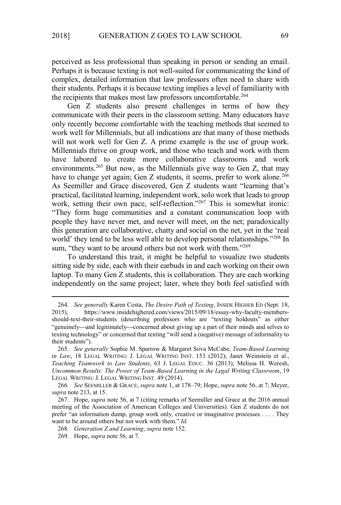perceived as less professional than speaking in person or sending an email. Perhaps it is because texting is not well-suited for communicating the kind of complex, detailed information that law professors often need to share with their students. Perhaps it is because texting implies a level of familiarity with the recipients that makes most law professors uncomfortable.<sup>264</sup>

Gen Z students also present challenges in terms of how they communicate with their peers in the classroom setting. Many educators have only recently become comfortable with the teaching methods that seemed to work well for Millennials, but all indications are that many of those methods will not work well for Gen Z. A prime example is the use of group work. Millennials thrive on group work, and those who teach and work with them have labored to create more collaborative classrooms and work environments.<sup>265</sup> But now, as the Millennials give way to Gen Z, that may have to change yet again; Gen Z students, it seems, prefer to work alone.<sup>266</sup> As Seemiller and Grace discovered, Gen Z students want "learning that's practical, facilitated learning, independent work, solo work that leads to group work, setting their own pace, self-reflection."267 This is somewhat ironic: "They form huge communities and a constant communication loop with people they have never met, and never will meet, on the net; paradoxically this generation are collaborative, chatty and social on the net, yet in the 'real world' they tend to be less well able to develop personal relationships."<sup>268</sup> In sum, "they want to be around others but not work with them."269

To understand this trait, it might be helpful to visualize two students sitting side by side, each with their earbuds in and each working on their own laptop. To many Gen Z students, this is collaboration. They are each working independently on the same project; later, when they both feel satisfied with

<sup>264</sup>*. See generally* Karen Costa, *The Desire Path of Texting*, INSIDE HIGHER ED (Sept. 18, 2015), https://www.insidehighered.com/views/2015/09/18/essay-why-faculty-membersshould-text-their-students (describing professors who are "texting holdouts" as either "genuinely—and legitimately—concerned about giving up a part of their minds and selves to texting technology" or concerned that texting "will send a (negative) message of informality to their students").

<sup>265</sup>*. See generally* Sophie M. Sparrow & Margaret Sova McCabe, *Team-Based Learning in Law*, 18 LEGAL WRITING: J. LEGAL WRITING INST. 153 (2012); Janet Weinstein et al., *Teaching Teamwork to Law Students*, 63 J. LEGAL EDUC. 36 (2013); Melissa H. Weresh, *Uncommon Results: The Power of Team-Based Learning in the Legal Writing Classroom*, 19 LEGAL WRITING: J. LEGAL WRITING INST. 49 (2014).

<sup>266</sup>*. See* SEEMILLER & GRACE, *supra* note 1, at 178–79; Hope, *supra* note 56, at 7; Meyer, *supra* note 213, at 15.

<sup>267.</sup> Hope, *supra* note 56, at 7 (citing remarks of Seemiller and Grace at the 2016 annual meeting of the Association of American Colleges and Universities). Gen Z students do not prefer "an information dump, group work only, creative or imaginative processes . . . . They want to be around others but not work with them." *Id.* 

<sup>268</sup>*. Generation Z and Learning*, *supra* note 152.

<sup>269.</sup> Hope, *supra* note 56, at 7.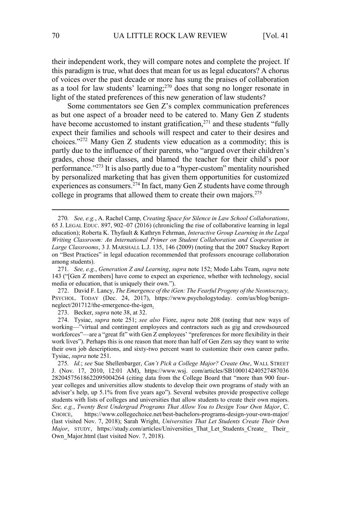their independent work, they will compare notes and complete the project. If this paradigm is true, what does that mean for us as legal educators? A chorus of voices over the past decade or more has sung the praises of collaboration as a tool for law students' learning;<sup>270</sup> does that song no longer resonate in light of the stated preferences of this new generation of law students?

Some commentators see Gen Z's complex communication preferences as but one aspect of a broader need to be catered to. Many Gen Z students have become accustomed to instant gratification,<sup>271</sup> and these students "fully expect their families and schools will respect and cater to their desires and choices."<sup>272</sup> Many Gen Z students view education as a commodity; this is partly due to the influence of their parents, who "argued over their children's grades, chose their classes, and blamed the teacher for their child's poor performance."<sup>273</sup> It is also partly due to a "hyper-custom" mentality nourished by personalized marketing that has given them opportunities for customized experiences as consumers.<sup>274</sup> In fact, many Gen Z students have come through college in programs that allowed them to create their own majors.<sup>275</sup>

272. David F. Lancy, *The Emergence of the iGen: The Fearful Progeny of the Neontocracy,*  PSYCHOL. TODAY (Dec. 24, 2017), https://www.psychologytoday. com/us/blog/benignneglect/201712/the-emergence-the-igen.

273. Becker, *supra* note 38, at 32.

274. Tysiac, *supra* note 251; *see also* Fiore, *supra* note 208 (noting that new ways of working—"virtual and contingent employees and contractors such as gig and crowdsourced workforces"—are a "great fit" with Gen Z employees' "preferences for more flexibility in their work lives"). Perhaps this is one reason that more than half of Gen Zers say they want to write their own job descriptions, and sixty-two percent want to customize their own career paths. Tysiac, *supra* note 251.

275*. Id.*; *see* Sue Shellenbarger, *Can't Pick a College Major? Create One*, WALL STREET J. (Nov. 17, 2010, 12:01 AM), https://www.wsj. com/articles/SB100014240527487036 28204575618622095004264 (citing data from the College Board that "more than 900 fouryear colleges and universities allow students to develop their own programs of study with an adviser's help, up 5.1% from five years ago"). Several websites provide prospective college students with lists of colleges and universities that allow students to create their own majors. *See, e.g.*, *Twenty Best Undergrad Programs That Allow You to Design Your Own Major*, C. CHOICE, https://www.collegechoice.net/best-bachelors-programs-design-your-own-major/ (last visited Nov. 7, 2018); Sarah Wright, *Universities That Let Students Create Their Own Major*, STUDY, https://study.com/articles/Universities That Let Students Create Their Own Major.html (last visited Nov. 7, 2018).

<sup>270</sup>*. See, e.g.*, A. Rachel Camp, *Creating Space for Silence in Law School Collaborations*, 65 J. LEGAL EDUC. 897, 902–07 (2016) (chronicling the rise of collaborative learning in legal education); Roberta K. Thyfault & Kathryn Fehrman, *Interactive Group Learning in the Legal Writing Classroom: An International Primer on Student Collaboration and Cooperation in Large Classrooms*, 3 J. MARSHALL L.J. 135, 146 (2009) (noting that the 2007 Stuckey Report on "Best Practices" in legal education recommended that professors encourage collaboration among students).

<sup>271</sup>*. See, e.g.*, *Generation Z and Learning*, *supra* note 152; Modo Labs Team, *supra* note 143 ("[Gen Z members] have come to expect an experience, whether with technology, social media or education, that is uniquely their own.").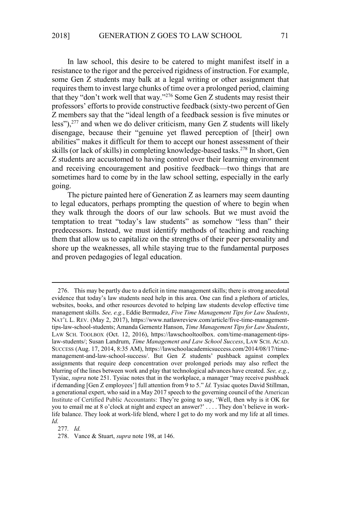In law school, this desire to be catered to might manifest itself in a resistance to the rigor and the perceived rigidness of instruction. For example, some Gen Z students may balk at a legal writing or other assignment that requires them to invest large chunks of time over a prolonged period, claiming that they "don't work well that way."<sup>276</sup> Some Gen Z students may resist their professors' efforts to provide constructive feedback (sixty-two percent of Gen Z members say that the "ideal length of a feedback session is five minutes or less"), $277$  and when we do deliver criticism, many Gen Z students will likely disengage, because their "genuine yet flawed perception of [their] own abilities" makes it difficult for them to accept our honest assessment of their skills (or lack of skills) in completing knowledge-based tasks.<sup>278</sup> In short, Gen Z students are accustomed to having control over their learning environment and receiving encouragement and positive feedback—two things that are sometimes hard to come by in the law school setting, especially in the early going.

The picture painted here of Generation Z as learners may seem daunting to legal educators, perhaps prompting the question of where to begin when they walk through the doors of our law schools. But we must avoid the temptation to treat "today's law students" as somehow "less than" their predecessors. Instead, we must identify methods of teaching and reaching them that allow us to capitalize on the strengths of their peer personality and shore up the weaknesses, all while staying true to the fundamental purposes and proven pedagogies of legal education.

277*. Id.*

<sup>276.</sup> This may be partly due to a deficit in time management skills; there is strong anecdotal evidence that today's law students need help in this area. One can find a plethora of articles, websites, books, and other resources devoted to helping law students develop effective time management skills. *See, e.g.*, Eddie Bermudez, *Five Time Management Tips for Law Students*, NAT'L L. REV. (May 2, 2017), https://www.natlawreview.com/article/five-time-managementtips-law-school-students; Amanda Gernentz Hanson, *Time Management Tips for Law Students*, LAW SCH. TOOLBOX (Oct. 12, 2016), https://lawschooltoolbox. com/time-management-tipslaw-students/; Susan Landrum, *Time Management and Law School Success*, LAW SCH. ACAD. SUCCESS (Aug. 17, 2014, 8:35 AM), https://lawschoolacademicsuccess.com/2014/08/17/timemanagement-and-law-school-success/. But Gen Z students' pushback against complex assignments that require deep concentration over prolonged periods may also reflect the blurring of the lines between work and play that technological advances have created. *See, e.g.*, Tysiac, *supra* note 251. Tysiac notes that in the workplace, a manager "may receive pushback if demanding [Gen Z employees'] full attention from 9 to 5." *Id.* Tysiac quotes David Stillman, a generational expert, who said in a May 2017 speech to the governing council of the American Institute of Certified Public Accountants: They're going to say, 'Well, then why is it OK for you to email me at 8 o'clock at night and expect an answer?' . . . . They don't believe in worklife balance. They look at work-life blend, where I get to do my work and my life at all times. *Id.*

<sup>278.</sup> Vance & Stuart, *supra* note 198, at 146.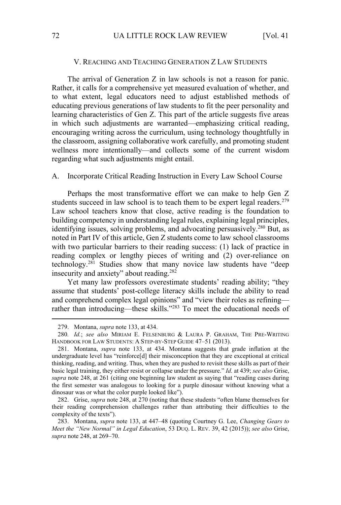#### V. REACHING AND TEACHING GENERATION Z LAW STUDENTS

The arrival of Generation Z in law schools is not a reason for panic. Rather, it calls for a comprehensive yet measured evaluation of whether, and to what extent, legal educators need to adjust established methods of educating previous generations of law students to fit the peer personality and learning characteristics of Gen Z. This part of the article suggests five areas in which such adjustments are warranted—emphasizing critical reading, encouraging writing across the curriculum, using technology thoughtfully in the classroom, assigning collaborative work carefully, and promoting student wellness more intentionally—and collects some of the current wisdom regarding what such adjustments might entail.

## A. Incorporate Critical Reading Instruction in Every Law School Course

Perhaps the most transformative effort we can make to help Gen Z students succeed in law school is to teach them to be expert legal readers.<sup>279</sup> Law school teachers know that close, active reading is the foundation to building competency in understanding legal rules, explaining legal principles, identifying issues, solving problems, and advocating persuasively.<sup>280</sup> But, as noted in Part IV of this article, Gen Z students come to law school classrooms with two particular barriers to their reading success: (1) lack of practice in reading complex or lengthy pieces of writing and (2) over-reliance on technology.<sup>281</sup> Studies show that many novice law students have "deep insecurity and anxiety" about reading.<sup>282</sup>

Yet many law professors overestimate students' reading ability; "they assume that students' post-college literacy skills include the ability to read and comprehend complex legal opinions" and "view their roles as refining rather than introducing—these skills."<sup>283</sup> To meet the educational needs of

282. Grise, *supra* note 248, at 270 (noting that these students "often blame themselves for their reading comprehension challenges rather than attributing their difficulties to the complexity of the texts").

<sup>279.</sup> Montana, *supra* note 133, at 434.

<sup>280</sup>*. Id.*; *see also* MIRIAM E. FELSENBURG & LAURA P. GRAHAM, THE PRE-WRITING HANDBOOK FOR LAW STUDENTS: A STEP-BY-STEP GUIDE 47–51 (2013).

<sup>281.</sup> Montana, *supra* note 133, at 434. Montana suggests that grade inflation at the undergraduate level has "reinforce[d] their misconception that they are exceptional at critical thinking, reading, and writing. Thus, when they are pushed to revisit these skills as part of their basic legal training, they either resist or collapse under the pressure." *Id.* at 439; *see also* Grise, *supra* note 248, at 261 (citing one beginning law student as saying that "reading cases during the first semester was analogous to looking for a purple dinosaur without knowing what a dinosaur was or what the color purple looked like").

<sup>283.</sup> Montana, *supra* note 133, at 447–48 (quoting Courtney G. Lee, *Changing Gears to Meet the "New Normal" in Legal Education*, 53 DUQ. L. REV. 39, 42 (2015)); *see also* Grise, *supra* note 248, at 269–70.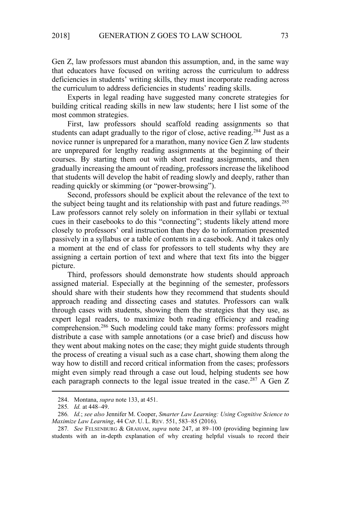Gen Z, law professors must abandon this assumption, and, in the same way that educators have focused on writing across the curriculum to address deficiencies in students' writing skills, they must incorporate reading across the curriculum to address deficiencies in students' reading skills.

Experts in legal reading have suggested many concrete strategies for building critical reading skills in new law students; here I list some of the most common strategies.

First, law professors should scaffold reading assignments so that students can adapt gradually to the rigor of close, active reading.<sup>284</sup> Just as a novice runner is unprepared for a marathon, many novice Gen Z law students are unprepared for lengthy reading assignments at the beginning of their courses. By starting them out with short reading assignments, and then gradually increasing the amount of reading, professors increase the likelihood that students will develop the habit of reading slowly and deeply, rather than reading quickly or skimming (or "power-browsing").

Second, professors should be explicit about the relevance of the text to the subject being taught and its relationship with past and future readings.<sup>285</sup> Law professors cannot rely solely on information in their syllabi or textual cues in their casebooks to do this "connecting"; students likely attend more closely to professors' oral instruction than they do to information presented passively in a syllabus or a table of contents in a casebook. And it takes only a moment at the end of class for professors to tell students why they are assigning a certain portion of text and where that text fits into the bigger picture.

Third, professors should demonstrate how students should approach assigned material. Especially at the beginning of the semester, professors should share with their students how they recommend that students should approach reading and dissecting cases and statutes. Professors can walk through cases with students, showing them the strategies that they use, as expert legal readers, to maximize both reading efficiency and reading comprehension.<sup>286</sup> Such modeling could take many forms: professors might distribute a case with sample annotations (or a case brief) and discuss how they went about making notes on the case; they might guide students through the process of creating a visual such as a case chart, showing them along the way how to distill and record critical information from the cases; professors might even simply read through a case out loud, helping students see how each paragraph connects to the legal issue treated in the case.<sup>287</sup> A Gen Z

<sup>284.</sup> Montana, *supra* note 133, at 451.

<sup>285</sup>*. Id.* at 448–49.

<sup>286</sup>*. Id.*; *see also* Jennifer M. Cooper, *Smarter Law Learning: Using Cognitive Science to Maximize Law Learning*, 44 CAP. U. L. REV. 551, 583–85 (2016).

<sup>287</sup>*. See* FELSENBURG & GRAHAM, *supra* note 247, at 89–100 (providing beginning law students with an in-depth explanation of why creating helpful visuals to record their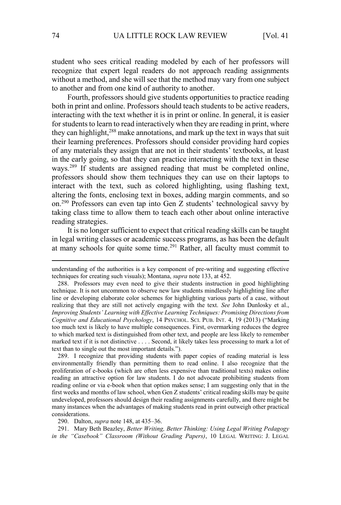student who sees critical reading modeled by each of her professors will recognize that expert legal readers do not approach reading assignments without a method, and she will see that the method may vary from one subject to another and from one kind of authority to another.

Fourth, professors should give students opportunities to practice reading both in print and online. Professors should teach students to be active readers, interacting with the text whether it is in print or online. In general, it is easier for students to learn to read interactively when they are reading in print, where they can highlight,<sup>288</sup> make annotations, and mark up the text in ways that suit their learning preferences. Professors should consider providing hard copies of any materials they assign that are not in their students' textbooks, at least in the early going, so that they can practice interacting with the text in these ways.<sup>289</sup> If students are assigned reading that must be completed online, professors should show them techniques they can use on their laptops to interact with the text, such as colored highlighting, using flashing text, altering the fonts, enclosing text in boxes, adding margin comments, and so on.<sup>290</sup> Professors can even tap into Gen Z students' technological savvy by taking class time to allow them to teach each other about online interactive reading strategies.

It is no longer sufficient to expect that critical reading skills can be taught in legal writing classes or academic success programs, as has been the default at many schools for quite some time.<sup>291</sup> Rather, all faculty must commit to

289. I recognize that providing students with paper copies of reading material is less environmentally friendly than permitting them to read online. I also recognize that the proliferation of e-books (which are often less expensive than traditional texts) makes online reading an attractive option for law students. I do not advocate prohibiting students from reading online or via e-book when that option makes sense; I am suggesting only that in the first weeks and months of law school, when Gen Z students' critical reading skills may be quite undeveloped, professors should design their reading assignments carefully, and there might be many instances when the advantages of making students read in print outweigh other practical considerations.

290. Dalton, *supra* note 148, at 435–36.

291. Mary Beth Beazley, *Better Writing, Better Thinking: Using Legal Writing Pedagogy in the "Casebook" Classroom (Without Grading Papers)*, 10 LEGAL WRITING: J. LEGAL

understanding of the authorities is a key component of pre-writing and suggesting effective techniques for creating such visuals); Montana, *supra* note 133, at 452.

<sup>288.</sup> Professors may even need to give their students instruction in good highlighting technique. It is not uncommon to observe new law students mindlessly highlighting line after line or developing elaborate color schemes for highlighting various parts of a case, without realizing that they are still not actively engaging with the text. *See* John Dunlosky et al., *Improving Students' Learning with Effective Learning Techniques: Promising Directions from Cognitive and Educational Psychology*, 14 PSYCHOL. SCI. PUB. INT. 4, 19 (2013) ("Marking too much text is likely to have multiple consequences. First, overmarking reduces the degree to which marked text is distinguished from other text, and people are less likely to remember marked text if it is not distinctive . . . . Second, it likely takes less processing to mark a lot of text than to single out the most important details.").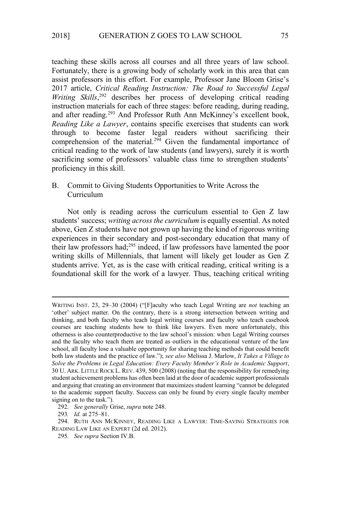teaching these skills across all courses and all three years of law school. Fortunately, there is a growing body of scholarly work in this area that can assist professors in this effort. For example, Professor Jane Bloom Grise's 2017 article, *Critical Reading Instruction: The Road to Successful Legal*  Writing Skills,<sup>292</sup> describes her process of developing critical reading instruction materials for each of three stages: before reading, during reading, and after reading.<sup>293</sup> And Professor Ruth Ann McKinney's excellent book, *Reading Like a Lawyer*, contains specific exercises that students can work through to become faster legal readers without sacrificing their comprehension of the material.<sup>294</sup> Given the fundamental importance of critical reading to the work of law students (and lawyers), surely it is worth sacrificing some of professors' valuable class time to strengthen students' proficiency in this skill.

# B. Commit to Giving Students Opportunities to Write Across the Curriculum

Not only is reading across the curriculum essential to Gen Z law students' success; *writing across the curriculum* is equally essential. As noted above, Gen Z students have not grown up having the kind of rigorous writing experiences in their secondary and post-secondary education that many of their law professors had;<sup>295</sup> indeed, if law professors have lamented the poor writing skills of Millennials, that lament will likely get louder as Gen Z students arrive. Yet, as is the case with critical reading, critical writing is a foundational skill for the work of a lawyer. Thus, teaching critical writing

WRITING INST. 23, 29–30 (2004) ("[F]aculty who teach Legal Writing are *not* teaching an 'other' subject matter. On the contrary, there is a strong intersection between writing and thinking, and both faculty who teach legal writing courses and faculty who teach casebook courses are teaching students how to think like lawyers. Even more unfortunately, this otherness is also counterproductive to the law school's mission: when Legal Writing courses and the faculty who teach them are treated as outliers in the educational venture of the law school, all faculty lose a valuable opportunity for sharing teaching methods that could benefit both law students and the practice of law."); *see also* Melissa J. Marlow, *It Takes a Village to Solve the Problems in Legal Education: Every Faculty Member's Role in Academic Support*, 30 U. ARK. LITTLE ROCK L. REV. 439, 500 (2008) (noting that the responsibility for remedying student achievement problems has often been laid at the door of academic support professionals and arguing that creating an environment that maximizes student learning "cannot be delegated to the academic support faculty. Success can only be found by every single faculty member signing on to the task.").

<sup>292</sup>*. See generally* Grise, *supra* note 248.

<sup>293</sup>*. Id.* at 275–81.

<sup>294.</sup> RUTH ANN MCKINNEY, READING LIKE A LAWYER: TIME-SAVING STRATEGIES FOR READING LAW LIKE AN EXPERT (2d ed. 2012).

<sup>295</sup>*. See supra* Section IV.B.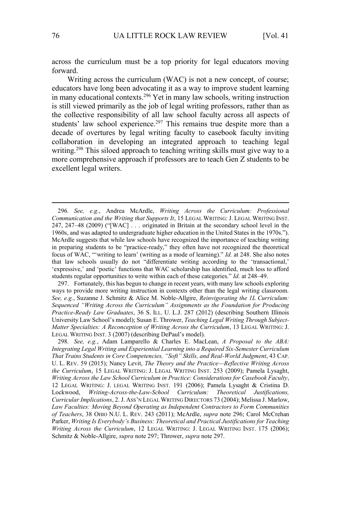across the curriculum must be a top priority for legal educators moving forward.

Writing across the curriculum (WAC) is not a new concept, of course; educators have long been advocating it as a way to improve student learning in many educational contexts.<sup>296</sup> Yet in many law schools, writing instruction is still viewed primarily as the job of legal writing professors, rather than as the collective responsibility of all law school faculty across all aspects of students' law school experience.<sup>297</sup> This remains true despite more than a decade of overtures by legal writing faculty to casebook faculty inviting collaboration in developing an integrated approach to teaching legal writing.<sup>298</sup> This siloed approach to teaching writing skills must give way to a more comprehensive approach if professors are to teach Gen Z students to be excellent legal writers.

297. Fortunately, this has begun to change in recent years, with many law schools exploring ways to provide more writing instruction in contexts other than the legal writing classroom. *See, e.g.*, Suzanne J. Schmitz & Alice M. Noble-Allgire, *Reinvigorating the 1L Curriculum: Sequenced "Writing Across the Curriculum" Assignments as the Foundation for Producing Practice-Ready Law Graduates*, 36 S. ILL. U. L.J. 287 (2012) (describing Southern Illinois University Law School's model); Susan E. Thrower, *Teaching Legal Writing Through Subject-Matter Specialties: A Reconception of Writing Across the Curriculum*, 13 LEGAL WRITING: J. LEGAL WRITING INST. 3 (2007) (describing DePaul's model).

298*. See, e.g.*, Adam Lamparello & Charles E. MacLean, *A Proposal to the ABA: Integrating Legal Writing and Experiential Learning into a Required Six-Semester Curriculum That Trains Students in Core Competencies, "Soft" Skills, and Real-World Judgment*, 43 CAP. U. L. REV. 59 (2015); Nancy Levit, *The Theory and the Practice—Reflective Writing Across the Curriculum*, 15 LEGAL WRITING: J. LEGAL WRITING INST. 253 (2009); Pamela Lysaght, *Writing Across the Law School Curriculum in Practice: Considerations for Casebook Faculty*, 12 LEGAL WRITING: J. LEGAL WRITING INST. 191 (2006); Pamela Lysaght & Cristina D. Lockwood, *Writing-Across-the-Law-School Curriculum: Theoretical Justifications, Curricular Implications*, 2. J. ASS'N LEGAL WRITING DIRECTORS 73 (2004); Melissa J. Marlow, *Law Faculties: Moving Beyond Operating as Independent Contractors to Form Communities of Teachers*, 38 OHIO N.U. L. REV. 243 (2011); McArdle, *supra* note 296; Carol McCrehan Parker, *Writing Is Everybody's Business: Theoretical and Practical Justifications for Teaching Writing Across the Curriculum*, 12 LEGAL WRITING: J. LEGAL WRITING INST. 175 (2006); Schmitz & Noble-Allgire, *supra* note 297; Thrower, *supra* note 297.

<sup>296</sup>*. See, e.g.*, Andrea McArdle, *Writing Across the Curriculum: Professional Communication and the Writing that Supports It*, 15 LEGAL WRITING: J. LEGAL WRITING INST. 247, 247–48 (2009) ("[WAC] . . . originated in Britain at the secondary school level in the 1960s, and was adapted to undergraduate higher education in the United States in the 1970s."). McArdle suggests that while law schools have recognized the importance of teaching writing in preparing students to be "practice-ready," they often have not recognized the theoretical focus of WAC, "'writing to learn' (writing as a mode of learning)." *Id.* at 248. She also notes that law schools usually do not "differentiate writing according to the 'transactional,' 'expressive,' and 'poetic' functions that WAC scholarship has identified, much less to afford students regular opportunities to write within each of these categories." *Id.* at 248–49.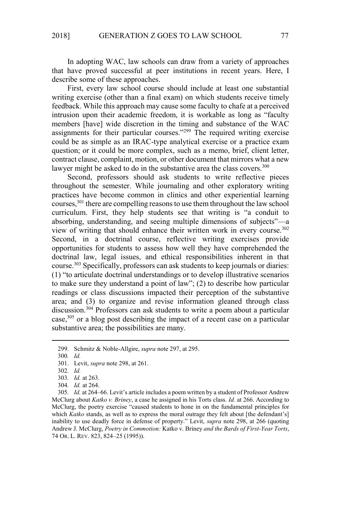In adopting WAC, law schools can draw from a variety of approaches that have proved successful at peer institutions in recent years. Here, I describe some of these approaches.

First, every law school course should include at least one substantial writing exercise (other than a final exam) on which students receive timely feedback. While this approach may cause some faculty to chafe at a perceived intrusion upon their academic freedom, it is workable as long as "faculty members [have] wide discretion in the timing and substance of the WAC assignments for their particular courses."<sup>299</sup> The required writing exercise could be as simple as an IRAC-type analytical exercise or a practice exam question; or it could be more complex, such as a memo, brief, client letter, contract clause, complaint, motion, or other document that mirrors what a new lawyer might be asked to do in the substantive area the class covers.<sup>300</sup>

Second, professors should ask students to write reflective pieces throughout the semester. While journaling and other exploratory writing practices have become common in clinics and other experiential learning courses,<sup>301</sup> there are compelling reasons to use them throughout the law school curriculum. First, they help students see that writing is "a conduit to absorbing, understanding, and seeing multiple dimensions of subjects"—a view of writing that should enhance their written work in every course.<sup>302</sup> Second, in a doctrinal course, reflective writing exercises provide opportunities for students to assess how well they have comprehended the doctrinal law, legal issues, and ethical responsibilities inherent in that course.<sup>303</sup> Specifically, professors can ask students to keep journals or diaries: (1) "to articulate doctrinal understandings or to develop illustrative scenarios to make sure they understand a point of law"; (2) to describe how particular readings or class discussions impacted their perception of the substantive area; and (3) to organize and revise information gleaned through class discussion.<sup>304</sup> Professors can ask students to write a poem about a particular case,<sup>305</sup> or a blog post describing the impact of a recent case on a particular substantive area; the possibilities are many.

304*. Id.* at 264.

305*. Id.* at 264–66. Levit's article includes a poem written by a student of Professor Andrew McClurg about *Katko v. Briney*, a case he assigned in his Torts class. *Id.* at 266. According to McClurg, the poetry exercise "caused students to hone in on the fundamental principles for which *Katko* stands, as well as to express the moral outrage they felt about [the defendant's] inability to use deadly force in defense of property." Levit, *supra* note 298, at 266 (quoting Andrew J. McClurg, *Poetry in Commotion:* Katko v. Briney *and the Bards of First-Year Torts*, 74 OR. L. REV. 823, 824–25 (1995)).

<sup>299.</sup> Schmitz & Noble-Allgire, *supra* note 297, at 295.

<sup>300</sup>*. Id.*

<sup>301.</sup> Levit, *supra* note 298, at 261.

<sup>302</sup>*. Id.*

<sup>303</sup>*. Id.* at 263.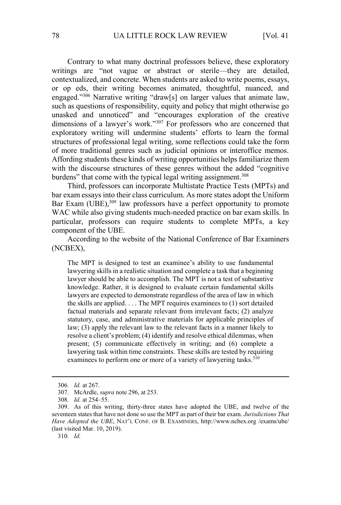Contrary to what many doctrinal professors believe, these exploratory writings are "not vague or abstract or sterile—they are detailed, contextualized, and concrete. When students are asked to write poems, essays, or op eds, their writing becomes animated, thoughtful, nuanced, and engaged."<sup>306</sup> Narrative writing "draw[s] on larger values that animate law, such as questions of responsibility, equity and policy that might otherwise go unasked and unnoticed" and "encourages exploration of the creative dimensions of a lawyer's work."<sup>307</sup> For professors who are concerned that exploratory writing will undermine students' efforts to learn the formal structures of professional legal writing, some reflections could take the form of more traditional genres such as judicial opinions or interoffice memos. Affording students these kinds of writing opportunities helps familiarize them with the discourse structures of these genres without the added "cognitive burdens" that come with the typical legal writing assignment.<sup>308</sup>

Third, professors can incorporate Multistate Practice Tests (MPTs) and bar exam essays into their class curriculum. As more states adopt the Uniform Bar Exam (UBE),<sup>309</sup> law professors have a perfect opportunity to promote WAC while also giving students much-needed practice on bar exam skills. In particular, professors can require students to complete MPTs, a key component of the UBE.

According to the website of the National Conference of Bar Examiners (NCBEX),

The MPT is designed to test an examinee's ability to use fundamental lawyering skills in a realistic situation and complete a task that a beginning lawyer should be able to accomplish. The MPT is not a test of substantive knowledge. Rather, it is designed to evaluate certain fundamental skills lawyers are expected to demonstrate regardless of the area of law in which the skills are applied. . . . The MPT requires examinees to (1) sort detailed factual materials and separate relevant from irrelevant facts; (2) analyze statutory, case, and administrative materials for applicable principles of law; (3) apply the relevant law to the relevant facts in a manner likely to resolve a client's problem; (4) identify and resolve ethical dilemmas, when present; (5) communicate effectively in writing; and (6) complete a lawyering task within time constraints. These skills are tested by requiring examinees to perform one or more of a variety of lawyering tasks.<sup>310</sup>

<sup>306</sup>*. Id.* at 267.

<sup>307.</sup> McArdle, *supra* note 296, at 253.

<sup>308</sup>*. Id.* at 254–55.

<sup>309.</sup> As of this writing, thirty-three states have adopted the UBE, and twelve of the seventeen states that have not done so use the MPT as part of their bar exam. *Jurisdictions That Have Adopted the UBE*, NAT'L CONF. OF B. EXAMINERS, http://www.ncbex.org /exams/ube/ (last visited Mar. 10, 2019).

<sup>310</sup>*. Id.*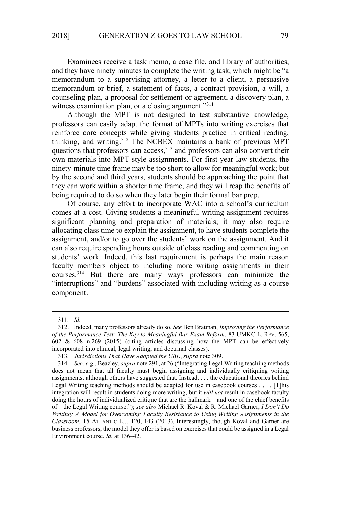Examinees receive a task memo, a case file, and library of authorities, and they have ninety minutes to complete the writing task, which might be "a memorandum to a supervising attorney, a letter to a client, a persuasive memorandum or brief, a statement of facts, a contract provision, a will, a counseling plan, a proposal for settlement or agreement, a discovery plan, a witness examination plan, or a closing argument."311

Although the MPT is not designed to test substantive knowledge, professors can easily adapt the format of MPTs into writing exercises that reinforce core concepts while giving students practice in critical reading, thinking, and writing.<sup>312</sup> The NCBEX maintains a bank of previous MPT questions that professors can access,<sup>313</sup> and professors can also convert their own materials into MPT-style assignments. For first-year law students, the ninety-minute time frame may be too short to allow for meaningful work; but by the second and third years, students should be approaching the point that they can work within a shorter time frame, and they will reap the benefits of being required to do so when they later begin their formal bar prep.

Of course, any effort to incorporate WAC into a school's curriculum comes at a cost. Giving students a meaningful writing assignment requires significant planning and preparation of materials; it may also require allocating class time to explain the assignment, to have students complete the assignment, and/or to go over the students' work on the assignment. And it can also require spending hours outside of class reading and commenting on students' work. Indeed, this last requirement is perhaps the main reason faculty members object to including more writing assignments in their courses.<sup>314</sup> But there are many ways professors can minimize the "interruptions" and "burdens" associated with including writing as a course component.

<sup>311</sup>*. Id.*

<sup>312.</sup> Indeed, many professors already do so. *See* Ben Bratman, *Improving the Performance of the Performance Test: The Key to Meaningful Bar Exam Reform*, 83 UMKC L. REV. 565, 602 & 608 n.269 (2015) (citing articles discussing how the MPT can be effectively incorporated into clinical, legal writing, and doctrinal classes).

<sup>313</sup>*. Jurisdictions That Have Adopted the UBE*, *supra* note 309.

<sup>314</sup>*. See, e.g.*, Beazley, *supra* note 291, at 26 ("Integrating Legal Writing teaching methods does not mean that all faculty must begin assigning and individually critiquing writing assignments, although others have suggested that. Instead, . . . the educational theories behind Legal Writing teaching methods should be adapted for use in casebook courses . . . . [T]his integration will result in students doing more writing, but it *will not* result in casebook faculty doing the hours of individualized critique that are the hallmark—and one of the chief benefits of—the Legal Writing course."); *see also* Michael R. Koval & R. Michael Garner, *I Don't Do Writing: A Model for Overcoming Faculty Resistance to Using Writing Assignments in the Classroom*, 15 ATLANTIC L.J. 120, 143 (2013). Interestingly, though Koval and Garner are business professors, the model they offer is based on exercises that could be assigned in a Legal Environment course. *Id.* at 136–42.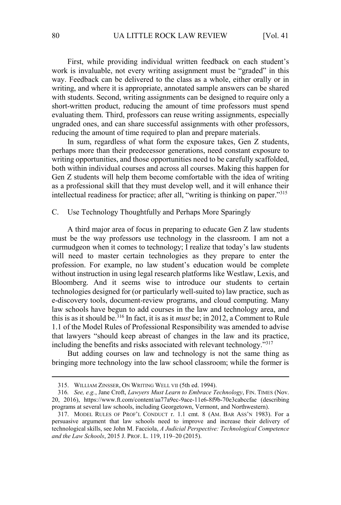First, while providing individual written feedback on each student's work is invaluable, not every writing assignment must be "graded" in this way. Feedback can be delivered to the class as a whole, either orally or in writing, and where it is appropriate, annotated sample answers can be shared with students. Second, writing assignments can be designed to require only a short-written product, reducing the amount of time professors must spend evaluating them. Third, professors can reuse writing assignments, especially ungraded ones, and can share successful assignments with other professors, reducing the amount of time required to plan and prepare materials.

In sum, regardless of what form the exposure takes, Gen Z students, perhaps more than their predecessor generations, need constant exposure to writing opportunities, and those opportunities need to be carefully scaffolded, both within individual courses and across all courses. Making this happen for Gen Z students will help them become comfortable with the idea of writing as a professional skill that they must develop well, and it will enhance their intellectual readiness for practice; after all, "writing is thinking on paper."<sup>315</sup>

# C. Use Technology Thoughtfully and Perhaps More Sparingly

A third major area of focus in preparing to educate Gen Z law students must be the way professors use technology in the classroom. I am not a curmudgeon when it comes to technology; I realize that today's law students will need to master certain technologies as they prepare to enter the profession. For example, no law student's education would be complete without instruction in using legal research platforms like Westlaw, Lexis, and Bloomberg. And it seems wise to introduce our students to certain technologies designed for (or particularly well-suited to) law practice, such as e-discovery tools, document-review programs, and cloud computing. Many law schools have begun to add courses in the law and technology area, and this is as it should be.<sup>316</sup> In fact, it is as it *must* be; in 2012, a Comment to Rule 1.1 of the Model Rules of Professional Responsibility was amended to advise that lawyers "should keep abreast of changes in the law and its practice, including the benefits and risks associated with relevant technology."<sup>317</sup>

But adding courses on law and technology is not the same thing as bringing more technology into the law school classroom; while the former is

<sup>315.</sup> WILLIAM ZINSSER, ON WRITING WELL VII (5th ed. 1994).

<sup>316</sup>*. See, e.g.*, Jane Croft, *Lawyers Must Learn to Embrace Technology*, FIN. TIMES (Nov. 20, 2016), https://www.ft.com/content/aa77a9ec-9ace-11e6-8f9b-70e3cabccfae (describing programs at several law schools, including Georgetown, Vermont, and Northwestern).

<sup>317.</sup> MODEL RULES OF PROF'L CONDUCT r. 1.1 cmt. 8 (AM. BAR ASS'N 1983). For a persuasive argument that law schools need to improve and increase their delivery of technological skills, see John M. Facciola, *A Judicial Perspective: Technological Competence and the Law Schools*, 2015 J. PROF. L. 119, 119–20 (2015).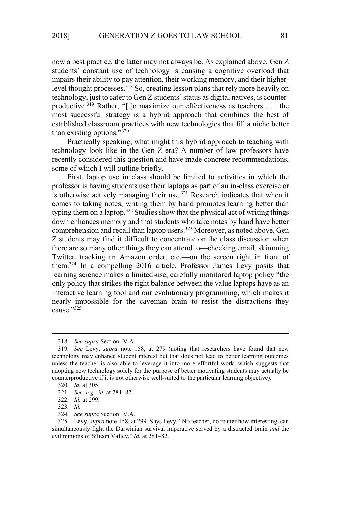now a best practice, the latter may not always be. As explained above, Gen Z students' constant use of technology is causing a cognitive overload that impairs their ability to pay attention, their working memory, and their higherlevel thought processes.<sup>318</sup> So, creating lesson plans that rely more heavily on technology, just to cater to Gen Z students' status as digital natives, is counterproductive.<sup>319</sup> Rather, "[t]o maximize our effectiveness as teachers . . . the most successful strategy is a hybrid approach that combines the best of established classroom practices with new technologies that fill a niche better than existing options."<sup>320</sup>

Practically speaking, what might this hybrid approach to teaching with technology look like in the Gen Z era? A number of law professors have recently considered this question and have made concrete recommendations, some of which I will outline briefly.

First, laptop use in class should be limited to activities in which the professor is having students use their laptops as part of an in-class exercise or is otherwise actively managing their use.<sup>321</sup> Research indicates that when it comes to taking notes, writing them by hand promotes learning better than typing them on a laptop.<sup>322</sup> Studies show that the physical act of writing things down enhances memory and that students who take notes by hand have better comprehension and recall than laptop users.<sup>323</sup> Moreover, as noted above, Gen Z students may find it difficult to concentrate on the class discussion when there are so many other things they can attend to—checking email, skimming Twitter, tracking an Amazon order, etc.—on the screen right in front of them.<sup>324</sup> In a compelling 2016 article, Professor James Levy posits that learning science makes a limited-use, carefully monitored laptop policy "the only policy that strikes the right balance between the value laptops have as an interactive learning tool and our evolutionary programming, which makes it nearly impossible for the caveman brain to resist the distractions they cause."<sup>325</sup>

<sup>318</sup>*. See supra* Section IV.A.

<sup>319</sup>*. See* Levy, *supra* note 158, at 279 (noting that researchers have found that new technology may enhance student interest but that does not lead to better learning outcomes unless the teacher is also able to leverage it into more effortful work, which suggests that adopting new technology solely for the purpose of better motivating students may actually be counterproductive if it is not otherwise well-suited to the particular learning objective).

<sup>320</sup>*. Id.* at 305.

<sup>321</sup>*. See, e.g.*, *id.* at 281–82.

<sup>322</sup>*. Id.* at 299.

<sup>323</sup>*. Id.*

<sup>324</sup>*. See supra* Section IV.A.

<sup>325.</sup> Levy, *supra* note 158, at 299. Says Levy, "No teacher, no matter how interesting, can simultaneously fight the Darwinian survival imperative served by a distracted brain *and* the evil minions of Silicon Valley." *Id.* at 281–82.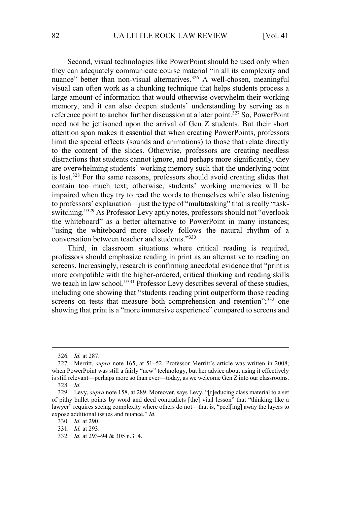Second, visual technologies like PowerPoint should be used only when they can adequately communicate course material "in all its complexity and nuance" better than non-visual alternatives.<sup>326</sup> A well-chosen, meaningful visual can often work as a chunking technique that helps students process a large amount of information that would otherwise overwhelm their working memory, and it can also deepen students' understanding by serving as a reference point to anchor further discussion at a later point.<sup>327</sup> So, PowerPoint need not be jettisoned upon the arrival of Gen Z students. But their short attention span makes it essential that when creating PowerPoints, professors limit the special effects (sounds and animations) to those that relate directly to the content of the slides. Otherwise, professors are creating needless distractions that students cannot ignore, and perhaps more significantly, they are overwhelming students' working memory such that the underlying point is lost.<sup>328</sup> For the same reasons, professors should avoid creating slides that contain too much text; otherwise, students' working memories will be impaired when they try to read the words to themselves while also listening to professors' explanation—just the type of "multitasking" that is really "taskswitching."<sup>329</sup> As Professor Levy aptly notes, professors should not "overlook the whiteboard" as a better alternative to PowerPoint in many instances; "using the whiteboard more closely follows the natural rhythm of a conversation between teacher and students."<sup>330</sup>

Third, in classroom situations where critical reading is required, professors should emphasize reading in print as an alternative to reading on screens. Increasingly, research is confirming anecdotal evidence that "print is more compatible with the higher-ordered, critical thinking and reading skills we teach in law school."<sup>331</sup> Professor Levy describes several of these studies, including one showing that "students reading print outperform those reading screens on tests that measure both comprehension and retention";<sup>332</sup> one showing that print is a "more immersive experience" compared to screens and

332*. Id.* at 293–94 & 305 n.314.

<sup>326</sup>*. Id.* at 287.

<sup>327.</sup> Merritt, *supra* note 165, at 51–52. Professor Merritt's article was written in 2008, when PowerPoint was still a fairly "new" technology, but her advice about using it effectively is still relevant—perhaps more so than ever—today, as we welcome Gen Z into our classrooms. 328*. Id.*

<sup>329.</sup> Levy, *supra* note 158, at 289. Moreover, says Levy, "[r]educing class material to a set of pithy bullet points by word and deed contradicts [the] vital lesson" that "thinking like a lawyer" requires seeing complexity where others do not—that is, "peel[ing] away the layers to expose additional issues and nuance." *Id.*

<sup>330</sup>*. Id.* at 290.

<sup>331</sup>*. Id.* at 293.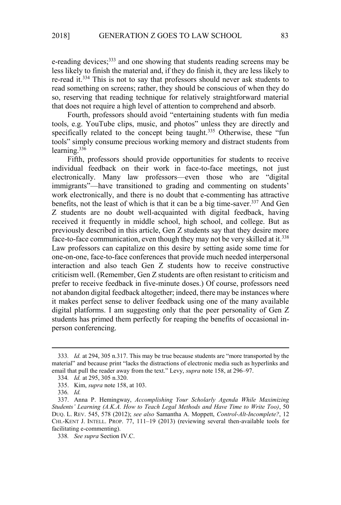e-reading devices;<sup>333</sup> and one showing that students reading screens may be less likely to finish the material and, if they do finish it, they are less likely to re-read it.<sup>334</sup> This is not to say that professors should never ask students to read something on screens; rather, they should be conscious of when they do so, reserving that reading technique for relatively straightforward material that does not require a high level of attention to comprehend and absorb.

Fourth, professors should avoid "entertaining students with fun media tools, e.g. YouTube clips, music, and photos" unless they are directly and specifically related to the concept being taught.<sup>335</sup> Otherwise, these "fun tools" simply consume precious working memory and distract students from learning.<sup>336</sup>

Fifth, professors should provide opportunities for students to receive individual feedback on their work in face-to-face meetings, not just electronically. Many law professors—even those who are "digital immigrants"—have transitioned to grading and commenting on students' work electronically, and there is no doubt that e-commenting has attractive benefits, not the least of which is that it can be a big time-saver.<sup>337</sup> And Gen Z students are no doubt well-acquainted with digital feedback, having received it frequently in middle school, high school, and college. But as previously described in this article, Gen Z students say that they desire more face-to-face communication, even though they may not be very skilled at it.<sup>338</sup> Law professors can capitalize on this desire by setting aside some time for one-on-one, face-to-face conferences that provide much needed interpersonal interaction and also teach Gen Z students how to receive constructive criticism well. (Remember, Gen Z students are often resistant to criticism and prefer to receive feedback in five-minute doses.) Of course, professors need not abandon digital feedback altogether; indeed, there may be instances where it makes perfect sense to deliver feedback using one of the many available digital platforms. I am suggesting only that the peer personality of Gen Z students has primed them perfectly for reaping the benefits of occasional inperson conferencing.

<sup>333</sup>*. Id.* at 294, 305 n.317. This may be true because students are "more transported by the material" and because print "lacks the distractions of electronic media such as hyperlinks and email that pull the reader away from the text." Levy, *supra* note 158, at 296–97.

<sup>334</sup>*. Id.* at 295, 305 n.320.

<sup>335.</sup> Kim, *supra* note 158, at 103.

<sup>336</sup>*. Id.*

<sup>337.</sup> Anna P. Hemingway, *Accomplishing Your Scholarly Agenda While Maximizing Students' Learning (A.K.A. How to Teach Legal Methods and Have Time to Write Too)*, 50 DUQ. L. REV. 545, 578 (2012); *see also* Samantha A. Moppett, *Control-Alt-Incomplete?*, 12 CHI.-KENT J. INTELL. PROP. 77, 111–19 (2013) (reviewing several then-available tools for facilitating e-commenting).

<sup>338</sup>*. See supra* Section IV.C.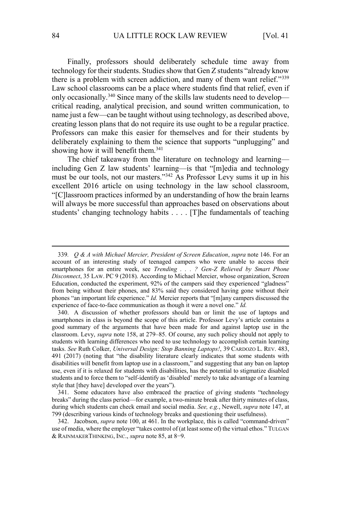Finally, professors should deliberately schedule time away from technology for their students. Studies show that Gen Z students "already know there is a problem with screen addiction, and many of them want relief."<sup>339</sup> Law school classrooms can be a place where students find that relief, even if only occasionally.<sup>340</sup> Since many of the skills law students need to develop critical reading, analytical precision, and sound written communication, to name just a few—can be taught without using technology, as described above, creating lesson plans that do not require its use ought to be a regular practice. Professors can make this easier for themselves and for their students by deliberately explaining to them the science that supports "unplugging" and showing how it will benefit them.<sup>341</sup>

The chief takeaway from the literature on technology and learning including Gen Z law students' learning—is that "[m]edia and technology must be our tools, not our masters."<sup>342</sup> As Professor Levy sums it up in his excellent 2016 article on using technology in the law school classroom, "[C]lassroom practices informed by an understanding of how the brain learns will always be more successful than approaches based on observations about students' changing technology habits . . . . [T]he fundamentals of teaching

<sup>339</sup>*. Q & A with Michael Mercier, President of Screen Education*, *supra* note 146. For an account of an interesting study of teenaged campers who were unable to access their smartphones for an entire week, see *Trending . . . ? Gen-Z Relieved by Smart Phone Disconnect*, 35 LAW. PC 9 (2018). According to Michael Mercier, whose organization, Screen Education, conducted the experiment, 92% of the campers said they experienced "gladness" from being without their phones, and 83% said they considered having gone without their phones "an important life experience." *Id.* Mercier reports that "[m]any campers discussed the experience of face-to-face communication as though it were a novel one." *Id.*

<sup>340.</sup> A discussion of whether professors should ban or limit the use of laptops and smartphones in class is beyond the scope of this article. Professor Levy's article contains a good summary of the arguments that have been made for and against laptop use in the classroom. Levy, *supra* note 158, at 279–85. Of course, any such policy should not apply to students with learning differences who need to use technology to accomplish certain learning tasks. *See* Ruth Colker, *Universal Design: Stop Banning Laptops!*, 39 CARDOZO L. REV. 483, 491 (2017) (noting that "the disability literature clearly indicates that some students with disabilities will benefit from laptop use in a classroom," and suggesting that any ban on laptop use, even if it is relaxed for students with disabilities, has the potential to stigmatize disabled students and to force them to "self-identify as 'disabled' merely to take advantage of a learning style that [they have] developed over the years").

<sup>341.</sup> Some educators have also embraced the practice of giving students "technology breaks" during the class period—for example, a two-minute break after thirty minutes of class, during which students can check email and social media. *See, e.g.*, Newell, *supra* note 147, at 799 (describing various kinds of technology breaks and questioning their usefulness).

<sup>342.</sup> Jacobson, *supra* note 100, at 461. In the workplace, this is called "command-driven" use of media, where the employer "takes control of (at least some of) the virtual ethos." TULGAN & RAINMAKERTHINKING, INC., *supra* note 85, at 8−9.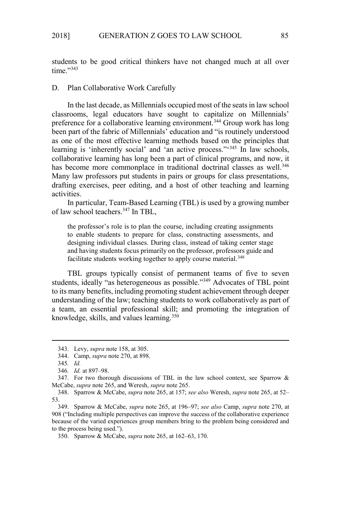students to be good critical thinkers have not changed much at all over time."<sup>343</sup>

## D. Plan Collaborative Work Carefully

In the last decade, as Millennials occupied most of the seats in law school classrooms, legal educators have sought to capitalize on Millennials' preference for a collaborative learning environment.<sup>344</sup> Group work has long been part of the fabric of Millennials' education and "is routinely understood as one of the most effective learning methods based on the principles that learning is 'inherently social' and 'an active process."<sup>345</sup> In law schools, collaborative learning has long been a part of clinical programs, and now, it has become more commonplace in traditional doctrinal classes as well.<sup>346</sup> Many law professors put students in pairs or groups for class presentations, drafting exercises, peer editing, and a host of other teaching and learning activities.

In particular, Team-Based Learning (TBL) is used by a growing number of law school teachers.<sup>347</sup> In TBL,

the professor's role is to plan the course, including creating assignments to enable students to prepare for class, constructing assessments, and designing individual classes. During class, instead of taking center stage and having students focus primarily on the professor, professors guide and facilitate students working together to apply course material.<sup>348</sup>

TBL groups typically consist of permanent teams of five to seven students, ideally "as heterogeneous as possible."<sup>349</sup> Advocates of TBL point to its many benefits, including promoting student achievement through deeper understanding of the law; teaching students to work collaboratively as part of a team, an essential professional skill; and promoting the integration of knowledge, skills, and values learning.<sup>350</sup>

<sup>343.</sup> Levy, *supra* note 158, at 305.

<sup>344.</sup> Camp, *supra* note 270, at 898.

<sup>345</sup>*. Id.*

<sup>346</sup>*. Id.* at 897–98.

<sup>347.</sup> For two thorough discussions of TBL in the law school context, see Sparrow  $\&$ McCabe, *supra* note 265, and Weresh, *supra* note 265.

<sup>348.</sup> Sparrow & McCabe, *supra* note 265, at 157; *see also* Weresh, *supra* note 265, at 52– 53.

<sup>349.</sup> Sparrow & McCabe, *supra* note 265, at 196–97; *see also* Camp, *supra* note 270, at 908 ("Including multiple perspectives can improve the success of the collaborative experience because of the varied experiences group members bring to the problem being considered and to the process being used.").

<sup>350.</sup> Sparrow & McCabe, *supra* note 265, at 162–63, 170.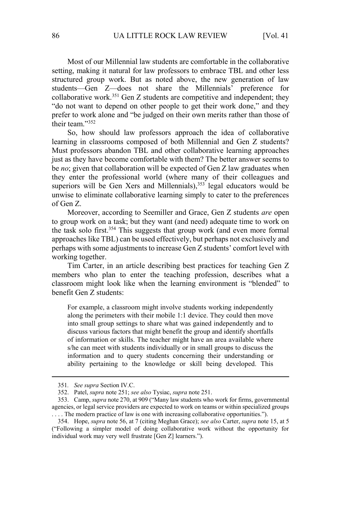Most of our Millennial law students are comfortable in the collaborative setting, making it natural for law professors to embrace TBL and other less structured group work. But as noted above, the new generation of law students—Gen Z—does not share the Millennials' preference for collaborative work.<sup>351</sup> Gen Z students are competitive and independent; they "do not want to depend on other people to get their work done," and they prefer to work alone and "be judged on their own merits rather than those of their team."<sup>352</sup>

So, how should law professors approach the idea of collaborative learning in classrooms composed of both Millennial and Gen Z students? Must professors abandon TBL and other collaborative learning approaches just as they have become comfortable with them? The better answer seems to be *no*; given that collaboration will be expected of Gen Z law graduates when they enter the professional world (where many of their colleagues and superiors will be Gen Xers and Millennials), $353$  legal educators would be unwise to eliminate collaborative learning simply to cater to the preferences of Gen Z.

Moreover, according to Seemiller and Grace, Gen Z students *are* open to group work on a task; but they want (and need) adequate time to work on the task solo first.<sup>354</sup> This suggests that group work (and even more formal approaches like TBL) can be used effectively, but perhaps not exclusively and perhaps with some adjustments to increase Gen Z students' comfort level with working together.

Tim Carter, in an article describing best practices for teaching Gen Z members who plan to enter the teaching profession, describes what a classroom might look like when the learning environment is "blended" to benefit Gen Z students:

For example, a classroom might involve students working independently along the perimeters with their mobile 1:1 device. They could then move into small group settings to share what was gained independently and to discuss various factors that might benefit the group and identify shortfalls of information or skills. The teacher might have an area available where s/he can meet with students individually or in small groups to discuss the information and to query students concerning their understanding or ability pertaining to the knowledge or skill being developed. This

<sup>351</sup>*. See supra* Section IV.C.

<sup>352.</sup> Patel, *supra* note 251; *see also* Tysiac, *supra* note 251.

<sup>353.</sup> Camp, *supra* note 270, at 909 ("Many law students who work for firms, governmental agencies, or legal service providers are expected to work on teams or within specialized groups .... The modern practice of law is one with increasing collaborative opportunities.").

<sup>354.</sup> Hope, *supra* note 56, at 7 (citing Meghan Grace); *see also* Carter, *supra* note 15, at 5 ("Following a simpler model of doing collaborative work without the opportunity for individual work may very well frustrate [Gen Z] learners.").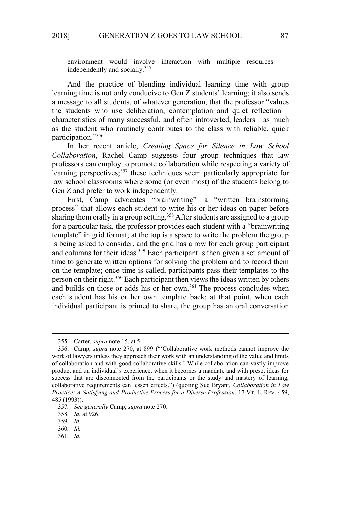environment would involve interaction with multiple resources independently and socially.<sup>355</sup>

And the practice of blending individual learning time with group learning time is not only conducive to Gen Z students' learning; it also sends a message to all students, of whatever generation, that the professor "values the students who use deliberation, contemplation and quiet reflection characteristics of many successful, and often introverted, leaders—as much as the student who routinely contributes to the class with reliable, quick participation."<sup>356</sup>

In her recent article, *Creating Space for Silence in Law School Collaboration*, Rachel Camp suggests four group techniques that law professors can employ to promote collaboration while respecting a variety of learning perspectives;<sup>357</sup> these techniques seem particularly appropriate for law school classrooms where some (or even most) of the students belong to Gen Z and prefer to work independently.

First, Camp advocates "brainwriting"—a "written brainstorming process" that allows each student to write his or her ideas on paper before sharing them orally in a group setting.<sup>358</sup> After students are assigned to a group for a particular task, the professor provides each student with a "brainwriting template" in grid format; at the top is a space to write the problem the group is being asked to consider, and the grid has a row for each group participant and columns for their ideas.<sup>359</sup> Each participant is then given a set amount of time to generate written options for solving the problem and to record them on the template; once time is called, participants pass their templates to the person on their right.<sup>360</sup> Each participant then views the ideas written by others and builds on those or adds his or her own.<sup>361</sup> The process concludes when each student has his or her own template back; at that point, when each individual participant is primed to share, the group has an oral conversation

361*. Id.* 

<sup>355.</sup> Carter, *supra* note 15, at 5.

<sup>356.</sup> Camp, *supra* note 270, at 899 ("'Collaborative work methods cannot improve the work of lawyers unless they approach their work with an understanding of the value and limits of collaboration and with good collaborative skills.' While collaboration can vastly improve product and an individual's experience, when it becomes a mandate and with preset ideas for success that are disconnected from the participants or the study and mastery of learning, collaborative requirements can lessen effects.") (quoting Sue Bryant, *Collaboration in Law Practice: A Satisfying and Productive Process for a Diverse Profession*, 17 VT. L. REV. 459, 485 (1993)).

<sup>357</sup>*. See generally* Camp, *supra* note 270.

<sup>358</sup>*. Id.* at 926.

<sup>359</sup>*. Id.* 

<sup>360</sup>*. Id.*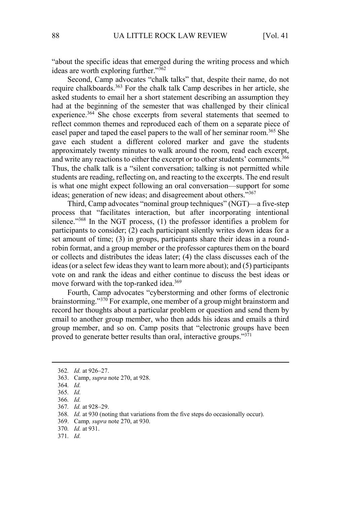"about the specific ideas that emerged during the writing process and which ideas are worth exploring further."<sup>362</sup>

Second, Camp advocates "chalk talks" that, despite their name, do not require chalkboards.<sup>363</sup> For the chalk talk Camp describes in her article, she asked students to email her a short statement describing an assumption they had at the beginning of the semester that was challenged by their clinical experience.<sup>364</sup> She chose excerpts from several statements that seemed to reflect common themes and reproduced each of them on a separate piece of easel paper and taped the easel papers to the wall of her seminar room.<sup>365</sup> She gave each student a different colored marker and gave the students approximately twenty minutes to walk around the room, read each excerpt, and write any reactions to either the excerpt or to other students' comments.<sup>366</sup> Thus, the chalk talk is a "silent conversation; talking is not permitted while students are reading, reflecting on, and reacting to the excerpts. The end result is what one might expect following an oral conversation—support for some ideas; generation of new ideas; and disagreement about others."<sup>367</sup>

Third, Camp advocates "nominal group techniques" (NGT)—a five-step process that "facilitates interaction, but after incorporating intentional silence."<sup>368</sup> In the NGT process, (1) the professor identifies a problem for participants to consider; (2) each participant silently writes down ideas for a set amount of time; (3) in groups, participants share their ideas in a roundrobin format, and a group member or the professor captures them on the board or collects and distributes the ideas later; (4) the class discusses each of the ideas (or a select few ideas they want to learn more about); and (5) participants vote on and rank the ideas and either continue to discuss the best ideas or move forward with the top-ranked idea.<sup>369</sup>

Fourth, Camp advocates "cyberstorming and other forms of electronic brainstorming."<sup>370</sup> For example, one member of a group might brainstorm and record her thoughts about a particular problem or question and send them by email to another group member, who then adds his ideas and emails a third group member, and so on. Camp posits that "electronic groups have been proved to generate better results than oral, interactive groups."371

- 369. Camp*, supra* note 270, at 930.
- 370*. Id.* at 931.
- 371*. Id.*

<sup>362</sup>*. Id.* at 926–27.

<sup>363.</sup> Camp, *supra* note 270, at 928.

<sup>364</sup>*. Id.* 

<sup>365</sup>*. Id.* 

<sup>366</sup>*. Id.* 

<sup>367</sup>*. Id.* at 928–29.

<sup>368</sup>*. Id.* at 930 (noting that variations from the five steps do occasionally occur).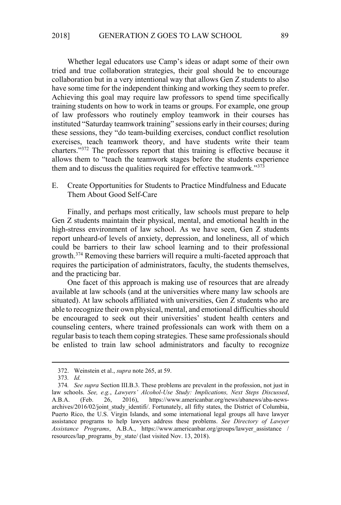Whether legal educators use Camp's ideas or adapt some of their own tried and true collaboration strategies, their goal should be to encourage collaboration but in a very intentional way that allows Gen Z students to also have some time for the independent thinking and working they seem to prefer. Achieving this goal may require law professors to spend time specifically training students on how to work in teams or groups. For example, one group of law professors who routinely employ teamwork in their courses has instituted "Saturday teamwork training" sessions early in their courses; during these sessions, they "do team-building exercises, conduct conflict resolution exercises, teach teamwork theory, and have students write their team charters."<sup>372</sup> The professors report that this training is effective because it allows them to "teach the teamwork stages before the students experience them and to discuss the qualities required for effective teamwork."<sup>373</sup>

E. Create Opportunities for Students to Practice Mindfulness and Educate Them About Good Self-Care

Finally, and perhaps most critically, law schools must prepare to help Gen Z students maintain their physical, mental, and emotional health in the high-stress environment of law school. As we have seen, Gen Z students report unheard-of levels of anxiety, depression, and loneliness, all of which could be barriers to their law school learning and to their professional growth.<sup>374</sup> Removing these barriers will require a multi-faceted approach that requires the participation of administrators, faculty, the students themselves, and the practicing bar.

One facet of this approach is making use of resources that are already available at law schools (and at the universities where many law schools are situated). At law schools affiliated with universities, Gen Z students who are able to recognize their own physical, mental, and emotional difficulties should be encouraged to seek out their universities' student health centers and counseling centers, where trained professionals can work with them on a regular basis to teach them coping strategies. These same professionals should be enlisted to train law school administrators and faculty to recognize

<sup>372.</sup> Weinstein et al., *supra* note 265, at 59.

<sup>373</sup>*. Id.*

<sup>374</sup>*. See supra* Section III.B.3. These problems are prevalent in the profession, not just in law schools. *See, e.g.*, *Lawyers' Alcohol-Use Study: Implications, Next Steps Discussed*, A.B.A. (Feb. 26, 2016), https://www.americanbar.org/news/abanews/aba-newsarchives/2016/02/joint\_study\_identifi/. Fortunately, all fifty states, the District of Columbia, Puerto Rico, the U.S. Virgin Islands, and some international legal groups all have lawyer assistance programs to help lawyers address these problems. *See Directory of Lawyer Assistance Programs*, A.B.A., https://www.americanbar.org/groups/lawyer\_assistance / resources/lap\_programs\_by\_state/ (last visited Nov. 13, 2018).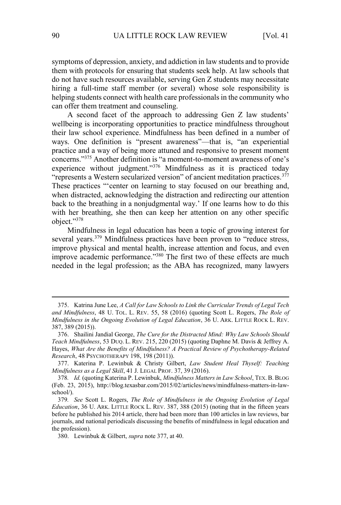symptoms of depression, anxiety, and addiction in law students and to provide them with protocols for ensuring that students seek help. At law schools that do not have such resources available, serving Gen Z students may necessitate hiring a full-time staff member (or several) whose sole responsibility is helping students connect with health care professionals in the community who can offer them treatment and counseling.

A second facet of the approach to addressing Gen Z law students' wellbeing is incorporating opportunities to practice mindfulness throughout their law school experience. Mindfulness has been defined in a number of ways. One definition is "present awareness"—that is, "an experiential practice and a way of being more attuned and responsive to present moment concerns."<sup>375</sup> Another definition is "a moment-to-moment awareness of one's experience without judgment."<sup>376</sup> Mindfulness as it is practiced today "represents a Western secularized version" of ancient meditation practices.<sup>377</sup> These practices "'center on learning to stay focused on our breathing and, when distracted, acknowledging the distraction and redirecting our attention back to the breathing in a nonjudgmental way.' If one learns how to do this with her breathing, she then can keep her attention on any other specific object."<sup>378</sup>

Mindfulness in legal education has been a topic of growing interest for several years.<sup>379</sup> Mindfulness practices have been proven to "reduce stress, improve physical and mental health, increase attention and focus, and even improve academic performance."<sup>380</sup> The first two of these effects are much needed in the legal profession; as the ABA has recognized, many lawyers

<sup>375.</sup> Katrina June Lee, *A Call for Law Schools to Link the Curricular Trends of Legal Tech and Mindfulness*, 48 U. TOL. L. REV. 55, 58 (2016) (quoting Scott L. Rogers, *The Role of Mindfulness in the Ongoing Evolution of Legal Education*, 36 U. ARK. LITTLE ROCK L. REV. 387, 389 (2015)).

<sup>376.</sup> Shailini Jandial George, *The Cure for the Distracted Mind: Why Law Schools Should Teach Mindfulness*, 53 DUQ. L. REV. 215, 220 (2015) (quoting Daphne M. Davis & Jeffrey A. Hayes, *What Are the Benefits of Mindfulness? A Practical Review of Psychotherapy-Related Research*, 48 PSYCHOTHERAPY 198, 198 (2011)).

<sup>377.</sup> Katerina P. Lewinbuk & Christy Gilbert, *Law Student Heal Thyself: Teaching Mindfulness as a Legal Skill*, 41 J. LEGAL PROF. 37, 39 (2016).

<sup>378</sup>*. Id.* (quoting Katerina P. Lewinbuk, *Mindfulness Matters in Law School*, TEX. B. BLOG (Feb. 23, 2015), http://blog.texasbar.com/2015/02/articles/news/mindfulness-matters-in-lawschool/).

<sup>379</sup>*. See* Scott L. Rogers, *The Role of Mindfulness in the Ongoing Evolution of Legal Education*, 36 U. ARK. LITTLE ROCK L. REV. 387, 388 (2015) (noting that in the fifteen years before he published his 2014 article, there had been more than 100 articles in law reviews, bar journals, and national periodicals discussing the benefits of mindfulness in legal education and the profession).

<sup>380.</sup> Lewinbuk & Gilbert, *supra* note 377, at 40.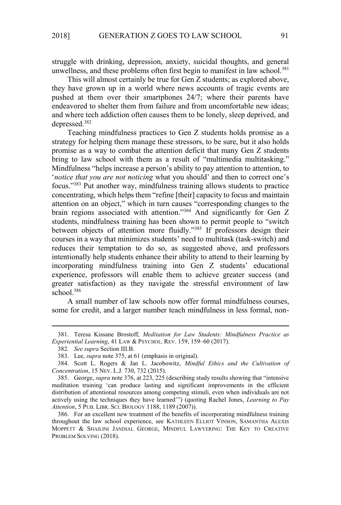struggle with drinking, depression, anxiety, suicidal thoughts, and general unwellness, and these problems often first begin to manifest in law school.<sup>381</sup>

This will almost certainly be true for Gen Z students; as explored above, they have grown up in a world where news accounts of tragic events are pushed at them over their smartphones 24/7; where their parents have endeavored to shelter them from failure and from uncomfortable new ideas; and where tech addiction often causes them to be lonely, sleep deprived, and depressed.<sup>382</sup>

Teaching mindfulness practices to Gen Z students holds promise as a strategy for helping them manage these stressors, to be sure, but it also holds promise as a way to combat the attention deficit that many Gen Z students bring to law school with them as a result of "multimedia multitasking." Mindfulness "helps increase a person's ability to pay attention to attention, to '*notice that you are not noticing* what you should' and then to correct one's focus."<sup>383</sup> Put another way, mindfulness training allows students to practice concentrating, which helps them "refine [their] capacity to focus and maintain attention on an object," which in turn causes "corresponding changes to the brain regions associated with attention."<sup>384</sup> And significantly for Gen Z students, mindfulness training has been shown to permit people to "switch between objects of attention more fluidly."<sup>385</sup> If professors design their courses in a way that minimizes students' need to multitask (task-switch) and reduces their temptation to do so, as suggested above, and professors intentionally help students enhance their ability to attend to their learning by incorporating mindfulness training into Gen Z students' educational experience, professors will enable them to achieve greater success (and greater satisfaction) as they navigate the stressful environment of law school.<sup>386</sup>

A small number of law schools now offer formal mindfulness courses, some for credit, and a larger number teach mindfulness in less formal, non-

<sup>381.</sup> Teresa Kissane Brostoff, *Meditation for Law Students: Mindfulness Practice as Experiential Learning*, 41 LAW & PSYCHOL. REV. 159, 159–60 (2017).

<sup>382</sup>*. See supra* Section III.B.

<sup>383.</sup> Lee, *supra* note 375, at 61 (emphasis in original).

<sup>384.</sup> Scott L. Rogers & Jan L. Jacobowitz, *Mindful Ethics and the Cultivation of Concentration*, 15 NEV. L.J. 730, 732 (2015).

<sup>385.</sup> George, *supra* note 376, at 223, 225 (describing study results showing that "intensive meditation training 'can produce lasting and significant improvements in the efficient distribution of attentional resources among competing stimuli, even when individuals are not actively using the techniques they have learned'") (quoting Rachel Jones, *Learning to Pay Attention*, 5 PUB. LIBR. SCI. BIOLOGY 1188, 1189 (2007)).

<sup>386.</sup> For an excellent new treatment of the benefits of incorporating mindfulness training throughout the law school experience, see KATHLEEN ELLIOT VINSON, SAMANTHA ALEXIS MOPPETT & SHAILINI JANDIAL GEORGE, MINDFUL LAWYERING: THE KEY TO CREATIVE PROBLEM SOLVING (2018).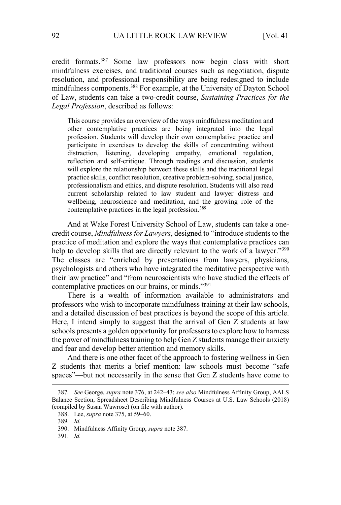credit formats.<sup>387</sup> Some law professors now begin class with short mindfulness exercises, and traditional courses such as negotiation, dispute resolution, and professional responsibility are being redesigned to include mindfulness components.<sup>388</sup> For example, at the University of Dayton School of Law, students can take a two-credit course, *Sustaining Practices for the Legal Profession*, described as follows:

This course provides an overview of the ways mindfulness meditation and other contemplative practices are being integrated into the legal profession. Students will develop their own contemplative practice and participate in exercises to develop the skills of concentrating without distraction, listening, developing empathy, emotional regulation, reflection and self-critique. Through readings and discussion, students will explore the relationship between these skills and the traditional legal practice skills, conflict resolution, creative problem-solving, social justice, professionalism and ethics, and dispute resolution. Students will also read current scholarship related to law student and lawyer distress and wellbeing, neuroscience and meditation, and the growing role of the contemplative practices in the legal profession.<sup>389</sup>

And at Wake Forest University School of Law, students can take a onecredit course, *Mindfulness for Lawyers*, designed to "introduce students to the practice of meditation and explore the ways that contemplative practices can help to develop skills that are directly relevant to the work of a lawyer."<sup>390</sup> The classes are "enriched by presentations from lawyers, physicians, psychologists and others who have integrated the meditative perspective with their law practice" and "from neuroscientists who have studied the effects of contemplative practices on our brains, or minds."<sup>391</sup>

There is a wealth of information available to administrators and professors who wish to incorporate mindfulness training at their law schools, and a detailed discussion of best practices is beyond the scope of this article. Here, I intend simply to suggest that the arrival of Gen Z students at law schools presents a golden opportunity for professors to explore how to harness the power of mindfulness training to help Gen Z students manage their anxiety and fear and develop better attention and memory skills.

And there is one other facet of the approach to fostering wellness in Gen Z students that merits a brief mention: law schools must become "safe spaces"—but not necessarily in the sense that Gen Z students have come to

<sup>387</sup>*. See* George, *supra* note 376, at 242–43; *see also* Mindfulness Affinity Group, AALS Balance Section, Spreadsheet Describing Mindfulness Courses at U.S. Law Schools (2018) (compiled by Susan Wawrose) (on file with author).

<sup>388.</sup> Lee, *supra* note 375, at 59–60.

<sup>389</sup>*. Id.* 

<sup>390.</sup> Mindfulness Affinity Group, *supra* note 387.

<sup>391</sup>*. Id.*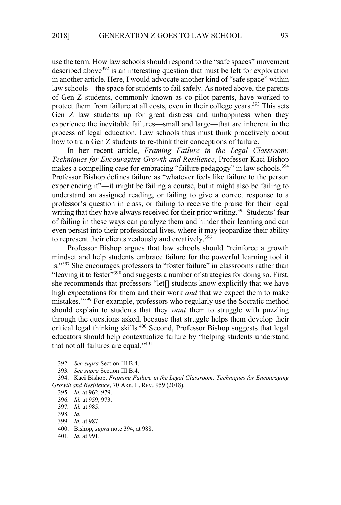use the term. How law schools should respond to the "safe spaces" movement described above<sup>392</sup> is an interesting question that must be left for exploration in another article. Here, I would advocate another kind of "safe space" within law schools—the space for students to fail safely. As noted above, the parents of Gen Z students, commonly known as co-pilot parents, have worked to protect them from failure at all costs, even in their college years. $393$  This sets Gen Z law students up for great distress and unhappiness when they experience the inevitable failures—small and large—that are inherent in the process of legal education. Law schools thus must think proactively about how to train Gen Z students to re-think their conceptions of failure.

In her recent article, *Framing Failure in the Legal Classroom: Techniques for Encouraging Growth and Resilience*, Professor Kaci Bishop makes a compelling case for embracing "failure pedagogy" in law schools.<sup>394</sup> Professor Bishop defines failure as "whatever feels like failure to the person experiencing it"—it might be failing a course, but it might also be failing to understand an assigned reading, or failing to give a correct response to a professor's question in class, or failing to receive the praise for their legal writing that they have always received for their prior writing.<sup>395</sup> Students' fear of failing in these ways can paralyze them and hinder their learning and can even persist into their professional lives, where it may jeopardize their ability to represent their clients zealously and creatively.<sup>396</sup>

Professor Bishop argues that law schools should "reinforce a growth mindset and help students embrace failure for the powerful learning tool it is."<sup>397</sup> She encourages professors to "foster failure" in classrooms rather than "leaving it to fester"<sup>398</sup> and suggests a number of strategies for doing so. First, she recommends that professors "let[] students know explicitly that we have high expectations for them and their work *and* that we expect them to make mistakes."<sup>399</sup> For example, professors who regularly use the Socratic method should explain to students that they *want* them to struggle with puzzling through the questions asked, because that struggle helps them develop their critical legal thinking skills.<sup>400</sup> Second, Professor Bishop suggests that legal educators should help contextualize failure by "helping students understand that not all failures are equal." $401$ 

<sup>392</sup>*. See supra* Section III.B.4.

<sup>393</sup>*. See supra* Section III.B.4.

<sup>394.</sup> Kaci Bishop, *Framing Failure in the Legal Classroom: Techniques for Encouraging Growth and Resilience*, 70 ARK. L. REV. 959 (2018).

<sup>395</sup>*. Id.* at 962, 979.

<sup>396</sup>*. Id.* at 959, 973.

<sup>397</sup>*. Id.* at 985.

<sup>398</sup>*. Id.*

<sup>399</sup>*. Id.* at 987.

<sup>400.</sup> Bishop, *supra* note 394, at 988.

<sup>401</sup>*. Id.* at 991.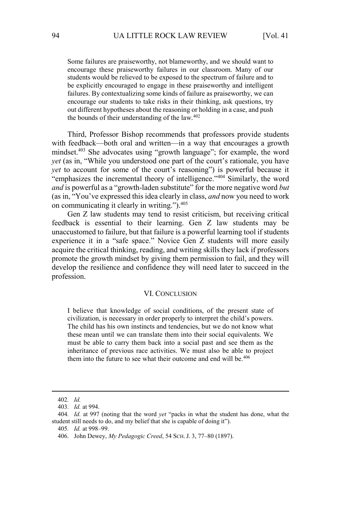Some failures are praiseworthy, not blameworthy, and we should want to encourage these praiseworthy failures in our classroom. Many of our students would be relieved to be exposed to the spectrum of failure and to be explicitly encouraged to engage in these praiseworthy and intelligent failures. By contextualizing some kinds of failure as praiseworthy, we can encourage our students to take risks in their thinking, ask questions, try out different hypotheses about the reasoning or holding in a case, and push the bounds of their understanding of the law.<sup>402</sup>

Third, Professor Bishop recommends that professors provide students with feedback—both oral and written—in a way that encourages a growth mindset.<sup>403</sup> She advocates using "growth language"; for example, the word *yet* (as in, "While you understood one part of the court's rationale, you have *yet* to account for some of the court's reasoning") is powerful because it "emphasizes the incremental theory of intelligence."<sup>404</sup> Similarly, the word *and* is powerful as a "growth-laden substitute" for the more negative word *but* (as in, "You've expressed this idea clearly in class, *and* now you need to work on communicating it clearly in writing.").<sup>405</sup>

Gen Z law students may tend to resist criticism, but receiving critical feedback is essential to their learning. Gen Z law students may be unaccustomed to failure, but that failure is a powerful learning tool if students experience it in a "safe space." Novice Gen Z students will more easily acquire the critical thinking, reading, and writing skills they lack if professors promote the growth mindset by giving them permission to fail, and they will develop the resilience and confidence they will need later to succeed in the profession.

#### VI. CONCLUSION

I believe that knowledge of social conditions, of the present state of civilization, is necessary in order properly to interpret the child's powers. The child has his own instincts and tendencies, but we do not know what these mean until we can translate them into their social equivalents. We must be able to carry them back into a social past and see them as the inheritance of previous race activities. We must also be able to project them into the future to see what their outcome and end will be.<sup>406</sup>

<sup>402</sup>*. Id.*

<sup>403</sup>*. Id.* at 994.

<sup>404</sup>*. Id.* at 997 (noting that the word *yet* "packs in what the student has done, what the student still needs to do, and my belief that she is capable of doing it").

<sup>405</sup>*. Id.* at 998–99.

<sup>406.</sup> John Dewey, *My Pedagogic Creed*, 54 SCH. J. 3, 77–80 (1897).